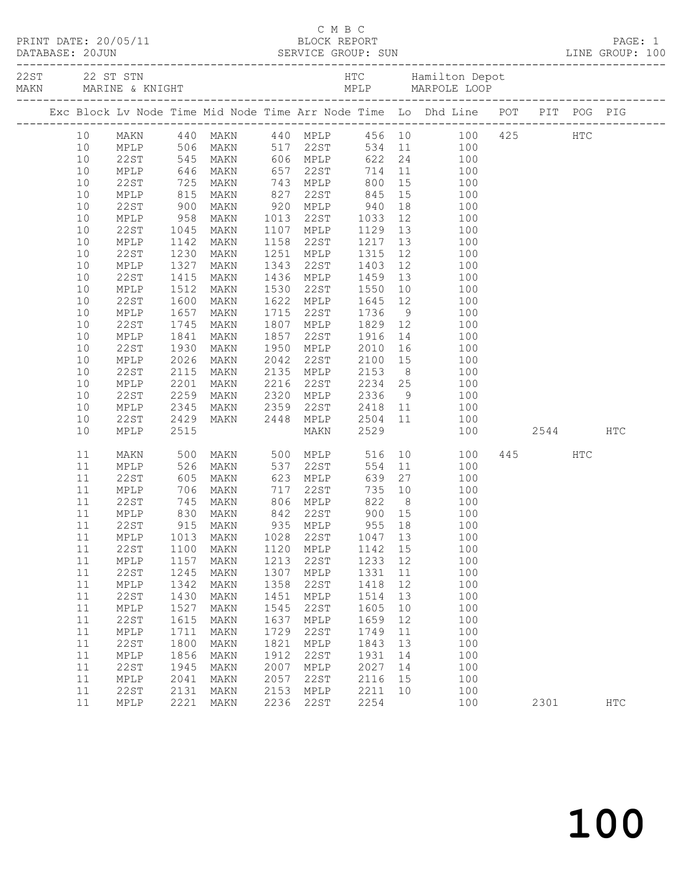|          |              |                           |                                                     |              |                                           |         |    | C M B C<br>PRINT DATE: 20/05/11 BLOCK REPORT<br>DATABASE: 20JUN SERVICE GROUP: SUN LINE GROUP: 100 |      |      |                   |
|----------|--------------|---------------------------|-----------------------------------------------------|--------------|-------------------------------------------|---------|----|----------------------------------------------------------------------------------------------------|------|------|-------------------|
|          |              |                           |                                                     |              |                                           |         |    |                                                                                                    |      |      |                   |
|          |              |                           |                                                     |              |                                           |         |    | Exc Block Lv Node Time Mid Node Time Arr Node Time Lo Dhd Line POT PIT POG PIG                     |      |      |                   |
| 10       |              |                           | MAKN 440 MAKN                                       |              |                                           |         |    | 440 MPLP 456 10 100 425 HTC                                                                        |      |      |                   |
| 10       | MPLP         |                           | $506$ MAKN                                          |              | 517 22ST                                  |         |    | $534$ 11 100                                                                                       |      |      |                   |
| 10       | 22ST         |                           | 545 MAKN                                            |              | 606 MPLP                                  |         |    | 622 24<br>100                                                                                      |      |      |                   |
| 10       | MPLP         |                           | 646 MAKN<br>725 MAKN<br>815 MAKN                    |              |                                           |         |    | 657 22ST 714 11 100<br>743 MPLP 800 15 100<br>827 22ST 845 15 100                                  |      |      |                   |
| 10       | 22ST         |                           |                                                     |              |                                           |         |    |                                                                                                    |      |      |                   |
| 10       | MPLP         |                           |                                                     |              |                                           |         |    |                                                                                                    |      |      |                   |
| 10       | 22ST         | 900                       | MAKN                                                |              | 920 MPLP 940                              |         |    | 18 18<br>100                                                                                       |      |      |                   |
| 10       | MPLP         | $958$<br>$1045$<br>$1142$ | MAKN                                                |              | 1013 22ST 1033                            |         |    | 12 100                                                                                             |      |      |                   |
| 10       | 22ST         |                           | MAKN                                                |              | 1107 MPLP                                 |         |    | 100                                                                                                |      |      |                   |
| 10       | MPLP         | 1142                      | MAKN                                                | 1158         | 22ST                                      |         |    | 100                                                                                                |      |      |                   |
| 10       | 22ST         | 1230                      | MAKN                                                | 1251         | <b>MPLP</b>                               | 1315    |    | 12 and $\overline{a}$<br>100                                                                       |      |      |                   |
| 10       | MPLP         | 1327                      | MAKN                                                | 1343         | 22ST                                      | 1403    |    | 12<br>100                                                                                          |      |      |                   |
| 10       | 22ST         | 1415                      | MAKN                                                |              | 1436 MPLP                                 |         |    | 100                                                                                                |      |      |                   |
| 10       | MPLP         | 1512                      | MAKN                                                | 1530         | 22ST                                      | 1550    |    | 100                                                                                                |      |      |                   |
| 10       | 22ST         | 1600                      | MAKN                                                | 1622         | MPLP 1645 12                              |         |    | 100                                                                                                |      |      |                   |
| 10       | MPLP         | 1657                      | MAKN                                                | 1715         | 22ST                                      | 1736    |    | $9 \left( \frac{1}{2} \right)$<br>100                                                              |      |      |                   |
| 10       | 22ST         | 1745                      | MAKN                                                |              | 1807 MPLP<br>MPLP 1829 12<br>22ST 1916 14 |         |    | 100                                                                                                |      |      |                   |
| 10       | MPLP         | 1841                      | MAKN                                                | 1857         |                                           |         |    | 100<br>2010 16 100                                                                                 |      |      |                   |
| 10       | 22ST         | 1930                      | MAKN                                                |              | 1950 MPLP                                 |         |    |                                                                                                    |      |      |                   |
| 10       | MPLP         | 2026                      | MAKN                                                | 2042         | 22ST                                      | 2100 15 |    | 100                                                                                                |      |      |                   |
| 10<br>10 | 22ST         | 2115<br>2201              | MAKN                                                | 2135<br>2216 | MPLP 2153 8<br>22ST 2234 25               |         |    | 100                                                                                                |      |      |                   |
| 10       | MPLP<br>22ST | 2259                      | MAKN<br>MAKN                                        | 2320         | MPLP                                      |         |    | 100<br>2336 9 100                                                                                  |      |      |                   |
| 10       | MPLP         | 2345                      | MAKN                                                | 2359         | 22ST                                      |         |    | 2418 11<br>100                                                                                     |      |      |                   |
| 10       | 22ST         | 2429                      | MAKN                                                | 2448         | MPLP                                      | 2504 11 |    | 100                                                                                                |      |      |                   |
| 10       | MPLP         | 2515                      |                                                     |              | MAKN                                      | 2529    |    | 100                                                                                                |      | 2544 | HTC               |
| 11       | MAKN         | 500                       | MAKN                                                |              | 500 MPLP                                  | 516     |    | 10 0<br>100                                                                                        | 445  | HTC  |                   |
| 11       | MPLP         | 526                       | MAKN                                                |              |                                           | 554     |    | 11<br>100                                                                                          |      |      |                   |
| 11       | 22ST         | 526<br>605<br>706         | MAKN                                                |              |                                           | 639     | 27 | 100                                                                                                |      |      |                   |
| 11       | MPLP         |                           | MAKN                                                |              | $717$ 22ST                                |         |    | 735 10<br>100                                                                                      |      |      |                   |
| 11       | 22ST         |                           | 145 MAKN 806 MPLP 822 8<br>830 MAKN 842 22ST 900 15 |              |                                           |         |    | 100                                                                                                |      |      |                   |
| 11       | MPLP         |                           |                                                     |              |                                           |         |    | 100                                                                                                |      |      |                   |
|          |              |                           | 11  22ST  915  MAKN  935  MPLP  955  18             |              |                                           |         |    | 100                                                                                                |      |      |                   |
| 11       | MPLP         | 1013                      | MAKN                                                | 1028         | 22ST                                      | 1047    | 13 | 100                                                                                                |      |      |                   |
| 11       | 22ST         | 1100                      | MAKN                                                | 1120         | MPLP                                      | 1142    | 15 | 100                                                                                                |      |      |                   |
| 11       | MPLP         | 1157                      | MAKN                                                | 1213         | 22ST                                      | 1233    | 12 | 100                                                                                                |      |      |                   |
| 11       | <b>22ST</b>  | 1245                      | MAKN                                                | 1307         | MPLP                                      | 1331    | 11 | 100                                                                                                |      |      |                   |
| 11       | MPLP         | 1342                      | MAKN                                                | 1358         | 22ST                                      | 1418    | 12 | 100                                                                                                |      |      |                   |
| 11       | <b>22ST</b>  | 1430                      | MAKN                                                | 1451         | MPLP                                      | 1514    | 13 | 100                                                                                                |      |      |                   |
| 11       | MPLP         | 1527                      | MAKN                                                | 1545         | 22ST                                      | 1605    | 10 | 100                                                                                                |      |      |                   |
| 11       | <b>22ST</b>  | 1615                      | MAKN                                                | 1637         | $\texttt{MPLP}$                           | 1659    | 12 | 100                                                                                                |      |      |                   |
| 11       | MPLP         | 1711                      | MAKN                                                | 1729         | 22ST                                      | 1749    | 11 | 100                                                                                                |      |      |                   |
| 11       | 22ST         | 1800                      | MAKN                                                | 1821         | MPLP                                      | 1843    | 13 | 100                                                                                                |      |      |                   |
| 11       | MPLP         | 1856                      | MAKN                                                | 1912         | 22ST                                      | 1931    | 14 | 100                                                                                                |      |      |                   |
| 11       | 22ST         | 1945                      | MAKN                                                | 2007         | MPLP                                      | 2027    | 14 | 100                                                                                                |      |      |                   |
| 11       | MPLP         | 2041                      | MAKN                                                | 2057         | 22ST                                      | 2116    | 15 | 100                                                                                                |      |      |                   |
| 11       | 22ST         | 2131                      | MAKN                                                | 2153         | MPLP                                      | 2211    | 10 | 100                                                                                                |      |      |                   |
| 11       | MPLP         | 2221                      | MAKN                                                | 2236         | 22ST                                      | 2254    |    | 100                                                                                                | 2301 |      | $_{\mathrm{HTC}}$ |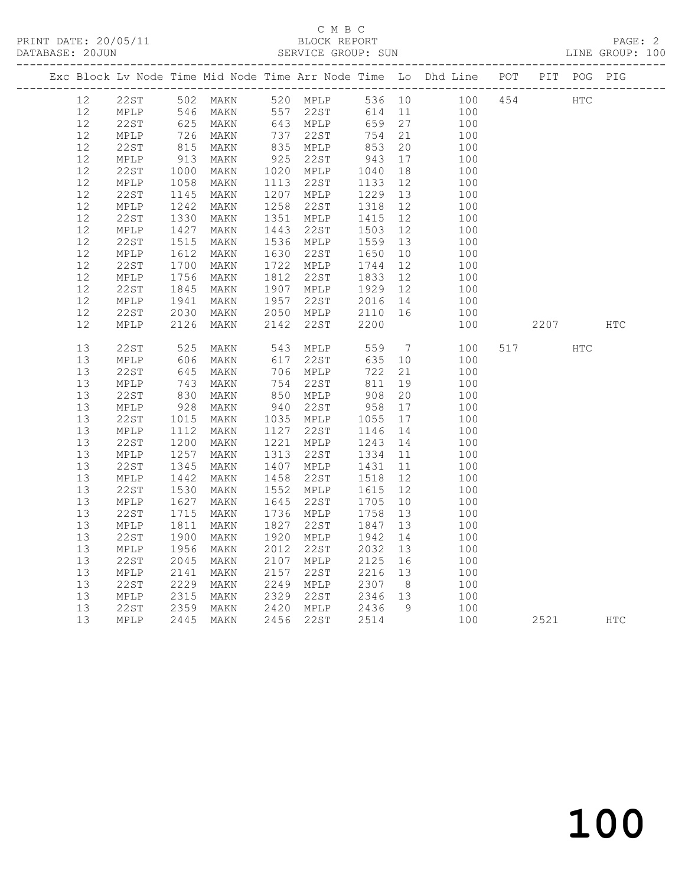### C M B C<br>BLOCK REPORT SERVICE GROUP: SUN

|                 |                                |              |                      |      |                                                 |                    |          | Exc Block Lv Node Time Mid Node Time Arr Node Time Lo Dhd Line POT PIT POG PIG |     |      |     |            |
|-----------------|--------------------------------|--------------|----------------------|------|-------------------------------------------------|--------------------|----------|--------------------------------------------------------------------------------|-----|------|-----|------------|
| 12 <sup>7</sup> | 22ST 502 MAKN<br>MPLP 546 MAKN |              | 502 MAKN<br>502 MAKN |      | 520 MPLP<br>557 22ST                            |                    |          | 536 10 100<br>614 11 100                                                       | 454 | HTC  |     |            |
| 12              |                                |              |                      |      | 557 22ST                                        | 614 11             |          | 100                                                                            |     |      |     |            |
| 12              | 22ST                           |              | 625 MAKN<br>726 MAKN |      | 643 MPLP<br>737 22ST<br>835 MPLP                | 659                | 27       | 100                                                                            |     |      |     |            |
| 12              | MPLP                           |              |                      |      |                                                 | 754 21             |          | 100                                                                            |     |      |     |            |
| $12$            | 22ST                           | $815$<br>913 | MAKN                 |      |                                                 | 853                | 20       | 100                                                                            |     |      |     |            |
| 12              | MPLP                           |              | MAKN                 |      | 925 22ST                                        | 943                | 17       | 100                                                                            |     |      |     |            |
| 12              | 22ST                           | 1000         | MAKN                 |      | 1020 MPLP                                       | 1040               | 18       | 100                                                                            |     |      |     |            |
| 12              | MPLP                           | 1058<br>1145 | MAKN                 |      | 1113 22ST                                       | 1133<br>1229       | 12       | 100                                                                            |     |      |     |            |
| 12              | 22ST                           |              | MAKN                 |      | 1207 MPLP                                       |                    | 13       | 100                                                                            |     |      |     |            |
| 12              | MPLP                           | 1242<br>1330 | MAKN                 |      | 1258 22ST<br>1351 MPLP                          | 1318<br>1415       | 12       | 100                                                                            |     |      |     |            |
| 12<br>12        | 22ST                           |              | MAKN                 |      | 1443 22ST                                       | 1415               | 12<br>12 | 100                                                                            |     |      |     |            |
| 12              | MPLP<br>22ST                   | 1427<br>1515 | MAKN<br>MAKN         |      | 1536 MPLP                                       | 1503<br>1559       | 13       | 100<br>100                                                                     |     |      |     |            |
| 12              | MPLP                           |              | MAKN                 |      | 1630 22ST                                       | 1650               | 10       | 100                                                                            |     |      |     |            |
| 12              | 22ST                           | 1612<br>1700 | MAKN                 |      | 1722 MPLP                                       | 1744               | 12       | 100                                                                            |     |      |     |            |
| 12              | MPLP                           | 1756         | MAKN                 |      | 1812 22ST                                       | 1833               | 12       | 100                                                                            |     |      |     |            |
| 12              | 22ST                           |              | MAKN                 |      | 1907 MPLP                                       |                    |          | 100                                                                            |     |      |     |            |
| 12              | MPLP                           | 1845<br>1941 | MAKN                 |      | 1957 22ST                                       | 1929 12<br>2016 14 |          | 100                                                                            |     |      |     |            |
| 12              | 22ST                           | 2030         | MAKN                 |      | 2050 MPLP                                       | 2110 16            |          | 100                                                                            |     |      |     |            |
| 12              | MPLP                           | 2126         | MAKN                 |      | 2142 22ST                                       | 2200               |          | 100                                                                            |     | 2207 |     | <b>HTC</b> |
|                 |                                |              |                      |      |                                                 |                    |          |                                                                                |     |      |     |            |
| 13              | 22ST                           | 525          | MAKN                 |      | 543 MPLP                                        | 559                |          | $7\overline{ }$<br>100                                                         | 517 |      | HTC |            |
| 13              | MPLP                           |              | MAKN                 |      | 617 22ST<br>706 MPLP                            | 635                | 10       | 100                                                                            |     |      |     |            |
| 13              | 22ST                           | 606<br>645   | MAKN                 |      | 706 MPLP                                        | 722                | 21       | 100                                                                            |     |      |     |            |
| 13              | MPLP                           |              | MAKN                 |      | 754 22ST                                        | 811                | 19       | 100                                                                            |     |      |     |            |
| 13              | 22ST                           | 743<br>830   | MAKN                 |      | 850 MPLP                                        | 908                | 20       | 100                                                                            |     |      |     |            |
| 13              | MPLP                           | 928          | MAKN                 |      | 940 22ST                                        | 958                | 17       | 100                                                                            |     |      |     |            |
| 13              | 22ST                           | 1015         | MAKN                 |      | 1035 MPLP                                       | 1055<br>1146       | 17       | 100                                                                            |     |      |     |            |
| 13              | MPLP                           | 1112         | MAKN                 |      | 1127 22ST                                       |                    | 14       | 100                                                                            |     |      |     |            |
| 13              | 22ST                           | 1200<br>1257 | MAKN                 |      | 1221 MPLP                                       | 1243 14<br>1334 11 |          | 100                                                                            |     |      |     |            |
| 13              | MPLP                           |              | MAKN                 |      | 1313 22ST                                       |                    |          | 100                                                                            |     |      |     |            |
| 13              | 22ST                           | 1345<br>1442 | MAKN                 |      | 1407 MPLP                                       | 1431               | 11       | 100                                                                            |     |      |     |            |
| 13              | MPLP                           |              | MAKN                 |      | 1458 22ST                                       | 1518               | 12       | 100                                                                            |     |      |     |            |
| 13              | 22ST                           | 1530<br>1627 | MAKN                 |      | 1552 MPLP                                       | 1615               | 12       | 100                                                                            |     |      |     |            |
| 13              | MPLP                           | 1627         | MAKN                 |      | 1645 22ST                                       | 1705 10            |          | 100                                                                            |     |      |     |            |
| 13              | 22ST                           | 1715         | MAKN                 |      | 1736 MPLP                                       | 1758               | 13       | 100                                                                            |     |      |     |            |
| 13              | MPLP                           | 1811         | MAKN                 | 1827 | 22st                                            | 1847<br>1942       | 13       | 100                                                                            |     |      |     |            |
| 13              | 22ST                           | 1900         | MAKN                 |      | 1920 MPLP                                       |                    | 14       | 100                                                                            |     |      |     |            |
| 13<br>13        | MPLP<br>22ST                   | 1956<br>2045 | MAKN                 |      | 2012 22ST<br>2107 MPLP                          | 2032<br>2125       | 13       | 100                                                                            |     |      |     |            |
|                 |                                |              | MAKN                 |      |                                                 |                    | 16       | 100                                                                            |     |      |     |            |
| 13<br>13        | MPLP<br>22ST                   | 2141<br>2229 | MAKN<br>MAKN         |      | 2157 22ST<br>2249 MPLP                          | 2216 13<br>2307 8  |          | 100<br>100                                                                     |     |      |     |            |
| 13              | $\texttt{MPLP}$                |              | MAKN                 |      |                                                 |                    |          | 100                                                                            |     |      |     |            |
| 13              | 22ST                           | 2315<br>2359 | MAKN                 |      | 2329   22ST       2346<br>2420   MPLP      2436 | 2346 13            | 9        | 100                                                                            |     |      |     |            |
| 13              | MPLP                           |              | 2445 MAKN            |      | 2456 22ST                                       | 2514               |          | 100                                                                            |     | 2521 |     | <b>HTC</b> |
|                 |                                |              |                      |      |                                                 |                    |          |                                                                                |     |      |     |            |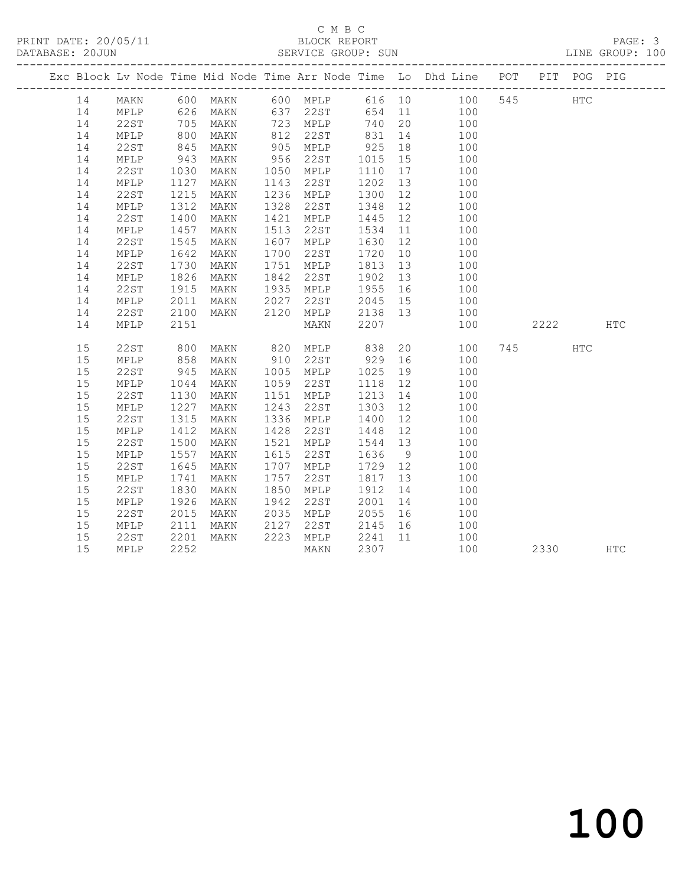### C M B C<br>BLOCK REPORT SERVICE GROUP: SUN

|    |      |              |           |      |                   |                                                           |    | Exc Block Lv Node Time Mid Node Time Arr Node Time Lo Dhd Line POT PIT POG PIG       |         |     |
|----|------|--------------|-----------|------|-------------------|-----------------------------------------------------------|----|--------------------------------------------------------------------------------------|---------|-----|
|    |      |              |           |      |                   |                                                           |    | 14 MAKN 600 MAKN 600 MPLP 616 10 100 545 HTC<br>14 MPLP 626 MAKN 637 22ST 654 11 100 |         |     |
|    |      |              |           |      |                   |                                                           |    |                                                                                      |         |     |
| 14 | 22ST | 705          | MAKN      |      | 723 MPLP          | 740 20                                                    |    | 100                                                                                  |         |     |
| 14 | MPLP | 800          | MAKN      |      |                   |                                                           |    | 812 22ST 831 14 100                                                                  |         |     |
| 14 | 22ST | 845<br>943   | MAKN      |      | 905 MPLP          | 925 18<br>1015 15                                         |    | 100                                                                                  |         |     |
| 14 | MPLP |              | MAKN      |      | 956 22ST          |                                                           |    | 100                                                                                  |         |     |
| 14 | 22ST | 1030         | MAKN      |      | 1050 MPLP         | 1110 17                                                   |    | 100                                                                                  |         |     |
| 14 | MPLP | 1127         | MAKN      |      | 1143 22ST         | 1202 13                                                   |    | 100                                                                                  |         |     |
| 14 | 22ST | 1215         | MAKN      |      | 1236 MPLP         | 1300                                                      | 12 | 100                                                                                  |         |     |
| 14 | MPLP | 1312<br>1400 | MAKN      |      | 1328 22ST         |                                                           |    | 1348 12 100                                                                          |         |     |
| 14 | 22ST |              | MAKN      |      | 1421 MPLP         | 1445 12                                                   |    | 100                                                                                  |         |     |
| 14 | MPLP | 1457         | MAKN      | 1513 | 22ST              |                                                           |    | 1534 11 100                                                                          |         |     |
| 14 | 22ST | 1545         | MAKN      | 1607 | MPLP              | 1630 12                                                   |    | 100                                                                                  |         |     |
| 14 | MPLP | 1642         | MAKN      | 1700 | 22ST              | 1720                                                      | 10 | 100                                                                                  |         |     |
| 14 | 22ST | 1730<br>1826 | MAKN      |      | 1751 MPLP         | 1813 13                                                   |    | $\frac{100}{100}$                                                                    |         |     |
| 14 | MPLP |              | MAKN      |      | 1842 22ST         | $\begin{array}{c}\n 13 \\  \hline\n 1902 \\  \end{array}$ |    | 100                                                                                  |         |     |
| 14 | 22ST | 1915         | MAKN      |      | 1935 MPLP         | 1955 16                                                   |    | 100                                                                                  |         |     |
| 14 | MPLP | 2011         | MAKN 2027 |      | 22ST              | 2045 15                                                   |    | 100                                                                                  |         |     |
| 14 | 22ST | 2100         | MAKN      |      | 2120 MPLP 2138 13 |                                                           |    | 100                                                                                  |         |     |
| 14 | MPLP | 2151         |           |      | MAKN              | 2207                                                      |    | 100                                                                                  | 2222    | HTC |
| 15 | 22ST | 800          |           |      |                   |                                                           |    | MAKN 820 MPLP 838 20 100                                                             | 745 HTC |     |
| 15 | MPLP | 858          | MAKN      |      |                   |                                                           |    | 910 22ST 929 16 100                                                                  |         |     |
| 15 | 22ST |              | MAKN      |      | 1005 MPLP         | 1025 19<br>1118 12                                        |    | 100                                                                                  |         |     |
| 15 | MPLP | 945<br>1044  | MAKN      |      | 1059 22ST         | 1118 12                                                   |    | 100                                                                                  |         |     |
| 15 | 22ST | 1130         | MAKN      |      | 1151 MPLP         |                                                           |    | $\frac{1}{1213}$ $\frac{1}{14}$ $\frac{100}{100}$                                    |         |     |
| 15 | MPLP | 1227         | MAKN      | 1243 | 22ST              | 1303 12                                                   |    | 100                                                                                  |         |     |
| 15 | 22ST | 1315         | MAKN      |      | 1336 MPLP         | 1400                                                      | 12 | 100                                                                                  |         |     |
| 15 | MPLP | 1412<br>1500 | MAKN      |      | 1428 22ST         | 1448 12                                                   |    | 100                                                                                  |         |     |
| 15 | 22ST |              | MAKN      |      | 1521 MPLP         | 1544 13                                                   |    | 100                                                                                  |         |     |
| 15 | MPLP | 1557         | MAKN      | 1615 | 22ST              | 1636 9                                                    |    | 100                                                                                  |         |     |
| 15 | 22ST | 1645         | MAKN      | 1707 | MPLP              | 1729 12                                                   |    | 100                                                                                  |         |     |
| 15 | MPLP | 1741         | MAKN      | 1757 | 22ST              | 1817                                                      | 13 | 100                                                                                  |         |     |
| 15 | 22ST | 1830         | MAKN      | 1850 | MPLP              | 1912                                                      | 14 | 100                                                                                  |         |     |
| 15 | MPLP | 1926         | MAKN      | 1942 | 22ST              | 2001                                                      | 14 | 100                                                                                  |         |     |
| 15 | 22ST | 2015         | MAKN      |      | 2035 MPLP         | 2055 16                                                   |    | 100                                                                                  |         |     |
| 15 | MPLP | 2111         | MAKN      | 2127 | 22ST              | 2145 16                                                   |    | 100                                                                                  |         |     |
| 15 | 22ST | 2201         | MAKN      |      | 2223 MPLP         |                                                           |    | 2241 11 100                                                                          |         |     |
| 15 | MPLP | 2252         |           |      | MAKN              | 2307                                                      |    | 100                                                                                  | 2330    | HTC |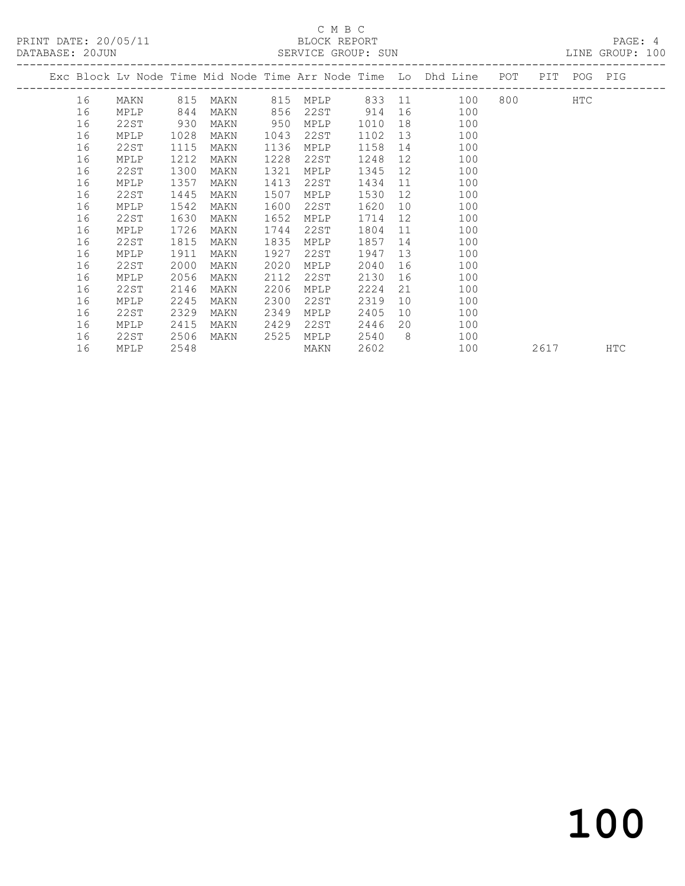### C M B C<br>BLOCK REPORT SERVICE GROUP: SUN

|  |    |      |      |      |      |      |      |    | Exc Block Lv Node Time Mid Node Time Arr Node Time Lo Dhd Line POT |           | PIT POG PIG |     |
|--|----|------|------|------|------|------|------|----|--------------------------------------------------------------------|-----------|-------------|-----|
|  | 16 | MAKN | 815  | MAKN | 815  | MPLP |      |    | 833 11<br>100                                                      | 800 - 100 | <b>HTC</b>  |     |
|  | 16 | MPLP | 844  | MAKN | 856  | 22ST | 914  |    | 16<br>100                                                          |           |             |     |
|  | 16 | 22ST | 930  | MAKN | 950  | MPLP | 1010 | 18 | 100                                                                |           |             |     |
|  | 16 | MPLP | 1028 | MAKN | 1043 | 22ST | 1102 | 13 | 100                                                                |           |             |     |
|  | 16 | 22ST | 1115 | MAKN | 1136 | MPLP | 1158 | 14 | 100                                                                |           |             |     |
|  | 16 | MPLP | 1212 | MAKN | 1228 | 22ST | 1248 | 12 | 100                                                                |           |             |     |
|  | 16 | 22ST | 1300 | MAKN | 1321 | MPLP | 1345 | 12 | 100                                                                |           |             |     |
|  | 16 | MPLP | 1357 | MAKN | 1413 | 22ST | 1434 | 11 | 100                                                                |           |             |     |
|  | 16 | 22ST | 1445 | MAKN | 1507 | MPLP | 1530 | 12 | 100                                                                |           |             |     |
|  | 16 | MPLP | 1542 | MAKN | 1600 | 22ST | 1620 | 10 | 100                                                                |           |             |     |
|  | 16 | 22ST | 1630 | MAKN | 1652 | MPLP | 1714 | 12 | 100                                                                |           |             |     |
|  | 16 | MPLP | 1726 | MAKN | 1744 | 22ST | 1804 | 11 | 100                                                                |           |             |     |
|  | 16 | 22ST | 1815 | MAKN | 1835 | MPLP | 1857 | 14 | 100                                                                |           |             |     |
|  | 16 | MPLP | 1911 | MAKN | 1927 | 22ST | 1947 | 13 | 100                                                                |           |             |     |
|  | 16 | 22ST | 2000 | MAKN | 2020 | MPLP | 2040 | 16 | 100                                                                |           |             |     |
|  | 16 | MPLP | 2056 | MAKN | 2112 | 22ST | 2130 | 16 | 100                                                                |           |             |     |
|  | 16 | 22ST | 2146 | MAKN | 2206 | MPLP | 2224 | 21 | 100                                                                |           |             |     |
|  | 16 | MPLP | 2245 | MAKN | 2300 | 22ST | 2319 | 10 | 100                                                                |           |             |     |
|  | 16 | 22ST | 2329 | MAKN | 2349 | MPLP | 2405 | 10 | 100                                                                |           |             |     |
|  | 16 | MPLP | 2415 | MAKN | 2429 | 22ST | 2446 | 20 | 100                                                                |           |             |     |
|  | 16 | 22ST | 2506 | MAKN | 2525 | MPLP | 2540 | 8  | 100                                                                |           |             |     |
|  | 16 | MPLP | 2548 |      |      | MAKN | 2602 |    | 100                                                                | 2617      |             | HTC |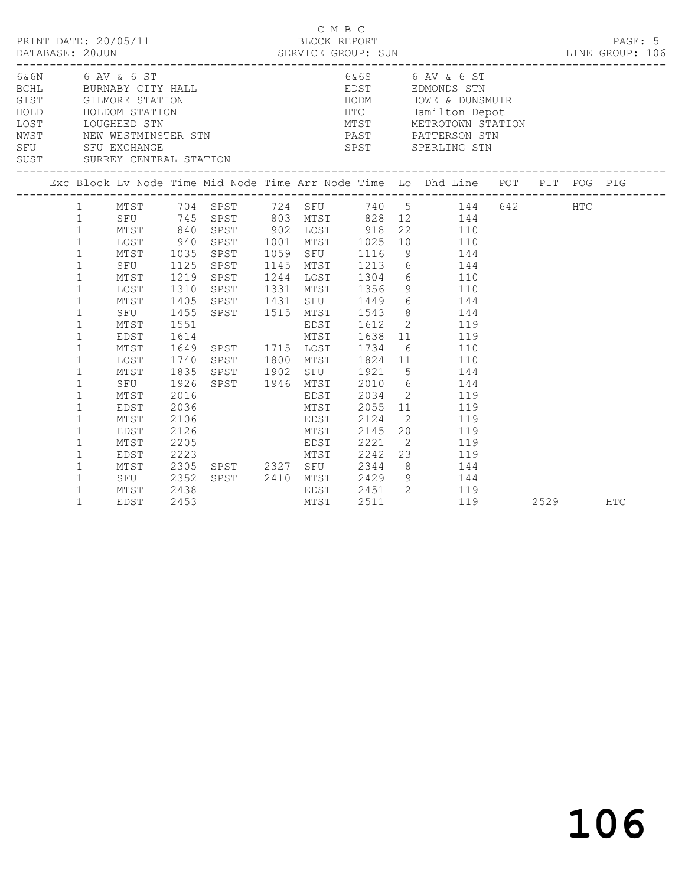| PRINT DATE: 20/05/11<br>DATABASE: 20JUN  |                                                                                                                                                                                                                                                                                                                   |                                                                                                                                                               |                                                                                                      |  |      | C M B C<br>BLOCK REPORT                                                         |                                                                                                                                                                                                                                                                                                                                                                                                                                                                                                                                                                                                                                                                                                                   |      | PAGE: 5    |
|------------------------------------------|-------------------------------------------------------------------------------------------------------------------------------------------------------------------------------------------------------------------------------------------------------------------------------------------------------------------|---------------------------------------------------------------------------------------------------------------------------------------------------------------|------------------------------------------------------------------------------------------------------|--|------|---------------------------------------------------------------------------------|-------------------------------------------------------------------------------------------------------------------------------------------------------------------------------------------------------------------------------------------------------------------------------------------------------------------------------------------------------------------------------------------------------------------------------------------------------------------------------------------------------------------------------------------------------------------------------------------------------------------------------------------------------------------------------------------------------------------|------|------------|
| HOLD HOLDOM STATION<br>LOST LOUGHEED STN |                                                                                                                                                                                                                                                                                                                   |                                                                                                                                                               |                                                                                                      |  |      |                                                                                 | HODM HOWE & DUNSMUIR<br>HTC Hamilton Depot<br>MTST METROTOWN STATION<br>LOST LOUGHEED STN METROTOWN STAT<br>NWST NEW WESTMINSTER STN PAST PATTERSON STN<br>SFU SFU EXCHANGE STATION SPST SPERLING STN<br>SUST SURREY CENTRAL STATION SPST SPERLING STN                                                                                                                                                                                                                                                                                                                                                                                                                                                            |      |            |
|                                          |                                                                                                                                                                                                                                                                                                                   |                                                                                                                                                               |                                                                                                      |  |      |                                                                                 | Exc Block Lv Node Time Mid Node Time Arr Node Time Lo Dhd Line POT PIT POG PIG                                                                                                                                                                                                                                                                                                                                                                                                                                                                                                                                                                                                                                    |      |            |
|                                          | $\mathbf{1}$<br>$\mathbf{1}$<br>$\mathbf{1}$<br>$\mathbf{1}$<br>$\mathbf{1}$<br>$\mathbf{1}$<br>$\mathbf{1}$<br>$\mathbf{1}$<br>$\mathbf{1}$<br>$\mathbf{1}$<br>$\mathbf{1}$<br>$\mathbf{1}$<br>$\mathbf{1}$<br>$\mathbf{1}$<br>$\mathbf{1}$<br>1<br>$\mathbf{1}$<br>$\mathbf{1}$<br>$\mathbf{1}$<br>$\mathbf{1}$ | MTST<br>SFU<br>MTST<br>LOST<br>MTST<br>SFU<br>MTST<br>EDST<br>MTST<br>LOST<br>MTST<br>SFU<br>MTST<br>EDST<br>MTST<br>EDST<br>MTST<br>EDST<br>MTST<br>SFU 2352 | 1125<br>1219<br>1310<br>1405<br>1455<br>1551<br>1926<br>2016<br>2036<br>2106<br>2126<br>2205<br>2223 |  |      | SPST 1515 MTST 1543<br>EDST<br>MTST 2055<br>EDST 2124<br>MTST 2145<br>EDST 2221 | 1 MTST 704 SPST 724 SFU 740 5 144 642 HTC<br>1 SFU 745 SPST 803 MTST 828 12 144<br>1 MTST 840 SPST 902 LOST 918 22 110<br>1 LOST 940 SPST 1001 MTST 1025 10 110<br>1035 SPST 1059 SFU 1116 9 144<br>SPST 1145 MTST 1213 6 144<br>SPST 1244 LOST 1304 6 110<br>SPST 1331 MTST 1356 9 110<br>SPST 1431 SFU 1449 6 144<br>8 144<br>1612 2 119<br>1614<br>1614<br>1649 SPST 1715 LOST 1734 6 110<br>1740 SPST 1800 MTST 1824 11 110<br>1835 SPST 1902 SFU 1921 5 144<br>SPST 1946 MTST 2010 6 144<br>EDST 2034 2 119<br>11 119<br>2 119<br>$\begin{array}{cc} 20 & \hspace{1.5cm} 119 \\ 2 & \hspace{1.5cm} 119 \end{array}$<br>---<br>MTST 2242 23 119<br>2305 SPST 2327 SFU 2344 8 144<br>SPST 2410 MTST 2429 9 144 |      |            |
|                                          | $\mathbf{1}$<br>1                                                                                                                                                                                                                                                                                                 | MTST<br>EDST                                                                                                                                                  | 2438<br>2453                                                                                         |  | MTST | 2511                                                                            | EDST 2451 2 119<br>MTST 2511 119<br>119                                                                                                                                                                                                                                                                                                                                                                                                                                                                                                                                                                                                                                                                           | 2529 | <b>HTC</b> |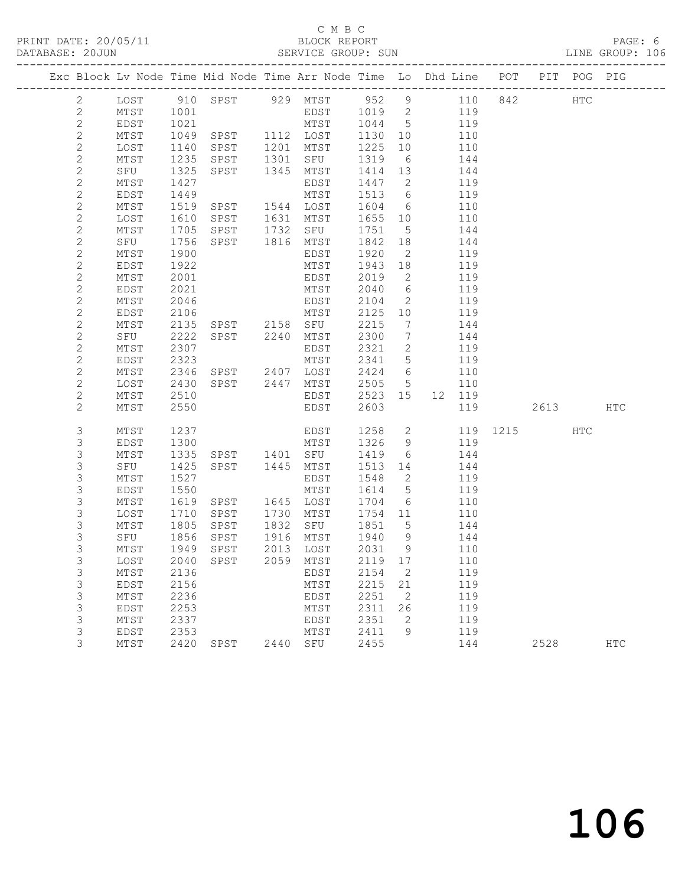### C M B C<br>BLOCK REPORT SERVICE GROUP: SUN

| Exc Block Lv Node Time Mid Node Time Arr Node Time Lo Dhd Line POT PIT POG PIG |              |              |                                          |      |                   |                  |                                |            |              |          |     |
|--------------------------------------------------------------------------------|--------------|--------------|------------------------------------------|------|-------------------|------------------|--------------------------------|------------|--------------|----------|-----|
| $\mathbf{2}$                                                                   |              |              | LOST 910 SPST 929 MTST 952 9 110 842 HTC |      |                   |                  |                                |            |              |          |     |
| 2                                                                              | MTST         | 1001         |                                          |      | $EDST$ $1019$ $2$ |                  |                                | 119        |              |          |     |
| $\sqrt{2}$                                                                     | EDST         | 1021         |                                          |      | MTST 1044 5       |                  |                                | 119        |              |          |     |
| $\mathbf{2}$                                                                   | MTST         | 1049         | SPST 1112 LOST                           |      |                   | 1130             | 10                             | 110        |              |          |     |
| $\mathbf{2}$                                                                   | LOST         | 1140         | SPST                                     |      | 1201 MTST         | 1225             | 10                             | 110        |              |          |     |
| $\mathbf{2}$                                                                   | MTST         | 1235         | SPST                                     |      | 1301 SFU          | 1319             | 6                              | 144        |              |          |     |
| $\mathbf{2}$                                                                   | SFU          | 1325         | SPST                                     |      | 1345 MTST         | 1414 13          |                                | 144        |              |          |     |
| $\mathbf{2}$                                                                   | MTST         | 1427         |                                          |      | EDST              | 1447 2           |                                | 119        |              |          |     |
| $\sqrt{2}$                                                                     | EDST         | 1449         |                                          |      | MTST              | 1513 6           |                                | 119        |              |          |     |
| $\mathbf{2}$                                                                   | MTST         | 1519         | SPST 1544 LOST                           |      |                   | 1604 6           |                                | 110        |              |          |     |
| $\overline{c}$                                                                 | LOST         | 1610         | SPST 1631 MTST                           |      |                   | 1655 10          |                                | 110        |              |          |     |
| $\mathbf{2}$                                                                   | MTST         | 1705         | SPST 1732 SFU                            |      |                   | 1751             | $5\overline{)}$                | 144        |              |          |     |
| $\overline{c}$                                                                 | SFU          | 1756         | SPST 1816 MTST                           |      |                   | 1842 18          |                                | 144        |              |          |     |
| $\mathbf{2}$<br>$\sqrt{2}$                                                     | MTST         | 1900         |                                          |      | EDST              | 1920             | $\overline{2}$                 | 119        |              |          |     |
| $\mathbf{2}$                                                                   | EDST<br>MTST | 1922<br>2001 |                                          |      | MTST<br>EDST      | 1943<br>2019     | 18<br>$\overline{\phantom{a}}$ | 119<br>119 |              |          |     |
| $\mathbf{2}$                                                                   | EDST         | 2021         |                                          |      | MTST              | 2040             | 6                              | 119        |              |          |     |
| $\mathbf{2}$                                                                   | MTST         | 2046         |                                          |      | EDST              | 2104             | $\overline{2}$                 | 119        |              |          |     |
| $\mathbf{2}$                                                                   | EDST         | 2106         |                                          |      | MTST              | 2125 10          |                                | 119        |              |          |     |
| $\mathbf{2}$                                                                   | MTST         | 2135         | SPST 2158 SFU                            |      |                   | 2215             | $\overline{7}$                 | 144        |              |          |     |
| $\mathbf{2}$                                                                   | SFU          | 2222         | SPST 2240 MTST                           |      |                   | 2300             | $\overline{7}$                 | 144        |              |          |     |
| $\mathbf{2}$                                                                   | MTST         | 2307         |                                          |      | EDST              | 2321             | 2                              | 119        |              |          |     |
| $\mathbf{2}$                                                                   | EDST         | 2323         |                                          |      | MTST              | 2341 5           |                                | 119        |              |          |     |
| $\mathbf{2}$                                                                   | MTST         | 2346         | SPST 2407 LOST                           |      |                   | 2424 6           |                                | 110        |              |          |     |
| $\overline{c}$                                                                 | LOST         | 2430         | SPST 2447 MTST                           |      |                   | 2505 5           |                                | 110        |              |          |     |
| $\mathbf{2}$                                                                   | MTST         | 2510         |                                          |      | EDST              | 2523 15          |                                | 12 119     |              |          |     |
| $\mathbf{2}$                                                                   | MTST         | 2550         |                                          |      | EDST              | 2603             |                                | 119        |              | 2613 HTC |     |
| 3                                                                              | MTST         | 1237         |                                          |      | EDST              | 1258 2           |                                |            | 119 1215 HTC |          |     |
| 3                                                                              | EDST         | 1300         |                                          |      | MTST              | 1326 9           |                                | 119        |              |          |     |
| $\mathsf S$                                                                    | MTST         | 1335         | SPST 1401 SFU                            |      |                   | 1419             | 6                              | 144        |              |          |     |
| $\mathsf S$                                                                    | SFU          | 1425         | SPST 1445 MTST                           |      |                   | 1513 14          |                                | 144        |              |          |     |
| 3                                                                              | MTST         | 1527         |                                          |      | EDST              | 1548             | $\overline{2}$                 | 119        |              |          |     |
| $\mathsf S$                                                                    | EDST         | 1550         |                                          |      | MTST              | 1614             | $5\overline{)}$                | 119        |              |          |     |
| $\mathsf S$                                                                    | MTST         | 1619         | SPST                                     |      | 1645 LOST         | 1704             | 6                              | 110        |              |          |     |
| 3                                                                              | LOST         | 1710         | SPST                                     | 1730 | MTST              | 1754 11          |                                | 110        |              |          |     |
| 3                                                                              | MTST         | 1805         | SPST                                     | 1832 | SFU               | 1851             | $5\overline{)}$                | 144        |              |          |     |
| $\mathsf S$                                                                    | SFU          | 1856<br>1949 | SPST<br>SPST                             |      | 1916 MTST         | 1940 9<br>2031 9 |                                | 144        |              |          |     |
| $\mathsf S$<br>3                                                               | MTST         |              | LOST 2040 SPST 2059 MTST 2119 17         |      | 2013 LOST         |                  |                                | 110        |              |          |     |
|                                                                                |              |              |                                          |      |                   | 2154             |                                | 110        |              |          |     |
| 3<br>3                                                                         | MTST<br>EDST | 2136<br>2156 |                                          |      | EDST<br>MTST      | 2215             | 2<br>21                        | 119<br>119 |              |          |     |
| 3                                                                              | MTST         | 2236         |                                          |      | EDST              | 2251             | 2                              | 119        |              |          |     |
| 3                                                                              | EDST         | 2253         |                                          |      | MTST              | 2311             | 26                             | 119        |              |          |     |
| 3                                                                              | MTST         | 2337         |                                          |      | EDST              | 2351             | 2                              | 119        |              |          |     |
| 3                                                                              | EDST         | 2353         |                                          |      | MTST              | 2411             | 9                              | 119        |              |          |     |
| 3                                                                              | MTST         |              | 2420 SPST                                |      | 2440 SFU          | 2455             |                                | 144        |              | 2528     | HTC |
|                                                                                |              |              |                                          |      |                   |                  |                                |            |              |          |     |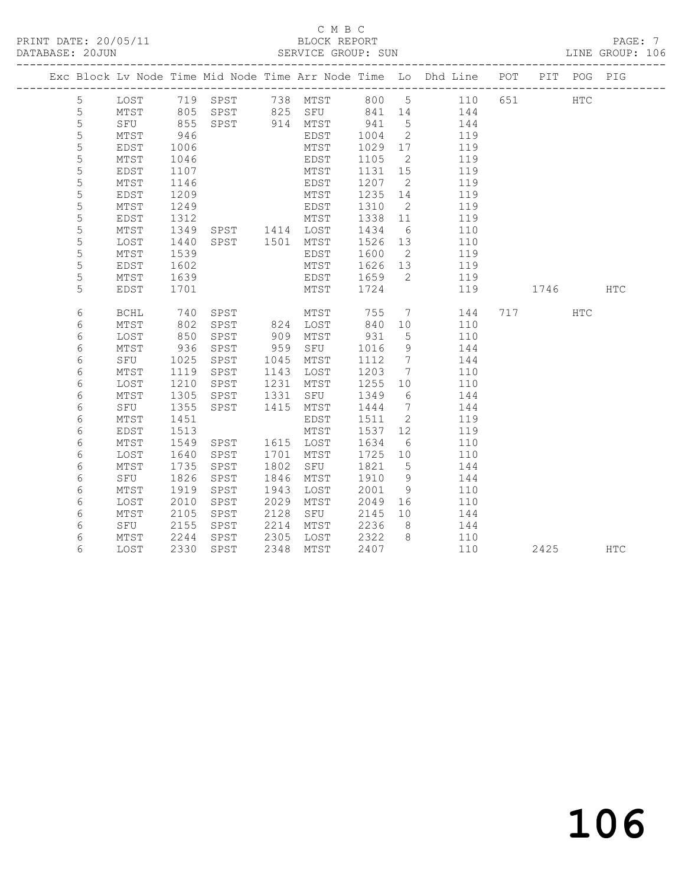### C M B C<br>BLOCK REPORT SERVICE GROUP: SUN

|             |                 |            |                        |      |                      |                 |                 | Exc Block Lv Node Time Mid Node Time Arr Node Time Lo Dhd Line POT                                      |         | PIT POG PIG |            |
|-------------|-----------------|------------|------------------------|------|----------------------|-----------------|-----------------|---------------------------------------------------------------------------------------------------------|---------|-------------|------------|
| 5           | LOST            |            |                        |      |                      |                 |                 | 10ST 719 SPST 738 MTST 800 5 110<br>MTST 805 SPST 825 SFU 841 14 144<br>SFU 855 SPST 914 MTST 941 5 144 | 651 000 | <b>HTC</b>  |            |
| $\mathsf S$ |                 |            |                        |      |                      |                 |                 |                                                                                                         |         |             |            |
| 5           |                 |            |                        |      |                      |                 |                 |                                                                                                         |         |             |            |
| 5           | MTST            | 946        |                        |      | EDST                 | 1004            | $\overline{2}$  | 119                                                                                                     |         |             |            |
| 5           | EDST            | 1006       |                        |      | MTST                 | 1029            | 17              | 119                                                                                                     |         |             |            |
| 5           | MTST            | 1046       |                        |      | EDST                 | 1105            | $\overline{2}$  | 119                                                                                                     |         |             |            |
| 5           | EDST            | 1107       |                        |      | MTST                 | 1131 15         |                 | 119                                                                                                     |         |             |            |
| 5           | MTST            | 1146       |                        |      | EDST                 | 1207            | $\overline{2}$  | 119                                                                                                     |         |             |            |
| 5           | EDST            | 1209       |                        |      | MTST                 | 1235 14         |                 | 119                                                                                                     |         |             |            |
| 5           | MTST            | 1249       |                        |      | EDST                 | 1310            | $\overline{2}$  | 119                                                                                                     |         |             |            |
| 5           | EDST            | 1312       | MTST<br>SPST 1414 LOST |      | MTST                 | 1338 11         |                 | 119                                                                                                     |         |             |            |
| 5           | MTST            | 1349       |                        |      |                      | 1434            | 6               | 110                                                                                                     |         |             |            |
| 5           | LOST            | 1440       | SPST 1501 MTST         |      |                      | 1526 13         |                 | 110                                                                                                     |         |             |            |
| 5           | MTST            | 1539       |                        |      | EDST                 | 1600            | $\overline{2}$  | 119                                                                                                     |         |             |            |
| 5           | EDST            | 1602       |                        |      | MTST                 | 1626 13         |                 | 119                                                                                                     |         |             |            |
| 5           | MTST            | 1639       |                        |      | EDST                 | 1659 2          |                 | 119                                                                                                     |         |             |            |
| 5           | EDST            | 1701       |                        |      | MTST                 | 1724            |                 | 119                                                                                                     | 1746    |             | <b>HTC</b> |
|             |                 |            |                        |      |                      |                 |                 |                                                                                                         |         |             |            |
| 6           | BCHL            | 740        | SPST                   |      | MTST                 | 755             |                 | $7\overline{ }$<br>144                                                                                  | 717     | HTC         |            |
| 6           | MTST            | 802<br>850 | SPST                   |      | 824 LOST<br>909 MTST | 840 10<br>931 5 |                 | 110                                                                                                     |         |             |            |
| 6           | LOST            |            | SPST                   |      |                      |                 |                 | 110                                                                                                     |         |             |            |
| 6           | MTST            | 936        | SPST                   | 959  | SFU                  | 1016            | 9               | 144                                                                                                     |         |             |            |
| 6           | SFU             | 1025       | SPST                   | 1045 | MTST                 | 1112            | $\overline{7}$  | 144                                                                                                     |         |             |            |
| 6           | MTST            | 1119       | SPST                   | 1143 | LOST                 | 1203            | $\overline{7}$  | 110                                                                                                     |         |             |            |
| 6           | LOST            | 1210       | SPST                   | 1231 | MTST                 | 1255            | 10              | 110                                                                                                     |         |             |            |
| 6           | $\mathtt{MTST}$ | 1305       | SPST                   | 1331 | SFU                  | 1349            | 6               | 144                                                                                                     |         |             |            |
| 6           | SFU             | 1355       | SPST                   | 1415 | MTST                 | 1444            | $7\phantom{0}$  | 144                                                                                                     |         |             |            |
| 6           | MTST            | 1451       |                        |      | EDST                 | 1511            | $\overline{2}$  | 119                                                                                                     |         |             |            |
| 6           | EDST            | 1513       |                        |      | MTST                 | 1537            | 12              | 119                                                                                                     |         |             |            |
| 6           | MTST            | 1549       | SPST                   |      | 1615 LOST            | 1634            | $6\overline{6}$ | 110                                                                                                     |         |             |            |
| 6           | LOST            | 1640       | SPST                   | 1701 | MTST                 | 1725 10         |                 | 110                                                                                                     |         |             |            |
| 6           | MTST            | 1735       | SPST                   | 1802 | SFU                  | 1821            | $5^{\circ}$     | 144                                                                                                     |         |             |            |
| 6           | SFU             | 1826       | SPST                   | 1846 | MTST                 | 1910            | 9               | 144                                                                                                     |         |             |            |
| 6           | MTST            | 1919       | SPST                   | 1943 | LOST                 | 2001            | 9               | 110                                                                                                     |         |             |            |
| 6           | LOST            | 2010       | SPST                   | 2029 | MTST                 | 2049            | 16              | 110                                                                                                     |         |             |            |
| 6           | MTST            | 2105       | SPST                   | 2128 | SFU                  | 2145            | 10              | 144                                                                                                     |         |             |            |
| 6           | SFU             | 2155       | SPST                   | 2214 | MTST                 | 2236            | 8 <sup>8</sup>  | 144                                                                                                     |         |             |            |
| 6           | MTST            | 2244       | SPST                   | 2305 | LOST                 | 2322 8          |                 | 110                                                                                                     |         |             |            |
| 6           | LOST            | 2330       | SPST                   | 2348 | MTST                 | 2407            |                 | 110                                                                                                     | 2425    |             | HTC        |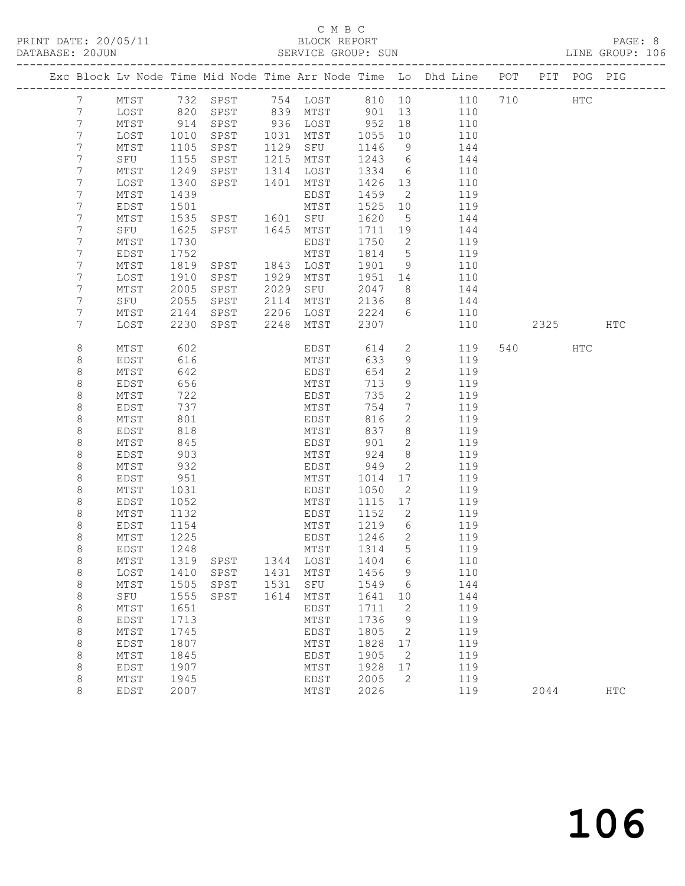### C M B C<br>BLOCK REPORT SERVICE GROUP: SUN

|                 |             |      |                            |      |                 |         |                 | Exc Block Lv Node Time Mid Node Time Arr Node Time Lo Dhd Line POT |         | PIT POG PIG |     |
|-----------------|-------------|------|----------------------------|------|-----------------|---------|-----------------|--------------------------------------------------------------------|---------|-------------|-----|
| 7               | MTST        |      |                            |      |                 |         |                 |                                                                    |         | HTC         |     |
| $7\phantom{.}$  | LOST        |      |                            |      |                 |         |                 |                                                                    |         |             |     |
| $7\phantom{.0}$ | MTST        |      | 914 SPST                   |      | 936 LOST 952 18 |         |                 | 110                                                                |         |             |     |
| $7\phantom{.}$  | LOST        | 1010 | SPST                       |      | 1031 MTST       | 1055    | 10              | 110                                                                |         |             |     |
| 7               | MTST        | 1105 | SPST                       |      | 1129 SFU        | 1146    | 9               | 144                                                                |         |             |     |
| $7\phantom{.}$  | SFU         | 1155 | SPST                       |      | 1215 MTST       | 1243    | 6               | 144                                                                |         |             |     |
| 7               | MTST        | 1249 | SPST                       |      | 1314 LOST       | 1334    | 6               | 110                                                                |         |             |     |
| 7               | LOST        | 1340 | SPST                       | 1401 | MTST            | 1426 13 |                 | 110                                                                |         |             |     |
| 7               | MTST        | 1439 |                            |      | EDST            | 1459    | $\overline{2}$  | 119                                                                |         |             |     |
| 7               | EDST        | 1501 |                            |      | MTST            | 1525 10 |                 | 119                                                                |         |             |     |
| 7               | MTST        | 1535 | SPST 1601 SFU              |      |                 | 1620    | $5^{\circ}$     | 144                                                                |         |             |     |
| 7               | SFU         | 1625 | SPST 1645 MTST             |      |                 | 1711 19 |                 | 144                                                                |         |             |     |
| 7               | MTST        | 1730 |                            |      | EDST            | 1750    | 2               | 119                                                                |         |             |     |
| 7               | EDST        | 1752 |                            |      | MTST            | 1814    | $5\overline{)}$ | 119                                                                |         |             |     |
| 7               | MTST        | 1819 | SPST                       |      | 1843 LOST       | 1901    | 9               | 110                                                                |         |             |     |
| 7               | LOST        | 1910 | SPST                       |      | 1929 MTST       | 1951 14 |                 | 110                                                                |         |             |     |
| 7               | MTST        | 2005 | SPST                       | 2029 | SFU             | 2047    | 8 <sup>8</sup>  | 144                                                                |         |             |     |
| 7               | SFU         | 2055 | SPST                       |      | 2114 MTST       | 2136    | 8 <sup>8</sup>  | 144                                                                |         |             |     |
| 7               | MTST        | 2144 | SPST                       |      | $2206$ $LOST$   | 2224    | 6               | 110                                                                |         |             |     |
| 7               | LOST        |      | 2230 SPST                  | 2248 | MTST            | 2307    |                 | 110                                                                | 2325    |             | HTC |
| 8               | MTST        | 602  |                            |      | EDST            | 614     | $2^{\circ}$     | 119                                                                | 540 540 | HTC         |     |
| 8               | EDST        | 616  |                            |      | MTST            | 633     | 9               | 119                                                                |         |             |     |
| 8               | MTST        | 642  |                            |      | EDST            | 654     | $\mathbf{2}$    | 119                                                                |         |             |     |
| 8               | EDST        | 656  |                            |      | MTST            | 713     | 9               | 119                                                                |         |             |     |
| 8               | MTST        | 722  |                            |      | EDST            | 735     | $\mathbf{2}$    | 119                                                                |         |             |     |
| 8               | EDST        | 737  |                            |      | MTST            | 754     | $7\phantom{.0}$ | 119                                                                |         |             |     |
| 8               | MTST        | 801  |                            |      | EDST            | 816     | $\mathbf{2}$    | 119                                                                |         |             |     |
| 8               | EDST        | 818  |                            |      | MTST            | 837     | 8               | 119                                                                |         |             |     |
| 8               | MTST        | 845  |                            |      | EDST            | 901     | $\mathbf{2}$    | 119                                                                |         |             |     |
| 8               | EDST        | 903  |                            |      | MTST            | 924     | 8               | 119                                                                |         |             |     |
| 8               | MTST        | 932  |                            |      | EDST            | 949     | $\mathbf{2}$    | 119                                                                |         |             |     |
| 8               | EDST        | 951  |                            |      | MTST            | 1014    | 17              | 119                                                                |         |             |     |
| 8               | MTST        | 1031 |                            |      | EDST            | 1050    | 2               | 119                                                                |         |             |     |
| 8               | EDST        | 1052 |                            |      | MTST            | 1115    | 17              | 119                                                                |         |             |     |
| 8               | MTST        | 1132 |                            |      | EDST            | 1152    | $\overline{2}$  | 119                                                                |         |             |     |
| 8               | EDST        | 1154 |                            |      | MTST            | 1219    | 6               | 119                                                                |         |             |     |
| 8               | MTST        | 1225 |                            |      | EDST            | 1246    | $\overline{2}$  | 119                                                                |         |             |     |
| 8               | EDST        | 1248 |                            |      | MTST            | 1314    | $5^{\circ}$     | 119                                                                |         |             |     |
| 8               | MTST        |      | 1319 SPST 1344 LOST 1404 6 |      |                 |         |                 | 110                                                                |         |             |     |
| 8               | LOST        | 1410 | SPST                       | 1431 | MTST            | 1456    | 9               | 110                                                                |         |             |     |
| 8               | MTST        | 1505 | SPST                       | 1531 | SFU             | 1549    | 6               | 144                                                                |         |             |     |
| 8               | SFU         | 1555 | SPST                       | 1614 | MTST            | 1641    | 10              | 144                                                                |         |             |     |
| 8               | MTST        | 1651 |                            |      | EDST            | 1711    | 2               | 119                                                                |         |             |     |
| 8               | <b>EDST</b> | 1713 |                            |      | MTST            | 1736    | 9               | 119                                                                |         |             |     |
| 8               | MTST        | 1745 |                            |      | EDST            | 1805    | 2               | 119                                                                |         |             |     |
| 8               | EDST        | 1807 |                            |      | MTST            | 1828    | 17              | 119                                                                |         |             |     |
| 8               | MTST        | 1845 |                            |      | EDST            | 1905    | 2               | 119                                                                |         |             |     |
| 8               | <b>EDST</b> | 1907 |                            |      | MTST            | 1928    | 17              | 119                                                                |         |             |     |
| 8               | MTST        | 1945 |                            |      | EDST            | 2005    | 2               | 119                                                                |         |             |     |
| 8               | <b>EDST</b> | 2007 |                            |      | MTST            | 2026    |                 | 119                                                                | 2044    |             | HTC |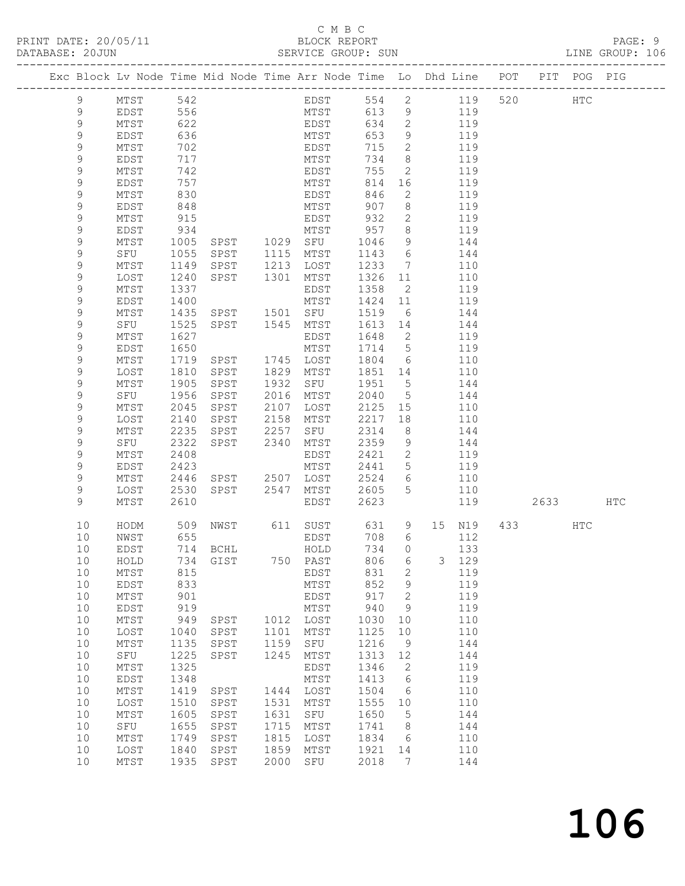### C M B C<br>BLOCK REPORT SERVICE GROUP: SUN

|  |                            |                      |              | Exc Block Lv Node Time Mid Node Time Arr Node Time Lo Dhd Line POT |      |              |              |                                   |            |                        | PIT POG PIG |  |
|--|----------------------------|----------------------|--------------|--------------------------------------------------------------------|------|--------------|--------------|-----------------------------------|------------|------------------------|-------------|--|
|  |                            |                      |              |                                                                    |      |              |              |                                   |            |                        |             |  |
|  | 9                          | MTST 542<br>EDST 556 |              |                                                                    |      | EDST<br>MTST |              |                                   | 554 2 119  | 520 HTC                |             |  |
|  | 9                          |                      |              |                                                                    |      |              | 613          | 9                                 | 119        |                        |             |  |
|  | 9                          | MTST                 | 622          |                                                                    |      | EDST         | 634          | $\overline{2}$                    | 119        |                        |             |  |
|  | 9                          | EDST                 | 636          |                                                                    |      | MTST         | 653          | 9                                 | 119        |                        |             |  |
|  | 9                          | MTST                 | 702          |                                                                    |      | EDST         | 715          | 2                                 | 119        |                        |             |  |
|  | 9                          | EDST                 | 717          |                                                                    |      | MTST         | 734          | 8 <sup>8</sup>                    | 119        |                        |             |  |
|  | 9                          | MTST                 | 742          |                                                                    |      | EDST         | 755          | 2                                 | 119        |                        |             |  |
|  | 9                          | EDST                 | 757          |                                                                    |      | MTST         | 814          | 16                                | 119        |                        |             |  |
|  | $\mathsf 9$<br>$\mathsf 9$ | MTST<br>EDST         | 830<br>848   |                                                                    |      | EDST<br>MTST | 846<br>907   | $\overline{2}$<br>8               | 119<br>119 |                        |             |  |
|  | 9                          | MTST                 | 915          |                                                                    |      | EDST         | 932          | 2                                 | 119        |                        |             |  |
|  | 9                          | EDST                 | 934          |                                                                    |      | MTST         | 957          | 8 <sup>8</sup>                    | 119        |                        |             |  |
|  | 9                          | MTST                 | 1005         | SPST 1029 SFU                                                      |      |              | 1046         | 9                                 | 144        |                        |             |  |
|  | 9                          | SFU                  | 1055         | SPST                                                               | 1115 | MTST         | 1143         | $6\overline{6}$                   | 144        |                        |             |  |
|  | $\mathsf 9$                | MTST                 | 1149         | SPST                                                               | 1213 | LOST         | 1233         | $\overline{7}$                    | 110        |                        |             |  |
|  | 9                          | LOST                 | 1240         | SPST                                                               | 1301 | MTST         | 1326         | 11                                | 110        |                        |             |  |
|  | 9                          | MTST                 | 1337         |                                                                    |      | EDST         | 1358         | $\overline{2}$                    | 119        |                        |             |  |
|  | $\mathsf 9$                | EDST                 | 1400         |                                                                    |      | MTST         | 1424 11      |                                   | 119        |                        |             |  |
|  | 9                          | MTST                 | 1435         | SPST 1501 SFU                                                      |      |              | 1519         | 6                                 | 144        |                        |             |  |
|  | 9                          | SFU                  | 1525         | SPST 1545                                                          |      | MTST         | 1613 14      |                                   | 144        |                        |             |  |
|  | 9                          | MTST                 | 1627         |                                                                    |      | EDST         | 1648         | $\overline{\phantom{0}}^2$        | 119        |                        |             |  |
|  | 9                          | EDST                 | 1650         |                                                                    |      | MTST         | 1714 5       |                                   | 119        |                        |             |  |
|  | $\mathsf 9$                | MTST                 | 1719         | SPST                                                               |      | 1745 LOST    | 1804         | 6                                 | 110        |                        |             |  |
|  | 9                          | LOST                 | 1810         | SPST                                                               | 1829 | MTST         | 1851 14      |                                   | 110        |                        |             |  |
|  | 9                          | MTST                 | 1905         | SPST                                                               | 1932 | SFU          | 1951         | $5\overline{)}$                   | 144        |                        |             |  |
|  | 9                          | SFU                  | 1956         | SPST                                                               | 2016 | MTST         | 2040         | $5^{\circ}$                       | 144        |                        |             |  |
|  | 9                          | MTST                 | 2045         | SPST                                                               | 2107 | LOST         | 2125         | 15                                | 110        |                        |             |  |
|  | 9                          | LOST                 | 2140         | SPST                                                               | 2158 | MTST         | 2217         | 18                                | 110        |                        |             |  |
|  | 9                          | MTST                 | 2235         | SPST                                                               | 2257 | SFU          | 2314         | 8 <sup>8</sup>                    | 144        |                        |             |  |
|  | 9                          | SFU                  | 2322         | SPST 2340                                                          |      | MTST         | 2359         | 9                                 | 144        |                        |             |  |
|  | 9<br>9                     | MTST<br>EDST         | 2408<br>2423 |                                                                    |      | EDST<br>MTST | 2421<br>2441 | $\overline{2}$<br>$5\overline{)}$ | 119<br>119 |                        |             |  |
|  | 9                          | MTST                 | 2446         | SPST 2507                                                          |      | LOST         | 2524         | 6                                 | 110        |                        |             |  |
|  | 9                          | LOST                 | 2530         | SPST 2547                                                          |      | MTST         | 2605         | 5                                 | 110        |                        |             |  |
|  | 9                          | MTST                 | 2610         |                                                                    |      | EDST         | 2623         |                                   | 119        | 2633 HTC               |             |  |
|  |                            |                      |              |                                                                    |      |              |              |                                   |            |                        |             |  |
|  | 10                         | HODM                 | 509          | NWST                                                               |      | 611 SUST     | 631          |                                   | 9 15 N19   | 433 and $\overline{a}$ | HTC         |  |
|  | 10                         | NWST                 | 655          |                                                                    |      | EDST         | 708          | $6\overline{6}$                   | 112        |                        |             |  |
|  | 10                         | EDST                 |              | 714 BCHL                                                           |      | HOLD         | 734          | $\circ$                           | 133        |                        |             |  |
|  | 10                         | HOLD                 |              | 734 GIST                                                           |      | 750 PAST     | 806 6        |                                   | 3 129      |                        |             |  |
|  | 10<br>10                   | MTST<br>EDST         | 815<br>833   |                                                                    |      | EDST<br>MTST | 831<br>852   | 2<br>9                            | 119<br>119 |                        |             |  |
|  | 10                         | MTST                 | 901          |                                                                    |      | EDST         | 917          | $\mathbf{2}$                      | 119        |                        |             |  |
|  | 10                         | EDST                 | 919          |                                                                    |      | MTST         | 940          | - 9                               | 119        |                        |             |  |
|  | 10                         | MTST                 | 949          | SPST                                                               |      | 1012 LOST    | 1030         | 10                                | 110        |                        |             |  |
|  | 10                         | LOST                 | 1040         | SPST                                                               | 1101 | MTST         | 1125         | 10                                | 110        |                        |             |  |
|  | 10                         | MTST                 | 1135         | SPST                                                               | 1159 | SFU          | 1216         | 9                                 | 144        |                        |             |  |
|  | 10                         | SFU                  | 1225         | SPST                                                               | 1245 | MTST         | 1313         | 12                                | 144        |                        |             |  |
|  | 10                         | MTST                 | 1325         |                                                                    |      | EDST         | 1346         | $\overline{2}$                    | 119        |                        |             |  |
|  | 10                         | EDST                 | 1348         |                                                                    |      | MTST         | 1413         | 6                                 | 119        |                        |             |  |
|  | 10                         | MTST                 | 1419         | SPST                                                               | 1444 | LOST         | 1504         | $6\overline{6}$                   | 110        |                        |             |  |
|  | 10                         | LOST                 | 1510         | SPST                                                               | 1531 | MTST         | 1555         | 10                                | 110        |                        |             |  |
|  | 10                         | MTST                 | 1605         | SPST                                                               | 1631 | SFU          | 1650         | $5^{\circ}$                       | 144        |                        |             |  |
|  | 10                         | SFU                  | 1655         | SPST                                                               | 1715 | MTST         | 1741         | 8 <sup>8</sup>                    | 144        |                        |             |  |
|  | 10                         | MTST                 | 1749         | SPST                                                               | 1815 | LOST         | 1834         | $6\overline{6}$                   | 110        |                        |             |  |
|  | 10                         | LOST                 | 1840         | SPST                                                               | 1859 | MTST         | 1921         | 14                                | 110        |                        |             |  |
|  | 10                         | MTST                 |              | 1935 SPST                                                          | 2000 | SFU          | 2018         | 7                                 | 144        |                        |             |  |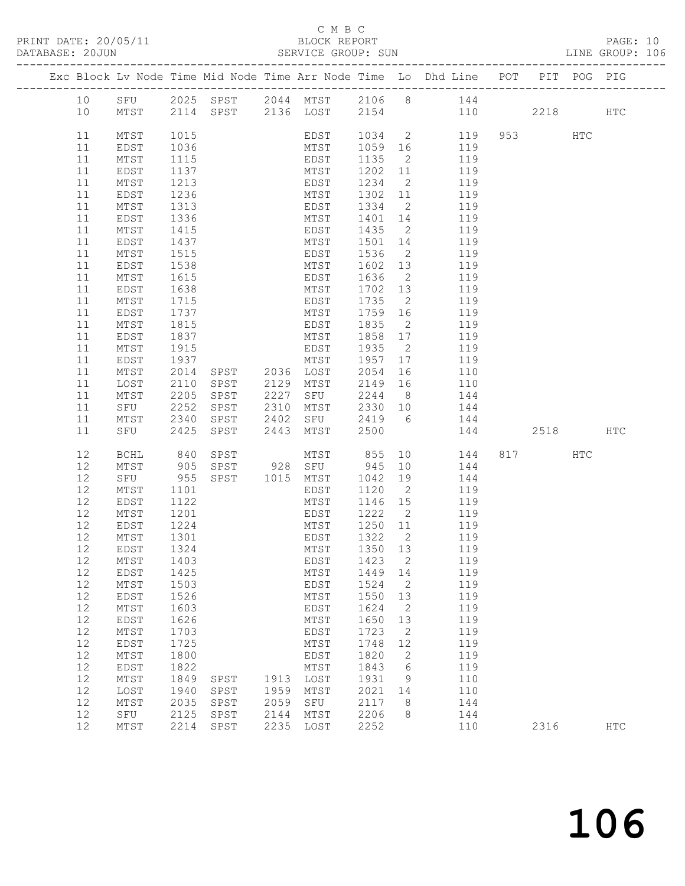# C M B C<br>BLOCK REPORT<br>SERVICE GROUP: SUN

|                                                                                                                                                          |                                                                                                                                                                                                                           |                                                                                                                                                                                      |                                      |                                      |                                                                                                                                                                    |                                                                                                                                      |                                                                                                                     | Exc Block Lv Node Time Mid Node Time Arr Node Time Lo Dhd Line POT PIT POG PIG                                                                                                                                                                                                                                                                                                                                                                                                                                                                           |                 |              |  |
|----------------------------------------------------------------------------------------------------------------------------------------------------------|---------------------------------------------------------------------------------------------------------------------------------------------------------------------------------------------------------------------------|--------------------------------------------------------------------------------------------------------------------------------------------------------------------------------------|--------------------------------------|--------------------------------------|--------------------------------------------------------------------------------------------------------------------------------------------------------------------|--------------------------------------------------------------------------------------------------------------------------------------|---------------------------------------------------------------------------------------------------------------------|----------------------------------------------------------------------------------------------------------------------------------------------------------------------------------------------------------------------------------------------------------------------------------------------------------------------------------------------------------------------------------------------------------------------------------------------------------------------------------------------------------------------------------------------------------|-----------------|--------------|--|
| 10<br>10                                                                                                                                                 |                                                                                                                                                                                                                           |                                                                                                                                                                                      |                                      |                                      |                                                                                                                                                                    |                                                                                                                                      |                                                                                                                     | SFU 2025 SPST 2044 MTST 2106 8 144<br>MTST 2114 SPST 2136 LOST 2154 110 2218 HTC                                                                                                                                                                                                                                                                                                                                                                                                                                                                         |                 |              |  |
| 11<br>11<br>11<br>11<br>11<br>11<br>11<br>11<br>11<br>11<br>11<br>11<br>11<br>11<br>11<br>11<br>11<br>11<br>11<br>11<br>11<br>11<br>11<br>11<br>11<br>11 | MTST<br>EDST<br>MTST<br>EDST<br>MTST<br>EDST<br>MTST<br>EDST<br>MTST<br>EDST<br>MTST<br>EDST<br>MTST<br>EDST<br>MTST<br>EDST<br>MTST<br>EDST<br>MTST<br>EDST<br>MTST<br>LOST<br>MTST<br>SFU 2252<br>MTST 2340<br>SFU 2425 | 1015<br>1036<br>1115<br>1137<br>1213<br>1236<br>1313<br>1336<br>1415<br>1437<br>1515<br>1538<br>1615<br>1638<br>1715<br>1737<br>1815<br>1837<br>1915<br>1937<br>2014<br>2110<br>2205 |                                      |                                      | EDST<br>MTST<br>EDST<br>MTST<br>EDST<br>SPST 2227 SFU<br>SPST 2443 MTST 2500                                                                                       |                                                                                                                                      |                                                                                                                     | EDST 1034 2 119 953 HTC<br>MTST 1059 16 119<br>EDST 1135 2 119<br>MTST 1202 11 119<br>EDST 1234 2 119<br>MTST 1302 11 119<br>EDST 1334 2 119<br>MTST 1401 14 119<br>EDST 1435 2 119<br>MTST 1501 14 119<br>1536 2 119<br>1602 13 119<br>1636 2 119<br>1702 13 119<br>1735 2 119<br>MTST 1759 16 119<br>EDST 1835 2 119<br>MTST 1858 17 119<br>EDST 1935 2 119<br>MTST 1957 17 119<br>SPST 2036 LOST 2054 16 110<br>SPST 2129 MTST 2149 16 110<br>2244 8 144<br>SPST 2310 MTST 2330 10 144<br>SPST 2402 SFU 2419 6 144<br>2419 6 144<br>2500 144 2518 HTC |                 |              |  |
| 12<br>12<br>12<br>12<br>12<br>12<br>12<br>12<br>$12$<br>12<br>12<br>12<br>12<br>12<br>12<br>12<br>12<br>12<br>12<br>12<br>12<br>12<br>12<br>12           | BCHL 840<br>MTST 905<br>SFU 955<br>MTST<br>EDST<br>MTST<br>EDST<br>MTST<br>EDST<br>MTST<br>EDST<br>MTST<br>EDST<br>$MTST$<br>EDST<br>MTST<br>EDST<br>MTST<br>EDST<br>MTST<br>LOST<br>$MTST$<br>SFU<br>$\mathtt{MTST}$     | 1101<br>1122<br>1201<br>$\frac{1}{1224}$<br>1301<br>1324<br>1403<br>1425<br>1503<br>1526<br>1603<br>1626<br>1703<br>1725<br>1800<br>1822<br>1849<br>1940<br>2035<br>2125<br>2214     | SPST<br>SPST<br>SPST<br>SPST<br>SPST | 1913<br>1959<br>2059<br>2144<br>2235 | EDST<br>MTST<br>EDST<br>MTST<br>EDST<br>MTST<br><b>EDST</b><br>MTST<br>EDST<br>MTST<br>EDST<br>MTST<br>EDST<br>MTST<br>LOST<br>MTST<br>${\tt SFU}$<br>MTST<br>LOST | 1322<br>1350<br>1423<br>1449<br>1524<br>1550<br>1624<br>1650<br>1723<br>1748<br>1820<br>1843<br>1931<br>2021<br>2117<br>2206<br>2252 | 2<br>13<br>2<br>14<br>2<br>13<br>$\mathbf{2}$<br>13<br>$\mathbf{2}$<br>12<br>$\mathbf{2}$<br>6<br>9<br>14<br>8<br>8 | SPST MTST 855 10 144<br>SPST 928 SFU 945 10 144<br>SPST 1015 MTST 1042 19 144<br>1120 2 119<br>1146 15 119<br>EDST 1222 2 119<br>MTST 1250 11 119<br>119<br>119<br>119<br>119<br>119<br>119<br>119<br>119<br>119<br>119<br>119<br>119<br>110<br>110<br>144<br>144<br>110                                                                                                                                                                                                                                                                                 | 817 HTC<br>2316 | $_{\rm HTC}$ |  |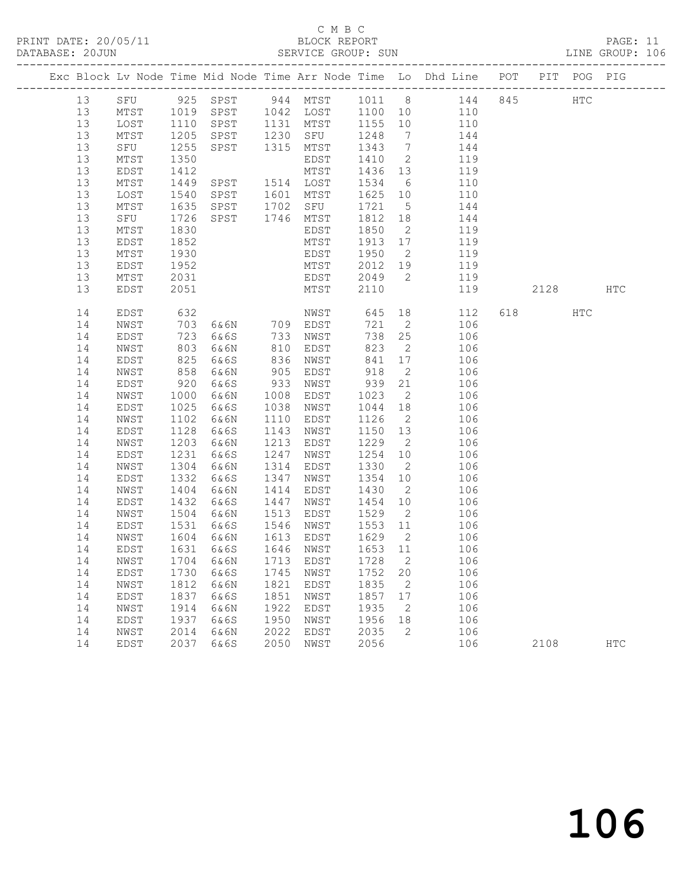## C M B C<br>BLOCK REPORT

PAGE: 11<br>LINE GROUP: 106

|  |          |              |              |                                    |              |              |              |                | Exc Block Lv Node Time Mid Node Time Arr Node Time Lo Dhd Line POT PIT POG PIG |          |               |            |
|--|----------|--------------|--------------|------------------------------------|--------------|--------------|--------------|----------------|--------------------------------------------------------------------------------|----------|---------------|------------|
|  | 13       |              |              |                                    |              |              |              |                | SFU 925 SPST 944 MTST 1011 8 144 845                                           |          | $_{\rm{HTC}}$ |            |
|  | 13       | MTST         | 1019<br>1110 | SPST 1042 LOST<br>There 1121 MTCT  |              |              | 1100 10      |                | 110                                                                            |          |               |            |
|  | 13       | LOST         |              | SPST                               |              | 1131 MTST    | 1155 10      |                | 110                                                                            |          |               |            |
|  | 13       | MTST         | 1205         | SPST                               | 1230         | SFU          | 1248         | $\overline{7}$ | 144                                                                            |          |               |            |
|  | 13       | SFU          | 1255         | SPST                               | 1315         | MTST         | 1343         | $\overline{7}$ | 144                                                                            |          |               |            |
|  | 13       | MTST         | 1350         |                                    |              | EDST         | 1410         | $\overline{2}$ | 119                                                                            |          |               |            |
|  | 13       | EDST         | 1412         |                                    |              | MTST         | 1436         | 13             | 119                                                                            |          |               |            |
|  | 13       | MTST         | 1449         | SPST                               |              | 1514 LOST    | 1534         | 6              | 110                                                                            |          |               |            |
|  | 13       | LOST         | 1540         | SPST                               |              | 1601 MTST    | 1625         | 10             | 110                                                                            |          |               |            |
|  | 13       | MTST         | 1635         | SPST                               |              | 1702 SFU     | 1721         | $5^{\circ}$    | 144                                                                            |          |               |            |
|  | 13       | SFU          | 1726         | SPST                               |              | 1746 MTST    | 1812         | 18             | 144                                                                            |          |               |            |
|  | 13       | MTST         | 1830         |                                    |              | EDST         | 1850         | $\overline{2}$ | 119                                                                            |          |               |            |
|  | 13       | EDST         | 1852         |                                    |              | MTST         | 1913         | 17             | 119                                                                            |          |               |            |
|  | 13       | MTST         | 1930         |                                    |              | EDST         | 1950         | $\overline{2}$ | 119                                                                            |          |               |            |
|  | 13       | EDST         | 1952         |                                    |              | MTST         | 2012         | 19             | 119                                                                            |          |               |            |
|  | 13       | MTST         | 2031         |                                    |              | EDST         | 2049         | $\overline{2}$ | 119                                                                            |          |               |            |
|  | 13       | EDST         | 2051         |                                    |              | MTST         | 2110         |                | 119                                                                            | 2128     |               | HTC        |
|  | 14       | EDST         | 632          |                                    |              | NWST         | 645          | 18             | 112                                                                            | 618 — 18 | HTC           |            |
|  | 14       | NWST         | 703          | 6&6N 709 EDST                      |              |              | 721          | $\overline{2}$ | 106                                                                            |          |               |            |
|  | 14       | EDST         | 723          | 6&6S                               | 733          | NWST         | 738          | 25             | 106                                                                            |          |               |            |
|  | 14       | NWST         | 803          | 6&6N                               | 810          | EDST         | 823          | $\overline{2}$ | 106                                                                            |          |               |            |
|  | 14       | EDST         | 825          | 6&6S                               | 836          | NWST         | 841          | 17             | 106                                                                            |          |               |            |
|  | 14       | NWST         | 858          | 6&6N                               | 905          | EDST         | 918          | 2              | 106                                                                            |          |               |            |
|  | 14       | EDST         | 920          | 6&6S                               | 933          | NWST         | 939          | 21             | 106                                                                            |          |               |            |
|  | 14       | NWST         | 1000         | 6&6N                               | 1008         | EDST         | 1023         | $\overline{2}$ | 106                                                                            |          |               |            |
|  | 14       | EDST         | 1025         | 6&6S                               | 1038         | NWST         | 1044         | 18             | 106                                                                            |          |               |            |
|  | 14       | NWST         | 1102         | 6&6N                               | 1110         | EDST         | 1126         | $\overline{2}$ | 106                                                                            |          |               |            |
|  | 14       | EDST         | 1128         | 6&6S                               | 1143         | NWST         | 1150         | 13             | 106                                                                            |          |               |            |
|  | 14       | NWST         | 1203         | 6&6N                               | 1213         | EDST         | 1229         | $\overline{2}$ | 106                                                                            |          |               |            |
|  | 14       | EDST         | 1231         | 6&6S                               | 1247         | NWST         | 1254         | 10             | 106                                                                            |          |               |            |
|  | 14       | NWST         | 1304         | 6&6N                               | 1314         | EDST         | 1330         | $\overline{2}$ | 106                                                                            |          |               |            |
|  | 14       | EDST         | 1332         | 6&6S                               | 1347         | NWST         | 1354         | 10             | 106                                                                            |          |               |            |
|  | 14       | NWST         | 1404         | 6&6N                               | 1414         | EDST         | 1430         | $\overline{2}$ | 106                                                                            |          |               |            |
|  | 14       | EDST         | 1432         | 6&6S                               | 1447         | NWST         | 1454         | 10             | 106                                                                            |          |               |            |
|  | 14       | NWST         | 1504         | 6&6N                               | 1513         | EDST         | 1529         | $\overline{2}$ | 106                                                                            |          |               |            |
|  | 14       | EDST         | 1531         | 6&6S                               | 1546         | NWST         | 1553 11      |                | 106                                                                            |          |               |            |
|  | 14       | NWST         | 1604         | 6&6N                               | 1613         | EDST         | 1629         | $\overline{2}$ | 106                                                                            |          |               |            |
|  | 14       | EDST         | 1631         | 6&6S                               |              | 1646 NWST    | 1653 11      |                | 106                                                                            |          |               |            |
|  |          |              |              | 14 NWST 1704 6&6N 1713 EDST 1728 2 |              |              |              |                | 106                                                                            |          |               |            |
|  | 14<br>14 | EDST<br>NWST | 1730<br>1812 | 6&6S<br>6&6N                       | 1745<br>1821 | NWST<br>EDST | 1752<br>1835 | 20             | 106<br>106                                                                     |          |               |            |
|  | 14       | EDST         | 1837         | 6&6S                               | 1851         | NWST         | 1857         | 2<br>17        | 106                                                                            |          |               |            |
|  | 14       | NWST         | 1914         | 6&6N                               | 1922         | EDST         | 1935         | 2              | 106                                                                            |          |               |            |
|  | 14       | EDST         | 1937         | 6&6S                               | 1950         | NWST         | 1956         | 18             | 106                                                                            |          |               |            |
|  | 14       | NWST         | 2014         | 6&6N                               | 2022         | EDST         | 2035         | 2              | 106                                                                            |          |               |            |
|  | 14       | EDST         | 2037         | 6&6S                               | 2050         | NWST         | 2056         |                | 106                                                                            | 2108     |               | <b>HTC</b> |
|  |          |              |              |                                    |              |              |              |                |                                                                                |          |               |            |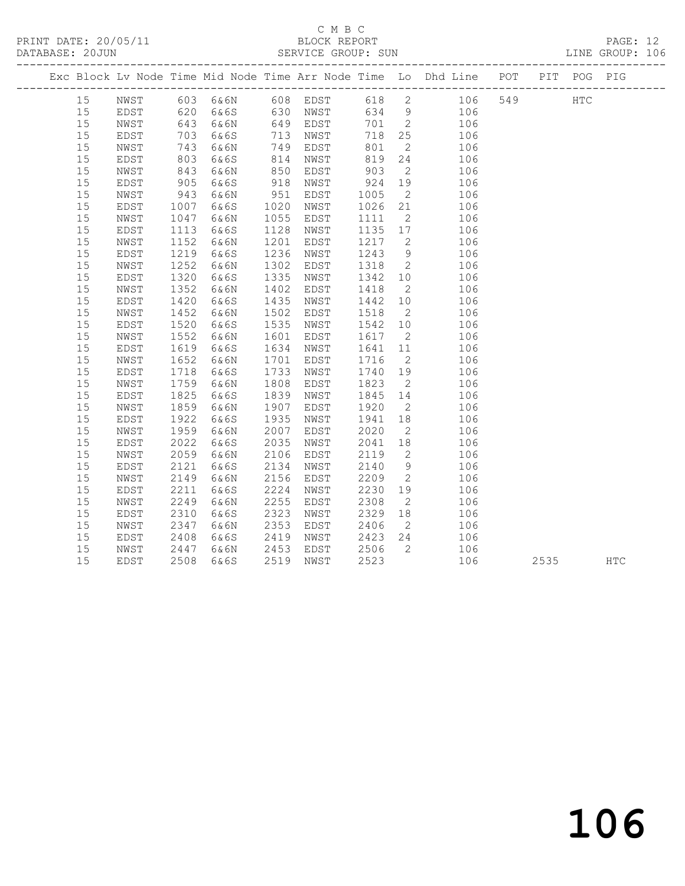PRINT DATE: 20/05/11 BLOCK REPORT BATABASE: 2000 BLOCK REPORT

# C M B C<br>BLOCK REPORT

PAGE: 12<br>LINE GROUP: 106

|  |    |               |      |      |      |      |      |                          | Exc Block Lv Node Time Mid Node Time Arr Node Time Lo Dhd Line POT   |     |      | PIT POG PIG |            |
|--|----|---------------|------|------|------|------|------|--------------------------|----------------------------------------------------------------------|-----|------|-------------|------------|
|  | 15 |               |      |      |      |      |      |                          | NWST 603 6&6N 608 EDST 618 2 106<br>EDST 620 6&6S 630 NWST 634 9 106 | 549 |      | HTC         |            |
|  | 15 |               |      |      |      |      |      |                          |                                                                      |     |      |             |            |
|  | 15 | NWST          | 643  | 6&6N | 649  | EDST | 701  | $\overline{\phantom{a}}$ | 106                                                                  |     |      |             |            |
|  | 15 | EDST          | 703  | 6&6S | 713  | NWST | 718  | 25                       | 106                                                                  |     |      |             |            |
|  | 15 | NWST          | 743  | 6&6N | 749  | EDST | 801  | $\overline{2}$           | 106                                                                  |     |      |             |            |
|  | 15 | EDST          | 803  | 6&6S | 814  | NWST | 819  | 24                       | 106                                                                  |     |      |             |            |
|  | 15 | NWST          | 843  | 6&6N | 850  | EDST | 903  | $\overline{2}$           | 106                                                                  |     |      |             |            |
|  | 15 | EDST          | 905  | 6&6S | 918  | NWST | 924  | 19                       | 106                                                                  |     |      |             |            |
|  | 15 | NWST          | 943  | 6&6N | 951  | EDST | 1005 | $\overline{2}$           | 106                                                                  |     |      |             |            |
|  | 15 | EDST          | 1007 | 6&6S | 1020 | NWST | 1026 | 21                       | 106                                                                  |     |      |             |            |
|  | 15 | NWST          | 1047 | 6&6N | 1055 | EDST | 1111 | $\overline{2}$           | 106                                                                  |     |      |             |            |
|  | 15 | EDST          | 1113 | 6&6S | 1128 | NWST | 1135 | 17                       | 106                                                                  |     |      |             |            |
|  | 15 | NWST          | 1152 | 6&6N | 1201 | EDST | 1217 | $\overline{2}$           | 106                                                                  |     |      |             |            |
|  | 15 | EDST          | 1219 | 6&6S | 1236 | NWST | 1243 | 9                        | 106                                                                  |     |      |             |            |
|  | 15 | NWST          | 1252 | 6&6N | 1302 | EDST | 1318 | $\overline{2}$           | 106                                                                  |     |      |             |            |
|  | 15 | EDST          | 1320 | 6&6S | 1335 | NWST | 1342 | 10                       | 106                                                                  |     |      |             |            |
|  | 15 | NWST          | 1352 | 6&6N | 1402 | EDST | 1418 | $\overline{2}$           | 106                                                                  |     |      |             |            |
|  | 15 | EDST          | 1420 | 6&6S | 1435 | NWST | 1442 | 10                       | 106                                                                  |     |      |             |            |
|  | 15 | NWST          | 1452 | 6&6N | 1502 | EDST | 1518 | $\overline{2}$           | 106                                                                  |     |      |             |            |
|  | 15 | EDST          | 1520 | 6&6S | 1535 | NWST | 1542 | 10                       | 106                                                                  |     |      |             |            |
|  | 15 | NWST          | 1552 | 6&6N | 1601 | EDST | 1617 | $\overline{2}$           | 106                                                                  |     |      |             |            |
|  | 15 | EDST          | 1619 | 6&6S | 1634 | NWST | 1641 | 11                       | 106                                                                  |     |      |             |            |
|  | 15 | NWST          | 1652 | 6&6N | 1701 | EDST | 1716 | $\overline{\phantom{a}}$ | 106                                                                  |     |      |             |            |
|  | 15 | EDST          | 1718 | 6&6S | 1733 | NWST | 1740 | 19                       | 106                                                                  |     |      |             |            |
|  | 15 | $_{\rm NWST}$ | 1759 | 6&6N | 1808 | EDST | 1823 | $\overline{2}$           | 106                                                                  |     |      |             |            |
|  | 15 | EDST          | 1825 | 6&6S | 1839 | NWST | 1845 | 14                       | 106                                                                  |     |      |             |            |
|  | 15 | NWST          | 1859 | 6&6N | 1907 | EDST | 1920 | $\overline{2}$           | 106                                                                  |     |      |             |            |
|  | 15 | EDST          | 1922 | 6&6S | 1935 | NWST | 1941 | 18                       | 106                                                                  |     |      |             |            |
|  | 15 | NWST          | 1959 | 6&6N | 2007 | EDST | 2020 | $\overline{2}$           | 106                                                                  |     |      |             |            |
|  | 15 | EDST          | 2022 | 6&6S | 2035 | NWST | 2041 | 18                       | 106                                                                  |     |      |             |            |
|  | 15 | NWST          | 2059 | 6&6N | 2106 | EDST | 2119 | $\overline{\phantom{a}}$ | 106                                                                  |     |      |             |            |
|  | 15 | EDST          | 2121 | 6&6S | 2134 | NWST | 2140 | 9                        | 106                                                                  |     |      |             |            |
|  | 15 | NWST          | 2149 | 6&6N | 2156 | EDST | 2209 | $\overline{2}$           | 106                                                                  |     |      |             |            |
|  | 15 | EDST          | 2211 | 6&6S | 2224 | NWST | 2230 | 19                       | 106                                                                  |     |      |             |            |
|  | 15 | NWST          | 2249 | 6&6N | 2255 | EDST | 2308 | $\overline{2}$           | 106                                                                  |     |      |             |            |
|  | 15 | EDST          | 2310 | 6&6S | 2323 | NWST | 2329 | 18                       | 106                                                                  |     |      |             |            |
|  | 15 | NWST          | 2347 | 6&6N | 2353 | EDST | 2406 | $\overline{2}$           | 106                                                                  |     |      |             |            |
|  | 15 | EDST          | 2408 | 6&6S | 2419 | NWST | 2423 | 24                       | 106                                                                  |     |      |             |            |
|  | 15 | NWST          | 2447 | 6&6N | 2453 | EDST | 2506 | $\overline{2}$           | 106                                                                  |     |      |             |            |
|  | 15 | EDST          | 2508 | 6&6S | 2519 | NWST | 2523 |                          | 106                                                                  |     | 2535 |             | <b>HTC</b> |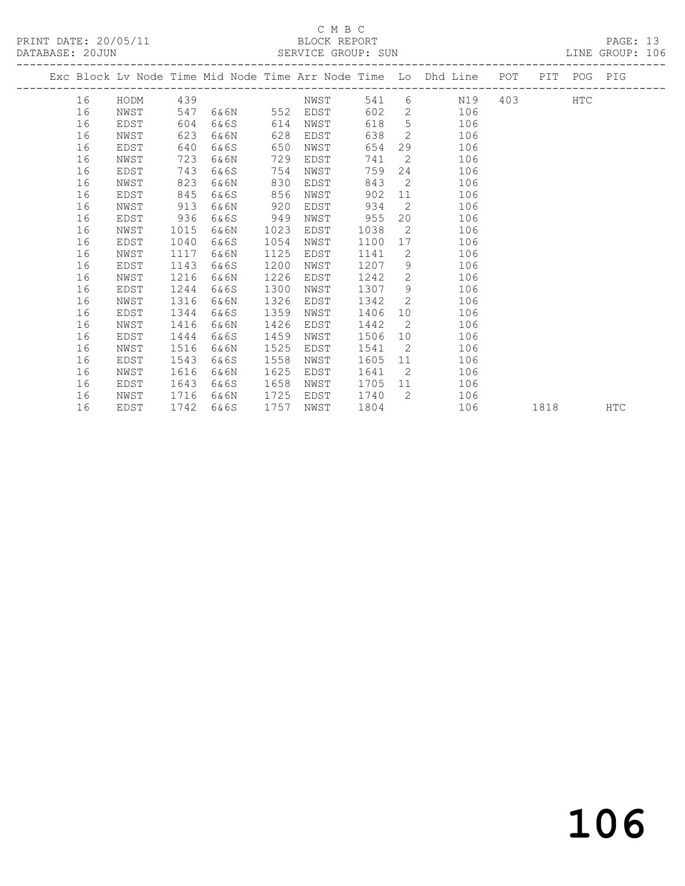## C M B C<br>BLOCK REPORT

PRINT DATE: 20/05/11 BLOCK REPORT BATABASE: 20JUN

PAGE: 13<br>LINE GROUP: 106

|  |    |      |      |      |      |      |      |                | Exc Block Lv Node Time Mid Node Time Arr Node Time Lo Dhd Line POT |     |      | PIT POG PIG |            |
|--|----|------|------|------|------|------|------|----------------|--------------------------------------------------------------------|-----|------|-------------|------------|
|  | 16 | HODM | 439  |      |      | NWST | 541  |                | $6 \qquad \qquad$<br>N19                                           | 403 |      | <b>HTC</b>  |            |
|  | 16 | NWST | 547  | 6&6N | 552  | EDST | 602  |                | 2 106                                                              |     |      |             |            |
|  | 16 | EDST | 604  | 6&6S | 614  | NWST | 618  |                | 5 <sub>1</sub><br>106                                              |     |      |             |            |
|  | 16 | NWST | 623  | 6&6N | 628  | EDST | 638  |                | $\overline{2}$<br>106                                              |     |      |             |            |
|  | 16 | EDST | 640  | 6&6S | 650  | NWST | 654  |                | 29<br>106                                                          |     |      |             |            |
|  | 16 | NWST | 723  | 6&6N | 729  | EDST | 741  | $\overline{2}$ | 106                                                                |     |      |             |            |
|  | 16 | EDST | 743  | 6&6S | 754  | NWST | 759  |                | 106<br>24                                                          |     |      |             |            |
|  | 16 | NWST | 823  | 6&6N | 830  | EDST | 843  | $\overline{2}$ | 106                                                                |     |      |             |            |
|  | 16 | EDST | 845  | 6&6S | 856  | NWST | 902  | 11             | 106                                                                |     |      |             |            |
|  | 16 | NWST | 913  | 6&6N | 920  | EDST | 934  | $\overline{2}$ | 106                                                                |     |      |             |            |
|  | 16 | EDST | 936  | 6&6S | 949  | NWST | 955  |                | 20<br>106                                                          |     |      |             |            |
|  | 16 | NWST | 1015 | 6&6N | 1023 | EDST | 1038 | $\overline{2}$ | 106                                                                |     |      |             |            |
|  | 16 | EDST | 1040 | 6&6S | 1054 | NWST | 1100 | 17             | 106                                                                |     |      |             |            |
|  | 16 | NWST | 1117 | 6&6N | 1125 | EDST | 1141 | $\overline{2}$ | 106                                                                |     |      |             |            |
|  | 16 | EDST | 1143 | 6&6S | 1200 | NWST | 1207 |                | 9<br>106                                                           |     |      |             |            |
|  | 16 | NWST | 1216 | 6&6N | 1226 | EDST | 1242 | 2              | 106                                                                |     |      |             |            |
|  | 16 | EDST | 1244 | 6&6S | 1300 | NWST | 1307 | 9              | 106                                                                |     |      |             |            |
|  | 16 | NWST | 1316 | 6&6N | 1326 | EDST | 1342 | $\overline{2}$ | 106                                                                |     |      |             |            |
|  | 16 | EDST | 1344 | 6&6S | 1359 | NWST | 1406 |                | 106<br>10                                                          |     |      |             |            |
|  | 16 | NWST | 1416 | 6&6N | 1426 | EDST | 1442 |                | $\overline{2}$<br>106                                              |     |      |             |            |
|  | 16 | EDST | 1444 | 6&6S | 1459 | NWST | 1506 |                | 106<br>10                                                          |     |      |             |            |
|  | 16 | NWST | 1516 | 6&6N | 1525 | EDST | 1541 | $\overline{2}$ | 106                                                                |     |      |             |            |
|  | 16 | EDST | 1543 | 6&6S | 1558 | NWST | 1605 |                | 106<br>11                                                          |     |      |             |            |
|  | 16 | NWST | 1616 | 6&6N | 1625 | EDST | 1641 | $\overline{2}$ | 106                                                                |     |      |             |            |
|  | 16 | EDST | 1643 | 6&6S | 1658 | NWST | 1705 |                | 106<br>11 \,                                                       |     |      |             |            |
|  | 16 | NWST | 1716 | 6&6N | 1725 | EDST | 1740 | $\overline{2}$ | 106                                                                |     |      |             |            |
|  | 16 | EDST | 1742 | 6&6S | 1757 | NWST | 1804 |                | 106                                                                |     | 1818 |             | <b>HTC</b> |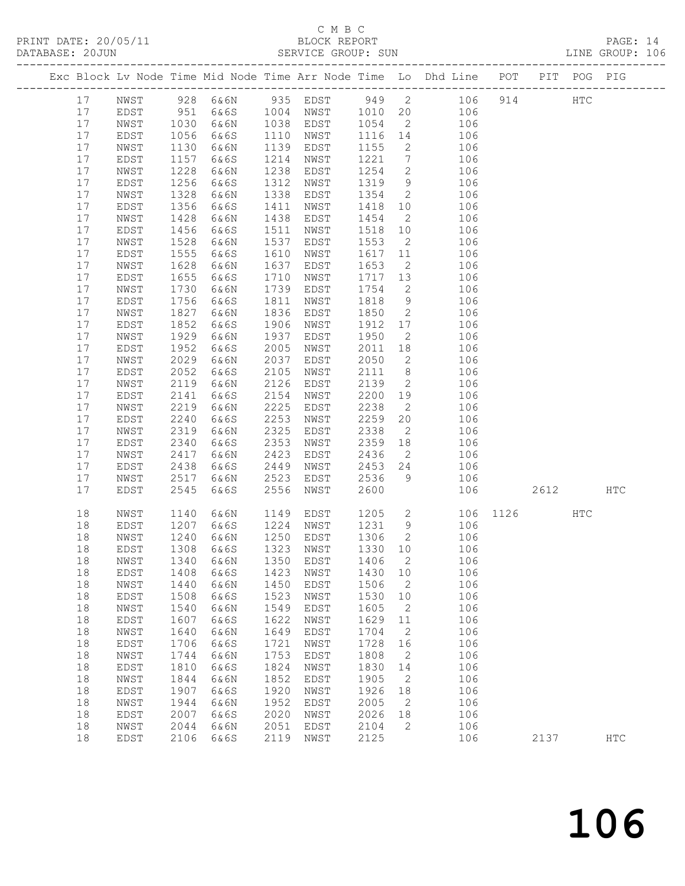## C M B C<br>BLOCK REPORT

| PRINT DATE: 20/05/11<br>DATABASE: 20JUN |    |      |      | BLOCK REPORT            |      | SERVICE GROUP: SUN |         |                          |                                                                                |         |     | PAGE: 14<br>LINE GROUP: 106 |  |
|-----------------------------------------|----|------|------|-------------------------|------|--------------------|---------|--------------------------|--------------------------------------------------------------------------------|---------|-----|-----------------------------|--|
|                                         |    |      |      |                         |      |                    |         |                          | Exc Block Lv Node Time Mid Node Time Arr Node Time Lo Dhd Line POT PIT POG PIG |         |     |                             |  |
|                                         | 17 | NWST |      | 928 6&6N 935 EDST 949 2 |      |                    |         |                          |                                                                                | 106 914 | HTC |                             |  |
|                                         | 17 | EDST | 951  | 6&6S - 1                | 1004 | NWST 1010 20       |         |                          | 106                                                                            |         |     |                             |  |
|                                         | 17 | NWST | 1030 | 6&6N                    | 1038 | EDST               | 1054 2  |                          | 106                                                                            |         |     |                             |  |
|                                         | 17 | EDST | 1056 | 6&6S                    | 1110 | NWST               | 1116    | 14                       | 106                                                                            |         |     |                             |  |
|                                         | 17 | NWST | 1130 | 6&6N                    | 1139 | EDST               | 1155    | $\overline{2}$           | 106                                                                            |         |     |                             |  |
|                                         | 17 | EDST | 1157 | 6&6S                    | 1214 | NWST               | 1221    | $7\overline{ }$          | 106                                                                            |         |     |                             |  |
|                                         | 17 | NWST | 1228 | 6&6N                    | 1238 | EDST               | 1254    |                          | $2 \overline{2}$<br>106                                                        |         |     |                             |  |
|                                         | 17 | EDST | 1256 | 6&6S                    | 1312 | NWST               | 1319    |                          | 9<br>106                                                                       |         |     |                             |  |
|                                         | 17 | NWST | 1328 | 6&6N                    | 1338 | EDST               | 1354 2  |                          | 106                                                                            |         |     |                             |  |
|                                         | 17 | EDST | 1356 | 6&6S                    | 1411 | NWST               | 1418 10 |                          | 106                                                                            |         |     |                             |  |
|                                         | 17 | NWST | 1428 | 6&6N                    | 1438 | EDST               | 1454    | $\overline{\phantom{a}}$ | 106                                                                            |         |     |                             |  |
|                                         | 17 | EDST | 1456 | 6&6S                    | 1511 | NWST               | 1518    | 10                       | 106                                                                            |         |     |                             |  |
|                                         | 17 | NWST | 1528 | 6&6N                    | 1537 | EDST               | 1553    | $\overline{\phantom{a}}$ | 106                                                                            |         |     |                             |  |
|                                         | 17 | EDST | 1555 | 6&6S                    | 1610 | NWST               | 1617 11 |                          | 106                                                                            |         |     |                             |  |
|                                         | 17 | NWST | 1628 | 6&6N                    | 1637 | EDST               | 1653    | $\overline{\phantom{a}}$ | 106                                                                            |         |     |                             |  |
|                                         | 17 | EDST | 1655 | 6&6S                    | 1710 | NWST               | 1717    | 13                       | 106                                                                            |         |     |                             |  |
|                                         | 17 | NWST | 1730 | 6&6N                    | 1739 | EDST               | 1754    | 2                        | 106                                                                            |         |     |                             |  |
|                                         | 17 | EDST | 1756 | 6&6S                    | 1811 | NWST               | 1818    |                          | 9<br>106                                                                       |         |     |                             |  |
|                                         | 17 | NWST | 1827 | 6&6N                    | 1836 | EDST               | 1850 2  |                          | 106                                                                            |         |     |                             |  |
|                                         | 17 | EDST | 1852 | 6&6S                    | 1906 | NWST               | 1912 17 |                          | 106                                                                            |         |     |                             |  |
|                                         | 17 | NWST | 1929 | 6&6N                    | 1937 | EDST               | 1950    | $\overline{\phantom{a}}$ | 106                                                                            |         |     |                             |  |
|                                         | 17 | EDST | 1952 | 6&6S                    | 2005 | NWST               | 2011    | 18                       | 106                                                                            |         |     |                             |  |
|                                         | 17 | NWST | 2029 | 6&6N                    | 2037 | EDST               | 2050    | 2                        | 106                                                                            |         |     |                             |  |
|                                         | 17 | EDST | 2052 | 6&6S                    | 2105 | NWST               | 2111 8  |                          | 106                                                                            |         |     |                             |  |
|                                         | 17 | NWST | 2119 | 6&6N                    | 2126 | EDST               | 2139    | $\overline{c}$           | 106                                                                            |         |     |                             |  |
|                                         | 17 | EDST | 2141 | 6&6S                    | 2154 | NWST               | 2200    | 19                       | 106                                                                            |         |     |                             |  |
|                                         | 17 | NWST | 2219 | 6&6N                    | 2225 | EDST               | 2238    | $\overline{2}$           | 106                                                                            |         |     |                             |  |
|                                         | 17 | EDST | 2240 | 6&6S                    | 2253 | NWST               | 2259    | 20                       | 106                                                                            |         |     |                             |  |
|                                         | 17 | NWST | 2319 | 6&6N                    | 2325 | EDST               | 2338    | $\overline{2}$           | 106                                                                            |         |     |                             |  |

| 17 | EDST | 2340 | 6&6S | 2353 | NWST | 2359 | 18 | 106 |      |      |     |            |
|----|------|------|------|------|------|------|----|-----|------|------|-----|------------|
| 17 | NWST | 2417 | 6&6N | 2423 | EDST | 2436 | 2  | 106 |      |      |     |            |
| 17 | EDST | 2438 | 6&6S | 2449 | NWST | 2453 | 24 | 106 |      |      |     |            |
| 17 | NWST | 2517 | 6&6N | 2523 | EDST | 2536 | 9  | 106 |      |      |     |            |
| 17 | EDST | 2545 | 6&6S | 2556 | NWST | 2600 |    | 106 |      | 2612 |     | <b>HTC</b> |
|    |      |      |      |      |      |      |    |     |      |      |     |            |
| 18 | NWST | 1140 | 6&6N | 1149 | EDST | 1205 | 2  | 106 | 1126 |      | HTC |            |
| 18 | EDST | 1207 | 6&6S | 1224 | NWST | 1231 | 9  | 106 |      |      |     |            |
| 18 | NWST | 1240 | 6&6N | 1250 | EDST | 1306 | 2  | 106 |      |      |     |            |
| 18 | EDST | 1308 | 6&6S | 1323 | NWST | 1330 | 10 | 106 |      |      |     |            |
| 18 | NWST | 1340 | 6&6N | 1350 | EDST | 1406 | 2  | 106 |      |      |     |            |
| 18 | EDST | 1408 | 6&6S | 1423 | NWST | 1430 | 10 | 106 |      |      |     |            |
| 18 | NWST | 1440 | 6&6N | 1450 | EDST | 1506 | 2  | 106 |      |      |     |            |
| 18 | EDST | 1508 | 6&6S | 1523 | NWST | 1530 | 10 | 106 |      |      |     |            |
| 18 | NWST | 1540 | 6&6N | 1549 | EDST | 1605 | 2  | 106 |      |      |     |            |
| 18 | EDST | 1607 | 6&6S | 1622 | NWST | 1629 | 11 | 106 |      |      |     |            |
| 18 | NWST | 1640 | 6&6N | 1649 | EDST | 1704 | 2  | 106 |      |      |     |            |
| 18 | EDST | 1706 | 6&6S | 1721 | NWST | 1728 | 16 | 106 |      |      |     |            |
| 18 | NWST | 1744 | 6&6N | 1753 | EDST | 1808 | 2  | 106 |      |      |     |            |
| 18 | EDST | 1810 | 6&6S | 1824 | NWST | 1830 | 14 | 106 |      |      |     |            |
| 18 | NWST | 1844 | 6&6N | 1852 | EDST | 1905 | 2  | 106 |      |      |     |            |
| 18 | EDST | 1907 | 6&6S | 1920 | NWST | 1926 | 18 | 106 |      |      |     |            |
| 18 | NWST | 1944 | 6&6N | 1952 | EDST | 2005 | 2  | 106 |      |      |     |            |
| 18 | EDST | 2007 | 6&6S | 2020 | NWST | 2026 | 18 | 106 |      |      |     |            |
| 18 | NWST | 2044 | 6&6N | 2051 | EDST | 2104 | 2  | 106 |      |      |     |            |
| 18 | EDST | 2106 | 6&6S | 2119 | NWST | 2125 |    | 106 |      | 2137 |     | <b>HTC</b> |
|    |      |      |      |      |      |      |    |     |      |      |     |            |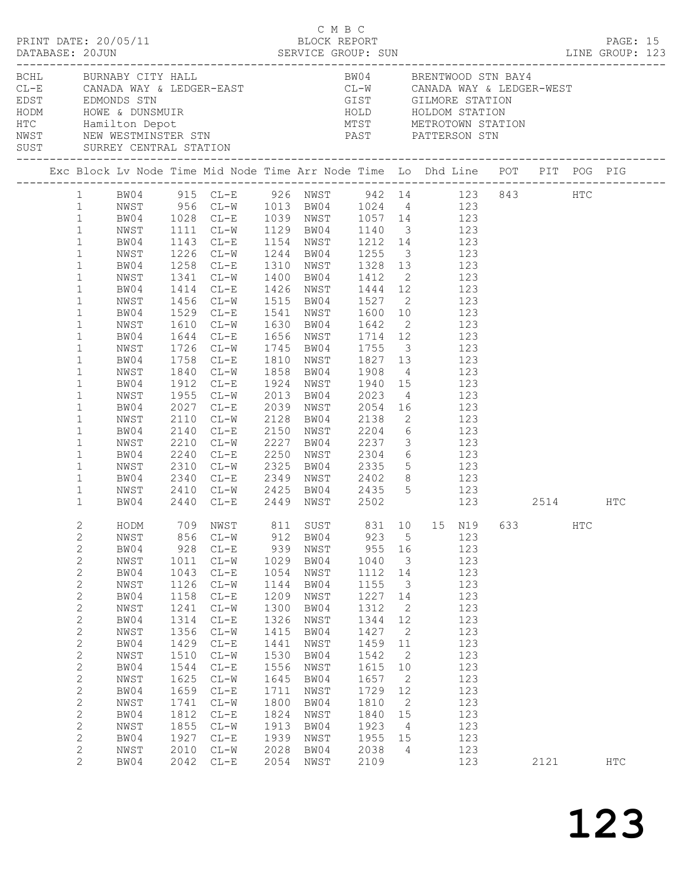| DATABASE: 20JUN |                                                                                                                                                                                                                                                                                                                                                                                              | PRINT DATE: 20/05/11                                                                                                                                                                         |                                                                                                                                                            | C M B C<br>BLOCK REPORT<br>DATABASE: 20JUN<br>DATABASE: 20JUN SERVICE GROUP: SUN LINE GROUP: 123                                                                                                                                                                                                                                                                                                                                                                                                                                                                                                                                                                                                                      |                                                                                                                                                            |                                                                                                                                                                                                                                                                |                                                                                                                                                            |                                                                                                                                                      |                                                                                                                                          |      |     | PAGE: 15   |  |
|-----------------|----------------------------------------------------------------------------------------------------------------------------------------------------------------------------------------------------------------------------------------------------------------------------------------------------------------------------------------------------------------------------------------------|----------------------------------------------------------------------------------------------------------------------------------------------------------------------------------------------|------------------------------------------------------------------------------------------------------------------------------------------------------------|-----------------------------------------------------------------------------------------------------------------------------------------------------------------------------------------------------------------------------------------------------------------------------------------------------------------------------------------------------------------------------------------------------------------------------------------------------------------------------------------------------------------------------------------------------------------------------------------------------------------------------------------------------------------------------------------------------------------------|------------------------------------------------------------------------------------------------------------------------------------------------------------|----------------------------------------------------------------------------------------------------------------------------------------------------------------------------------------------------------------------------------------------------------------|------------------------------------------------------------------------------------------------------------------------------------------------------------|------------------------------------------------------------------------------------------------------------------------------------------------------|------------------------------------------------------------------------------------------------------------------------------------------|------|-----|------------|--|
|                 |                                                                                                                                                                                                                                                                                                                                                                                              | BCHL BURNABY CITY HALL<br>SUST SURREY CENTRAL STATION                                                                                                                                        |                                                                                                                                                            | CL-E CANADA WAY & LEDGER-EAST<br>EDST EDMONDS STN EDGER-EAST<br>HODM HOWE & DUNSMUIR<br>HODM HOWE & DUNSMUIR<br>HOLD HOLDOM STATION<br>HOLD HOLDOM STATION<br>HOLD HOLDOM STATION<br>HOLD HOLDOM STATION<br>NETROTOWN STATION<br>NETROTOWN STATI                                                                                                                                                                                                                                                                                                                                                                                                                                                                      |                                                                                                                                                            | BW04 BRENTWOOD STN BAY4                                                                                                                                                                                                                                        |                                                                                                                                                            |                                                                                                                                                      |                                                                                                                                          |      |     |            |  |
|                 |                                                                                                                                                                                                                                                                                                                                                                                              |                                                                                                                                                                                              |                                                                                                                                                            |                                                                                                                                                                                                                                                                                                                                                                                                                                                                                                                                                                                                                                                                                                                       |                                                                                                                                                            |                                                                                                                                                                                                                                                                |                                                                                                                                                            |                                                                                                                                                      |                                                                                                                                          |      |     |            |  |
|                 | $\mathbf{1}$<br>$\mathbf{1}$<br>$\mathbf{1}$<br>$\mathbf{1}$<br>$\mathbf{1}$<br>$\mathbf{1}$<br>$\mathbf{1}$<br>$\mathbf{1}$<br>$\mathbf{1}$<br>$\mathbf{1}$<br>$\mathbf{1}$<br>$\mathbf{1}$<br>$\mathbf{1}$<br>$\mathbf{1}$<br>$\mathbf{1}$<br>$\mathbf{1}$<br>$\mathbf{1}$<br>$\mathbf{1}$<br>$\mathbf{1}$<br>$\mathbf{1}$<br>$\mathbf{1}$<br>$\mathbf{1}$<br>$\mathbf{1}$<br>$\mathbf{1}$ | NWST<br>BW04<br>NWST<br>BW04<br>NWST<br>BW04<br>NWST<br>BW04<br>NWST<br>BW04<br>NWST<br>BW04<br>NWST<br>BW04<br>NWST<br>BW04<br>NWST<br>BW04<br>NWST<br>BW04<br>NWST<br>BW04<br>NWST<br>BW04 | 1955<br>2027<br>2110<br>2210<br>2240<br>2310<br>2410                                                                                                       | 1 BW04 915 CL-E 926 NWST 942 14 123 843 HTC<br>1 NWST 956 CL-W 1013 BW04 1024 4 123<br>1 BW04 1028 CL-E 1039 NWST 1057 14 123<br>1111 CL-W 1129 BW04 1140 3 123<br>1143 CL-E 1154 NWST 1212 14 123<br>1226 CL-W 1244 BW04 1255 3 123<br>1258 CL-E 1310 NWST 1328 13 123<br>1341 CL-W 1400 BW04 1412 2 123<br>1414 CL-E 1426 NWST 1444 12 123<br>1456 CL-W<br>1529 CL-E<br>1610 CL-W 1630 BW04 1642 2 123<br>1644 CL-E 1656 NWST 1714 12 123<br>1726 CL-W 1745 BW04 1755 3 123<br>1758 CL-E 1810 NWST 1827 13 123<br>1840 CL-W 1858 BW04 1908 4 123<br>1912 CL-E<br>$CL-W$<br>2027 CL-E<br>$CL-W$<br>2140 CL-E<br>2340 CL-E 2349 NWST 2402 8 123<br>CL-W 2425 BW04 2435 5 123<br>2440 CL-E 2449 NWST 2502 123 2514 HTC |                                                                                                                                                            | 1515 BW04 1527 2 123<br>1541 NWST 1600 10 123<br>1924 NWST 1940 15 123<br>2013 BW04 2023 4 123<br>2039 NWST 2054 16 123<br>2128 BW04 2138 2 123<br>2150 NWST 2204 6 123<br>CL-W 2227 BW04 2237 3 123<br>CL-E 2250 NWST 2304 6 123<br>CL-W 2325 BW04 2335 5 123 |                                                                                                                                                            |                                                                                                                                                      |                                                                                                                                          |      |     |            |  |
|                 | $\mathfrak{2}$<br>2<br>$\mathbf{2}$<br>$\mathbf{2}$<br>$\mathbf{2}$<br>$\mathbf{2}$<br>$\mathbf{2}$<br>$\mathbf{2}$<br>$\mathbf{2}$<br>$\mathbf{2}$<br>$\mathbf{2}$<br>$\sqrt{2}$<br>$\mathbf{2}$<br>$\mathbf{2}$<br>$\mathbf{2}$<br>$\mathbf{2}$<br>$\mathbf{2}$<br>$\mathbf{2}$<br>2<br>$\mathbf{2}$<br>$\overline{2}$                                                                     | NWST<br>BW04<br>NWST<br>BW04<br>NWST<br>BW04<br>NWST<br>BW04<br>NWST<br>BW04<br>NWST<br>BW04<br>NWST<br>BW04<br>NWST<br>BW04<br>NWST<br>BW04<br>NWST<br>BW04                                 | 856<br>928<br>1011<br>1043<br>1126<br>1158<br>1241<br>1314<br>1356<br>1429<br>1510<br>1544<br>1625<br>1659<br>1741<br>1812<br>1855<br>1927<br>2010<br>2042 | HODM 709 NWST 811 SUST 831 10 15 N19 633<br>$CL-W$<br>$CL-E$<br>$CL-W$<br>$CL-E$<br>$CL-W$<br>$CL-E$<br>$CL-W$<br>$CL-E$<br>$CL - W$<br>$\mathtt{CL}\text{-}\mathtt{E}$<br>$CL-W$<br>$\mathbb{C}\mathbb{L}\text{--}\mathbb{E}$<br>$CL-W$<br>$CL-E$<br>$CL-W$<br>$\mathtt{CL}\text{-}\mathtt{E}$<br>$CL-W$<br>$CL-E$<br>$CL-W$<br>$CL-E$                                                                                                                                                                                                                                                                                                                                                                               | 912<br>939<br>1029<br>1054<br>1144<br>1209<br>1300<br>1326<br>1415<br>1441<br>1530<br>1556<br>1645<br>1711<br>1800<br>1824<br>1913<br>1939<br>2028<br>2054 | BW04<br>NWST<br>BW04<br>NWST<br>BW04<br>NWST<br>BW04<br>NWST<br>BW04<br>NWST<br>BW04<br>NWST<br>BW04<br>NWST<br>BW04<br>NWST<br>BW04<br>NWST<br>BW04<br>NWST                                                                                                   | 923<br>955<br>1040<br>1112<br>1155<br>1227<br>1312<br>1344<br>1427<br>1459<br>1542<br>1615<br>1657<br>1729<br>1810<br>1840<br>1923<br>1955<br>2038<br>2109 | 5<br>16<br>$\overline{\mathbf{3}}$<br>14<br>3<br>14<br>2<br>12<br>2<br>11<br>2<br>10<br>2<br>12<br>2<br>15<br>$\overline{4}$<br>15<br>$\overline{4}$ | 123<br>123<br>123<br>123<br>123<br>123<br>123<br>123<br>123<br>123<br>123<br>123<br>123<br>123<br>123<br>123<br>123<br>123<br>123<br>123 | 2121 | HTC | <b>HTC</b> |  |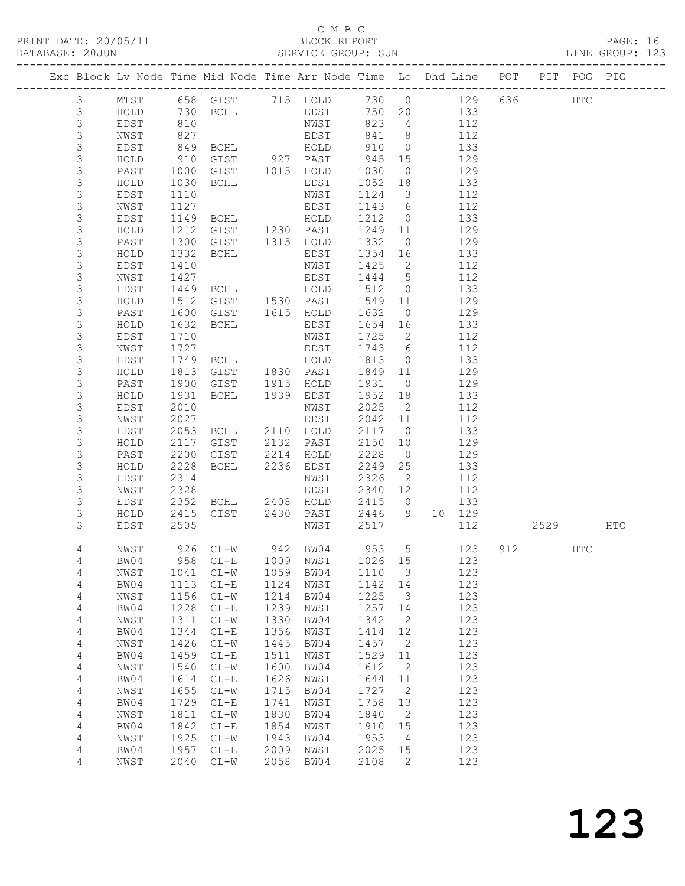### C M B C

|                                                                                |      |            |                                            |      |                                |                    |                          |        |     |             |  | PAGE: 16<br>LINE GROUP: 123 |  |
|--------------------------------------------------------------------------------|------|------------|--------------------------------------------|------|--------------------------------|--------------------|--------------------------|--------|-----|-------------|--|-----------------------------|--|
| Exc Block Lv Node Time Mid Node Time Arr Node Time Lo Dhd Line POT PIT POG PIG |      |            |                                            |      |                                |                    |                          |        |     |             |  |                             |  |
| 3                                                                              |      |            | MTST 658 GIST 715 HOLD 730 0               |      |                                |                    |                          |        |     | 129 636 HTC |  |                             |  |
| $\mathcal{S}$                                                                  |      |            | HOLD 730 BCHL                              |      | EDST 750 20                    |                    |                          |        | 133 |             |  |                             |  |
| $\mathfrak{Z}$                                                                 | EDST | 810<br>827 |                                            |      | NWST                           | $823$ 4<br>$841$ 8 |                          |        | 112 |             |  |                             |  |
| $\mathfrak{Z}$                                                                 | NWST |            |                                            |      | EDST                           |                    |                          |        | 112 |             |  |                             |  |
| 3                                                                              | EDST |            | 849 BCHL                                   |      | HOLD                           | 910 0              |                          |        | 133 |             |  |                             |  |
| 3                                                                              | HOLD |            | 910 GIST 927 PAST                          |      |                                | 945 15             |                          |        | 129 |             |  |                             |  |
| 3                                                                              | PAST |            | 1000 GIST                                  |      | 1015 HOLD                      | 1030               | $\overline{0}$           |        | 129 |             |  |                             |  |
| 3                                                                              | HOLD |            | 1030 BCHL                                  |      | EDST                           | 1052 18            |                          |        | 133 |             |  |                             |  |
| 3                                                                              | EDST | 1110       |                                            |      | NWST                           | 1124 3             |                          |        | 112 |             |  |                             |  |
| 3                                                                              | NWST | 1127       |                                            |      | EDST                           | 1143 6             |                          |        | 112 |             |  |                             |  |
| 3                                                                              | EDST |            | 1149 BCHL                                  |      | HOLD                           | 1212               | $\overline{0}$           |        | 133 |             |  |                             |  |
| 3                                                                              | HOLD |            | 1212 GIST 1230 PAST<br>1300 GIST 1315 HOLD |      |                                | 1249 11            |                          |        | 129 |             |  |                             |  |
| 3                                                                              | PAST |            | 1300 GIST                                  |      |                                | 1332               | $\overline{0}$           |        | 129 |             |  |                             |  |
| 3                                                                              | HOLD |            | 1332 BCHL                                  |      | EDST                           | 1354 16            |                          |        | 133 |             |  |                             |  |
| 3                                                                              | EDST | 1410       |                                            |      | NWST                           | 1425               | $\overline{2}$           |        | 112 |             |  |                             |  |
| 3                                                                              | NWST | 1427       |                                            |      | EDST                           | 1444 5             |                          |        | 112 |             |  |                             |  |
| 3                                                                              | EDST |            | 1427<br>1449 BCHL                          |      | HOLD                           | 1512 0             |                          |        | 133 |             |  |                             |  |
| 3                                                                              | HOLD |            | 1512 GIST 1530 PAST                        |      |                                | 1549 11            |                          |        | 129 |             |  |                             |  |
| 3                                                                              | PAST |            | 1600 GIST                                  |      | 1615 HOLD                      | 1632               | $\overline{0}$           |        | 129 |             |  |                             |  |
| 3                                                                              | HOLD |            | 1632 BCHL                                  |      | EDST                           | 1654 16            |                          |        | 133 |             |  |                             |  |
| 3                                                                              | EDST | 1710       |                                            |      | NWST                           | 1725               | $\overline{2}$           |        | 112 |             |  |                             |  |
| 3                                                                              | NWST | 1727       |                                            |      | EDST                           | 1743 6             |                          |        | 112 |             |  |                             |  |
| 3                                                                              | EDST |            | 1749 BCHL                                  |      | HOLD                           | 1813               | $\overline{0}$           |        | 133 |             |  |                             |  |
| 3                                                                              | HOLD |            | 1813 GIST                                  |      | 1830 PAST                      | 1849               | 11                       |        | 129 |             |  |                             |  |
| 3                                                                              | PAST |            | 1900 GIST                                  |      | 1915 HOLD<br>1939 EDST<br>HOLD | 1931               | $\bigcirc$               |        | 129 |             |  |                             |  |
| 3                                                                              | HOLD |            | 1931 BCHL                                  |      |                                | 1952 18            |                          |        | 133 |             |  |                             |  |
| 3                                                                              | EDST | 2010       |                                            |      | NWST                           | 2025               | $\overline{\phantom{a}}$ |        | 112 |             |  |                             |  |
| 3                                                                              | NWST | 2027       |                                            |      | EDST                           | 2042 11            |                          |        | 112 |             |  |                             |  |
| 3                                                                              | EDST |            | 2053 BCHL                                  |      | 2110 HOLD                      | 2117               | $\overline{0}$           |        | 133 |             |  |                             |  |
| 3                                                                              | HOLD | 2117       | GIST                                       | 2132 | PAST                           | 2150               | 10                       |        | 129 |             |  |                             |  |
| 3                                                                              | PAST |            | 2200 GIST                                  | 2214 | HOLD                           | 2228               | $\overline{0}$           |        | 129 |             |  |                             |  |
| 3                                                                              | HOLD |            | 2228 BCHL                                  | 2236 | EDST                           | 2249               | 25                       |        | 133 |             |  |                             |  |
| 3                                                                              | EDST | 2314       |                                            |      | NWST                           | 2326               | 2                        |        | 112 |             |  |                             |  |
| 3                                                                              | NWST |            |                                            |      |                                | 2340 12            |                          |        | 112 |             |  |                             |  |
| 3                                                                              | EDST |            |                                            |      |                                | 2415               | $\overline{0}$           |        | 133 |             |  |                             |  |
| 3                                                                              | HOLD |            | 2415 GIST                                  |      | 2430 PAST                      | 2446               | 9                        | 10 129 |     |             |  |                             |  |
| 3                                                                              | EDST | 2505       |                                            |      | NWST                           | 2517               |                          |        | 112 | 2529 HTC    |  |                             |  |
|                                                                                |      |            |                                            |      |                                |                    |                          |        |     |             |  |                             |  |

 4 BW04 958 CL-E 1009 NWST 1026 15 123 4 NWST 1041 CL-W 1059 BW04 1110 3 123 4 BW04 1113 CL-E 1124 NWST 1142 14 123 4 NWST 1156 CL-W 1214 BW04 1225 3 123 4 BW04 1228 CL-E 1239 NWST 1257 14 123 4 NWST 1311 CL-W 1330 BW04 1342 2 123 4 BW04 1344 CL-E 1356 NWST 1414 12 123 4 NWST 1426 CL-W 1445 BW04 1457 2 123 4 BW04 1459 CL-E 1511 NWST 1529 11 123 4 NWST 1540 CL-W 1600 BW04 1612 2 123 4 BW04 1614 CL-E 1626 NWST 1644 11 123 4 NWST 1655 CL-W 1715 BW04 1727 2 123 4 BW04 1729 CL-E 1741 NWST 1758 13 123 4 NWST 1811 CL-W 1830 BW04 1840 2 123 4 BW04 1842 CL-E 1854 NWST 1910 15 123

4 NWST 2040 CL-W 2058 BW04 2108 2 123

|  |  |  |  | NWST 926 CL-W 942 BW04 953 5 123 912 | HTC |
|--|--|--|--|--------------------------------------|-----|
|  |  |  |  | BW04 958 CL-E 1009 NWST 1026 15 123  |     |

 4 NWST 1925 CL-W 1943 BW04 1953 4 123 4 BW04 1957 CL-E 2009 NWST 2025 15 123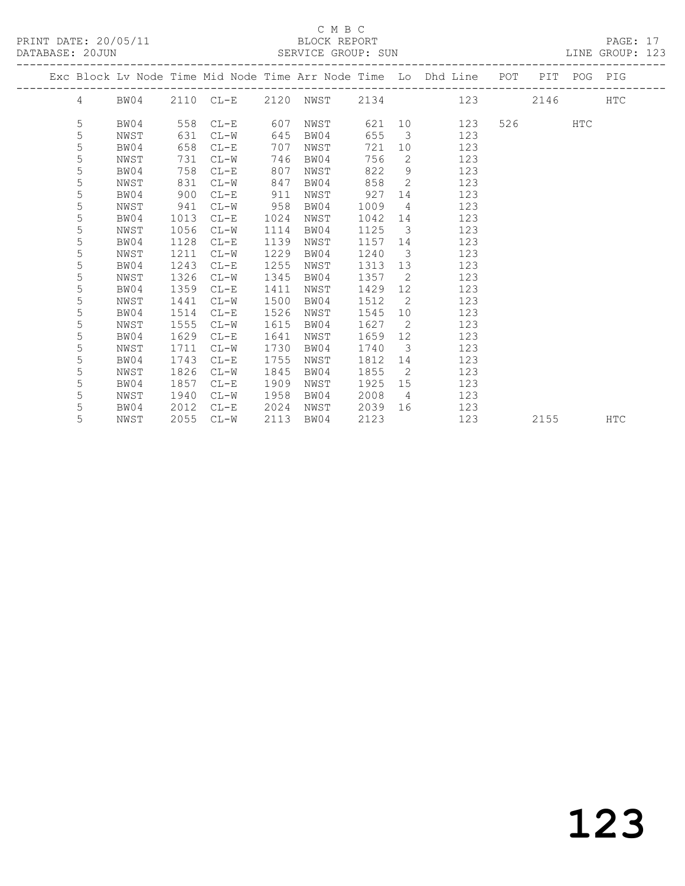PRINT DATE: 20/05/11 BLOCK REPORT BLOCK BERVICE GROUP: SUN

### C M B C<br>BLOCK REPORT

PAGE: 17<br>LINE GROUP: 123

|  |            |      |      |           |      |      |      |                         | Exc Block Lv Node Time Mid Node Time Arr Node Time Lo Dhd Line POT PIT POG PIG |         |            |            |
|--|------------|------|------|-----------|------|------|------|-------------------------|--------------------------------------------------------------------------------|---------|------------|------------|
|  | $4\degree$ | BW04 |      | 2110 CL-E |      |      |      |                         | 2120 NWST 2134 123                                                             | 2146    |            | <b>HTC</b> |
|  | 5          | BW04 | 558  | $CL-E$    | 607  | NWST |      |                         | 621 10<br>123                                                                  | 526 720 | <b>HTC</b> |            |
|  | 5          | NWST | 631  | $CL-W$    | 645  | BW04 | 655  | $\overline{\mathbf{3}}$ | 123                                                                            |         |            |            |
|  | 5          | BW04 | 658  | $CL-E$    | 707  | NWST | 721  |                         | 123<br>10                                                                      |         |            |            |
|  | 5          | NWST | 731  | $CL-W$    | 746  | BW04 | 756  | 2                       | 123                                                                            |         |            |            |
|  | 5          | BW04 | 758  | $CL-E$    | 807  | NWST | 822  | 9                       | 123                                                                            |         |            |            |
|  | 5          | NWST | 831  | CL-W      | 847  | BW04 | 858  | $\overline{2}$          | 123                                                                            |         |            |            |
|  | 5          | BW04 | 900  | $CL-E$    | 911  | NWST | 927  |                         | 123                                                                            |         |            |            |
|  | 5          | NWST | 941  | $CL-W$    | 958  | BW04 | 1009 | $4\overline{4}$         | 123                                                                            |         |            |            |
|  | 5          | BW04 | 1013 | $CL-E$    | 1024 | NWST | 1042 | 14                      | 123                                                                            |         |            |            |
|  | 5          | NWST | 1056 | $CL-W$    | 1114 | BW04 | 1125 | $\overline{\mathbf{3}}$ | 123                                                                            |         |            |            |
|  | 5          | BW04 | 1128 | $CL-E$    | 1139 | NWST | 1157 | 14                      | 123                                                                            |         |            |            |
|  | 5          | NWST | 1211 | $CL-W$    | 1229 | BW04 | 1240 | $\overline{\mathbf{3}}$ | 123                                                                            |         |            |            |
|  | 5          | BW04 | 1243 | $CL-E$    | 1255 | NWST | 1313 | 13                      | 123                                                                            |         |            |            |
|  | 5          | NWST | 1326 | $CL-W$    | 1345 | BW04 | 1357 | $\overline{2}$          | 123                                                                            |         |            |            |
|  | 5          | BW04 | 1359 | $CL-E$    | 1411 | NWST | 1429 | 12 <sup>°</sup>         | 123                                                                            |         |            |            |
|  | 5          | NWST | 1441 | $CL-W$    | 1500 | BW04 | 1512 | $\overline{2}$          | 123                                                                            |         |            |            |
|  | 5          | BW04 | 1514 | $CL-E$    | 1526 | NWST | 1545 |                         | 123<br>10                                                                      |         |            |            |
|  | 5          | NWST | 1555 | $CL-W$    | 1615 | BW04 | 1627 | $\overline{2}$          | 123                                                                            |         |            |            |
|  | 5          | BW04 | 1629 | $CL-E$    | 1641 | NWST | 1659 | 12 <sup>°</sup>         | 123                                                                            |         |            |            |
|  | 5          | NWST | 1711 | $CL-W$    | 1730 | BW04 | 1740 | $\overline{\mathbf{3}}$ | 123                                                                            |         |            |            |
|  | 5          | BW04 | 1743 | $CL-E$    | 1755 | NWST | 1812 | 14                      | 123                                                                            |         |            |            |
|  | 5          | NWST | 1826 | $CL-W$    | 1845 | BW04 | 1855 | $\overline{2}$          | 123                                                                            |         |            |            |
|  | 5          | BW04 | 1857 | $CL-E$    | 1909 | NWST | 1925 | 15                      | 123                                                                            |         |            |            |
|  | 5          | NWST | 1940 | $CL-W$    | 1958 | BW04 | 2008 | $\overline{4}$          | 123                                                                            |         |            |            |
|  | 5          | BW04 | 2012 | $CL-E$    | 2024 | NWST | 2039 | 16                      | 123                                                                            |         |            |            |
|  | 5          | NWST | 2055 | $CL-W$    | 2113 | BW04 | 2123 |                         | 123                                                                            | 2155    |            | <b>HTC</b> |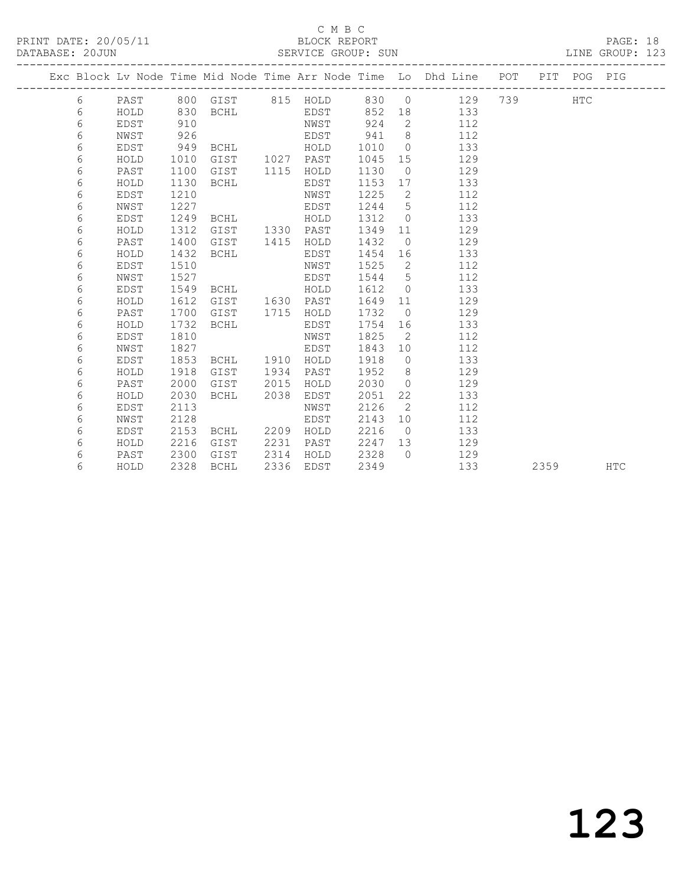### C M B C

| DATABASE: 20JUN |             |      |             |      | SERVICE GROUP: SUN |                     |                | _____________________                                                          |     |      |            | LINE GROUP: 123 |
|-----------------|-------------|------|-------------|------|--------------------|---------------------|----------------|--------------------------------------------------------------------------------|-----|------|------------|-----------------|
|                 |             |      |             |      |                    | ------------------- |                | Exc Block Lv Node Time Mid Node Time Arr Node Time Lo Dhd Line POT PIT POG PIG |     |      |            |                 |
| 6               | PAST        |      | 800 GIST    |      | 815 HOLD           | 830                 | $\overline{O}$ | 129                                                                            | 739 |      | <b>HTC</b> |                 |
| 6               | HOLD        | 830  | BCHL        |      | EDST               | 852                 | 18             | 133                                                                            |     |      |            |                 |
| 6               | EDST        | 910  |             |      | NWST               | 924                 | 2              | 112                                                                            |     |      |            |                 |
| 6               | NWST        | 926  |             |      | EDST               | 941                 | 8              | 112                                                                            |     |      |            |                 |
| 6               | EDST        | 949  | BCHL        |      | HOLD               | 1010                | $\Omega$       | 133                                                                            |     |      |            |                 |
| 6               | HOLD        | 1010 | GIST        | 1027 | PAST               | 1045                | 15             | 129                                                                            |     |      |            |                 |
| 6               | PAST        | 1100 | GIST        | 1115 | HOLD               | 1130                | $\circ$        | 129                                                                            |     |      |            |                 |
| 6               | HOLD        | 1130 | <b>BCHL</b> |      | EDST               | 1153                | 17             | 133                                                                            |     |      |            |                 |
| 6               | <b>EDST</b> | 1210 |             |      | NWST               | 1225                | $\mathbf{2}$   | 112                                                                            |     |      |            |                 |
| 6               | NWST        | 1227 |             |      | EDST               | 1244                | 5              | 112                                                                            |     |      |            |                 |
| 6               | EDST        | 1249 | <b>BCHL</b> |      | HOLD               | 1312                | $\circ$        | 133                                                                            |     |      |            |                 |
| 6               | HOLD        | 1312 | GIST        | 1330 | PAST               | 1349                | 11             | 129                                                                            |     |      |            |                 |
| 6               | PAST        | 1400 | GIST        | 1415 | HOLD               | 1432                | $\overline{0}$ | 129                                                                            |     |      |            |                 |
| 6               | HOLD        | 1432 | <b>BCHL</b> |      | EDST               | 1454                | 16             | 133                                                                            |     |      |            |                 |
| 6               | EDST        | 1510 |             |      | NWST               | 1525                | 2              | 112                                                                            |     |      |            |                 |
| 6               | NWST        | 1527 |             |      | EDST               | 1544                | 5              | 112                                                                            |     |      |            |                 |
| 6               | EDST        | 1549 | <b>BCHL</b> |      | HOLD               | 1612                | $\Omega$       | 133                                                                            |     |      |            |                 |
| 6               | HOLD        | 1612 | GIST        | 1630 | PAST               | 1649                | 11             | 129                                                                            |     |      |            |                 |
| 6               | PAST        | 1700 | GIST        | 1715 | HOLD               | 1732                | $\overline{0}$ | 129                                                                            |     |      |            |                 |
| 6               | HOLD        | 1732 | BCHL        |      | EDST               | 1754                | 16             | 133                                                                            |     |      |            |                 |
| 6               | <b>EDST</b> | 1810 |             |      | NWST               | 1825                | 2              | 112                                                                            |     |      |            |                 |
| 6               | NWST        | 1827 |             |      | EDST               | 1843                | 10             | 112                                                                            |     |      |            |                 |
| 6               | <b>EDST</b> | 1853 | <b>BCHL</b> | 1910 | HOLD               | 1918                | $\circ$        | 133                                                                            |     |      |            |                 |
| 6               | HOLD        | 1918 | GIST        | 1934 | PAST               | 1952                | 8              | 129                                                                            |     |      |            |                 |
| 6               | PAST        | 2000 | GIST        | 2015 | HOLD               | 2030                | $\Omega$       | 129                                                                            |     |      |            |                 |
| 6               | HOLD        | 2030 | <b>BCHL</b> | 2038 | EDST               | 2051                | 22             | 133                                                                            |     |      |            |                 |
| 6               | EDST        | 2113 |             |      | NWST               | 2126                | 2              | 112                                                                            |     |      |            |                 |
| 6               | NWST        | 2128 |             |      | EDST               | 2143                | 10             | 112                                                                            |     |      |            |                 |
| 6               | EDST        | 2153 | <b>BCHL</b> | 2209 | HOLD               | 2216                | $\overline{0}$ | 133                                                                            |     |      |            |                 |
| 6               | HOLD        | 2216 | GIST        | 2231 | PAST               | 2247                | 13             | 129                                                                            |     |      |            |                 |
| 6               | PAST        | 2300 | GIST        | 2314 | HOLD               | 2328                | $\Omega$       | 129                                                                            |     |      |            |                 |
| 6               | HOLD        | 2328 | <b>BCHL</b> | 2336 | EDST               | 2349                |                | 133                                                                            |     | 2359 |            | <b>HTC</b>      |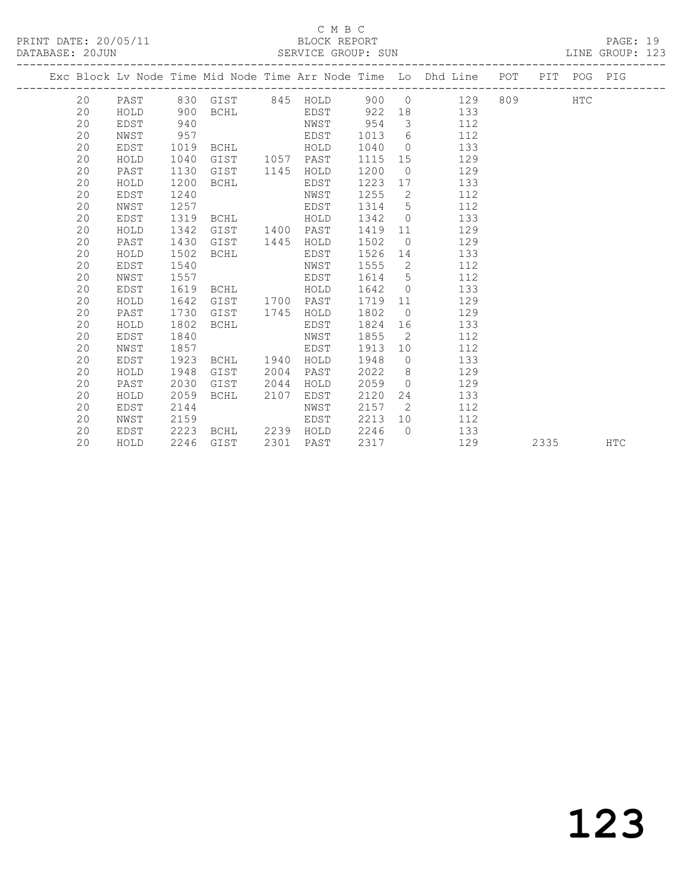### C M B C<br>BLOCK REPORT

PAGE: 19<br>LINE GROUP: 123

|  |    |      |      |                |      |           |         |                | Exc Block Lv Node Time Mid Node Time Arr Node Time Lo Dhd Line POT PIT POG PIG |         |      |            |
|--|----|------|------|----------------|------|-----------|---------|----------------|--------------------------------------------------------------------------------|---------|------|------------|
|  |    |      |      |                |      |           |         |                | 20 PAST 830 GIST 845 HOLD 900 0 129                                            | 809 HTC |      |            |
|  | 20 | HOLD | 900  |                |      |           |         |                | BCHL EDST 922 18 133                                                           |         |      |            |
|  | 20 | EDST | 940  |                |      | NWST      | 954     |                | 3 112                                                                          |         |      |            |
|  | 20 | NWST | 957  |                |      | EDST      |         |                | 1013 6 112                                                                     |         |      |            |
|  | 20 | EDST | 1019 | BCHL HOLD      |      |           | 1040    |                | 133<br>$\overline{0}$                                                          |         |      |            |
|  | 20 | HOLD | 1040 | GIST 1057 PAST |      |           | 1115 15 |                | 129                                                                            |         |      |            |
|  | 20 | PAST | 1130 | GIST           |      | 1145 HOLD | 1200    |                | $\overline{0}$<br>129                                                          |         |      |            |
|  | 20 | HOLD | 1200 | BCHL           |      | EDST      |         |                | 1223 17<br>133                                                                 |         |      |            |
|  | 20 | EDST | 1240 |                |      | NWST      | 1255 2  |                | 112                                                                            |         |      |            |
|  | 20 | NWST | 1257 |                |      | EDST      | 1314 5  |                | 112                                                                            |         |      |            |
|  | 20 | EDST | 1319 | BCHL HOLD      |      |           | 1342    |                | 133<br>$\overline{0}$                                                          |         |      |            |
|  | 20 | HOLD | 1342 | GIST           |      | 1400 PAST | 1419    |                | 129<br>11 \,                                                                   |         |      |            |
|  | 20 | PAST | 1430 | GIST           |      | 1445 HOLD | 1502    | $\overline{0}$ | 129                                                                            |         |      |            |
|  | 20 | HOLD | 1502 | BCHL           |      | EDST      | 1526 14 |                | 133                                                                            |         |      |            |
|  | 20 | EDST | 1540 |                |      | NWST      | 1555 2  |                | 112                                                                            |         |      |            |
|  | 20 | NWST | 1557 |                |      | EDST      | 1614 5  |                | 112                                                                            |         |      |            |
|  | 20 | EDST | 1619 | BCHL HOLD      |      |           | 1642 0  |                | 133                                                                            |         |      |            |
|  | 20 | HOLD | 1642 | GIST 1700 PAST |      |           | 1719    |                | 129<br>11                                                                      |         |      |            |
|  | 20 | PAST | 1730 | GIST           | 1745 | HOLD      | 1802    |                | 129<br>$\Omega$                                                                |         |      |            |
|  | 20 | HOLD | 1802 | BCHL           |      | EDST      | 1824 16 |                | 133                                                                            |         |      |            |
|  | 20 | EDST | 1840 |                |      | NWST      | 1855    | $\overline{2}$ | 112                                                                            |         |      |            |
|  | 20 | NWST | 1857 |                |      | EDST      | 1913 10 |                | 112                                                                            |         |      |            |
|  | 20 | EDST | 1923 | BCHL 1940 HOLD |      |           | 1948 0  |                | 133                                                                            |         |      |            |
|  | 20 | HOLD | 1948 | GIST           | 2004 | PAST      | 2022    | 8 <sup>1</sup> | 129                                                                            |         |      |            |
|  | 20 | PAST | 2030 | GIST           | 2044 | HOLD      | 2059    |                | 129<br>$\Omega$                                                                |         |      |            |
|  | 20 | HOLD | 2059 | BCHL           | 2107 | EDST      | 2120    |                | 133                                                                            |         |      |            |
|  | 20 | EDST | 2144 |                |      | NWST      | 2157    | $\overline{2}$ | 112                                                                            |         |      |            |
|  | 20 | NWST | 2159 |                |      | EDST      | 2213    |                | 112<br>10                                                                      |         |      |            |
|  | 20 | EDST | 2223 | BCHL 2239      |      | HOLD      | 2246    |                | $\bigcap$<br>133                                                               |         |      |            |
|  | 20 | HOLD | 2246 | GIST           | 2301 | PAST      | 2317    |                | 129                                                                            |         | 2335 | <b>HTC</b> |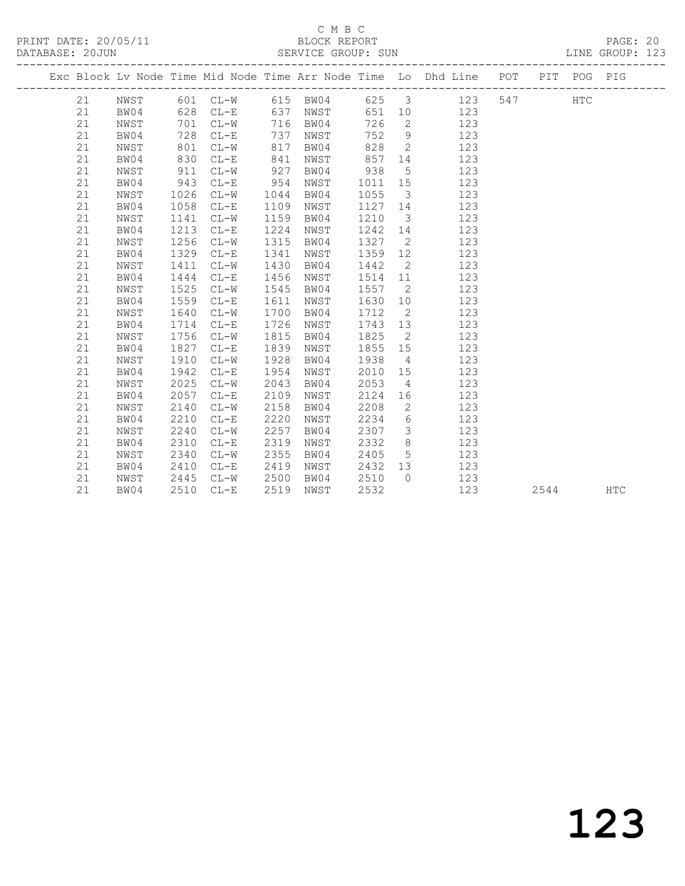## C M B C<br>BLOCK REPORT

PAGE: 20<br>LINE GROUP: 123

| Exc Block Lv Node Time Mid Node Time Arr Node Time Lo Dhd Line POT PIT POG PIG<br>625 3 123 547<br>21<br>NWST<br>601 CL-W 615 BW04<br>HTC<br>CL-E 637 NWST<br>651 10 123<br>21<br>BW04<br>628<br>716 BW04<br>726<br>$\overline{2}$<br>21<br>$CL-W$<br>NWST<br>701<br>123<br>752 9<br>728<br>737<br>21<br>BW04<br>$CL-E$<br>NWST<br>123<br>828<br>$\overline{2}$<br>21<br>801<br>$CL-W$<br>817<br>123<br>NWST<br>BW04<br>830<br>857 14<br>21<br>BW04<br>$CL-E$<br>841<br>123<br>NWST<br>911<br>927<br>938<br>21<br>$CL-W$<br>BW04<br>$5^{\circ}$<br>123<br>NWST<br>943<br>BW04<br>954<br>21<br>$CL-E$<br>1011 15<br>123<br>NWST<br>1055<br>$\overline{\mathbf{3}}$<br>21<br>NWST<br>1026<br>$CL-W$<br>1044<br>BW04<br>123<br>21<br>BW04<br>1058<br>$CL-E$<br>1109<br>1127 14<br>123<br>NWST<br>21<br>1141<br>$CL-W$<br>1159<br>BW04<br>1210<br>$\overline{\mathbf{3}}$<br>123<br>NWST<br>1213<br>1224<br>1242 14<br>21<br>BW04<br>$CL-E$<br>123<br>NWST<br>1256<br>1315<br>1327<br>$\overline{2}$<br>21<br>NWST<br>$CL-W$<br>BW04<br>123<br>BW04<br>1329<br>1341<br>1359 12<br>123<br>21<br>$CL-E$<br>NWST<br>1442<br>$\overline{2}$<br>21<br>1411<br>$CL-W$<br>1430<br>BW04<br>123<br>NWST<br>1444<br>21<br>BW04<br>$CL-E$<br>1456<br>1514 11<br>123<br>NWST<br>1525<br>1545<br>1557<br>$\overline{2}$<br>21<br>NWST<br>$CL-W$<br>BW04<br>123<br>BW04<br>1559<br>1630<br>21<br>$CL-E$<br>1611<br>10<br>123<br>NWST<br>1640<br>$CL-W$<br>1700<br>1712<br>$\overline{2}$<br>123<br>21<br>NWST<br>BW04<br>1726<br>21<br>BW04<br>1714<br>$CL-E$<br>1743 13<br>123<br>NWST<br>$\overline{2}$<br>1756<br>1815<br>1825<br>21<br>NWST<br>$CL-W$<br>BW04<br>123<br>1827<br>1839<br>1855 15<br>21<br>BW04<br>$CL-E$<br>123<br>NWST<br>1928<br>1910<br>1938<br>123<br>21<br>NWST<br>$CL-W$<br>BW04<br>$4\overline{4}$<br>21<br>BW04<br>1942<br>$CL-E$<br>1954<br>2010 15<br>123<br>NWST<br>2025<br>2053<br>21<br>$CL-W$<br>2043<br>$\overline{4}$<br>123<br>NWST<br>BW04<br>BW04<br>2057<br>2109<br>2124<br>21<br>$CL-E$<br>16<br>123<br>NWST<br>2158<br>2208<br>$\overline{2}$<br>21<br>NWST<br>2140<br>$CL-W$<br>BW04<br>123<br>2220<br>21<br>BW04<br>2210<br>$CL-E$<br>2234<br>6<br>123<br>NWST<br>2307<br>21<br>2240<br>$CL-W$<br>2257<br>$\overline{\mathbf{3}}$<br>123<br>NWST<br>BW04<br>2310<br>2319<br>2332<br>8 <sup>8</sup><br>21<br>BW04<br>$CL-E$<br>123<br>NWST<br>5 <sup>5</sup><br>2340<br>2355<br>2405<br>21<br>NWST<br>$CL-W$<br>BW04<br>123<br>21<br>BW04<br>2410<br>2419<br>2432 13<br>$CL-E$<br>NWST<br>123<br>21<br>2445<br>$CL-W$<br>2500<br>BW04<br>2510<br>$\bigcirc$<br>123<br>NWST<br>21<br>2510<br>2519<br>2532<br>123<br>BW04<br>$CL-E$<br>NWST<br>2544 | DITTIDITOD, COODN |  |  | DUINTED OROOL. DON |  |  |  |            |
|---------------------------------------------------------------------------------------------------------------------------------------------------------------------------------------------------------------------------------------------------------------------------------------------------------------------------------------------------------------------------------------------------------------------------------------------------------------------------------------------------------------------------------------------------------------------------------------------------------------------------------------------------------------------------------------------------------------------------------------------------------------------------------------------------------------------------------------------------------------------------------------------------------------------------------------------------------------------------------------------------------------------------------------------------------------------------------------------------------------------------------------------------------------------------------------------------------------------------------------------------------------------------------------------------------------------------------------------------------------------------------------------------------------------------------------------------------------------------------------------------------------------------------------------------------------------------------------------------------------------------------------------------------------------------------------------------------------------------------------------------------------------------------------------------------------------------------------------------------------------------------------------------------------------------------------------------------------------------------------------------------------------------------------------------------------------------------------------------------------------------------------------------------------------------------------------------------------------------------------------------------------------------------------------------------------------------------------------------------------------------------------------------------------------------------------------------------------------------------------------------------------------------------------------------------------------------------------------------------------------------------------------------------------------------|-------------------|--|--|--------------------|--|--|--|------------|
|                                                                                                                                                                                                                                                                                                                                                                                                                                                                                                                                                                                                                                                                                                                                                                                                                                                                                                                                                                                                                                                                                                                                                                                                                                                                                                                                                                                                                                                                                                                                                                                                                                                                                                                                                                                                                                                                                                                                                                                                                                                                                                                                                                                                                                                                                                                                                                                                                                                                                                                                                                                                                                                                           |                   |  |  |                    |  |  |  |            |
|                                                                                                                                                                                                                                                                                                                                                                                                                                                                                                                                                                                                                                                                                                                                                                                                                                                                                                                                                                                                                                                                                                                                                                                                                                                                                                                                                                                                                                                                                                                                                                                                                                                                                                                                                                                                                                                                                                                                                                                                                                                                                                                                                                                                                                                                                                                                                                                                                                                                                                                                                                                                                                                                           |                   |  |  |                    |  |  |  |            |
|                                                                                                                                                                                                                                                                                                                                                                                                                                                                                                                                                                                                                                                                                                                                                                                                                                                                                                                                                                                                                                                                                                                                                                                                                                                                                                                                                                                                                                                                                                                                                                                                                                                                                                                                                                                                                                                                                                                                                                                                                                                                                                                                                                                                                                                                                                                                                                                                                                                                                                                                                                                                                                                                           |                   |  |  |                    |  |  |  |            |
|                                                                                                                                                                                                                                                                                                                                                                                                                                                                                                                                                                                                                                                                                                                                                                                                                                                                                                                                                                                                                                                                                                                                                                                                                                                                                                                                                                                                                                                                                                                                                                                                                                                                                                                                                                                                                                                                                                                                                                                                                                                                                                                                                                                                                                                                                                                                                                                                                                                                                                                                                                                                                                                                           |                   |  |  |                    |  |  |  |            |
|                                                                                                                                                                                                                                                                                                                                                                                                                                                                                                                                                                                                                                                                                                                                                                                                                                                                                                                                                                                                                                                                                                                                                                                                                                                                                                                                                                                                                                                                                                                                                                                                                                                                                                                                                                                                                                                                                                                                                                                                                                                                                                                                                                                                                                                                                                                                                                                                                                                                                                                                                                                                                                                                           |                   |  |  |                    |  |  |  |            |
|                                                                                                                                                                                                                                                                                                                                                                                                                                                                                                                                                                                                                                                                                                                                                                                                                                                                                                                                                                                                                                                                                                                                                                                                                                                                                                                                                                                                                                                                                                                                                                                                                                                                                                                                                                                                                                                                                                                                                                                                                                                                                                                                                                                                                                                                                                                                                                                                                                                                                                                                                                                                                                                                           |                   |  |  |                    |  |  |  |            |
|                                                                                                                                                                                                                                                                                                                                                                                                                                                                                                                                                                                                                                                                                                                                                                                                                                                                                                                                                                                                                                                                                                                                                                                                                                                                                                                                                                                                                                                                                                                                                                                                                                                                                                                                                                                                                                                                                                                                                                                                                                                                                                                                                                                                                                                                                                                                                                                                                                                                                                                                                                                                                                                                           |                   |  |  |                    |  |  |  |            |
|                                                                                                                                                                                                                                                                                                                                                                                                                                                                                                                                                                                                                                                                                                                                                                                                                                                                                                                                                                                                                                                                                                                                                                                                                                                                                                                                                                                                                                                                                                                                                                                                                                                                                                                                                                                                                                                                                                                                                                                                                                                                                                                                                                                                                                                                                                                                                                                                                                                                                                                                                                                                                                                                           |                   |  |  |                    |  |  |  |            |
|                                                                                                                                                                                                                                                                                                                                                                                                                                                                                                                                                                                                                                                                                                                                                                                                                                                                                                                                                                                                                                                                                                                                                                                                                                                                                                                                                                                                                                                                                                                                                                                                                                                                                                                                                                                                                                                                                                                                                                                                                                                                                                                                                                                                                                                                                                                                                                                                                                                                                                                                                                                                                                                                           |                   |  |  |                    |  |  |  |            |
|                                                                                                                                                                                                                                                                                                                                                                                                                                                                                                                                                                                                                                                                                                                                                                                                                                                                                                                                                                                                                                                                                                                                                                                                                                                                                                                                                                                                                                                                                                                                                                                                                                                                                                                                                                                                                                                                                                                                                                                                                                                                                                                                                                                                                                                                                                                                                                                                                                                                                                                                                                                                                                                                           |                   |  |  |                    |  |  |  |            |
|                                                                                                                                                                                                                                                                                                                                                                                                                                                                                                                                                                                                                                                                                                                                                                                                                                                                                                                                                                                                                                                                                                                                                                                                                                                                                                                                                                                                                                                                                                                                                                                                                                                                                                                                                                                                                                                                                                                                                                                                                                                                                                                                                                                                                                                                                                                                                                                                                                                                                                                                                                                                                                                                           |                   |  |  |                    |  |  |  |            |
|                                                                                                                                                                                                                                                                                                                                                                                                                                                                                                                                                                                                                                                                                                                                                                                                                                                                                                                                                                                                                                                                                                                                                                                                                                                                                                                                                                                                                                                                                                                                                                                                                                                                                                                                                                                                                                                                                                                                                                                                                                                                                                                                                                                                                                                                                                                                                                                                                                                                                                                                                                                                                                                                           |                   |  |  |                    |  |  |  |            |
|                                                                                                                                                                                                                                                                                                                                                                                                                                                                                                                                                                                                                                                                                                                                                                                                                                                                                                                                                                                                                                                                                                                                                                                                                                                                                                                                                                                                                                                                                                                                                                                                                                                                                                                                                                                                                                                                                                                                                                                                                                                                                                                                                                                                                                                                                                                                                                                                                                                                                                                                                                                                                                                                           |                   |  |  |                    |  |  |  |            |
|                                                                                                                                                                                                                                                                                                                                                                                                                                                                                                                                                                                                                                                                                                                                                                                                                                                                                                                                                                                                                                                                                                                                                                                                                                                                                                                                                                                                                                                                                                                                                                                                                                                                                                                                                                                                                                                                                                                                                                                                                                                                                                                                                                                                                                                                                                                                                                                                                                                                                                                                                                                                                                                                           |                   |  |  |                    |  |  |  |            |
|                                                                                                                                                                                                                                                                                                                                                                                                                                                                                                                                                                                                                                                                                                                                                                                                                                                                                                                                                                                                                                                                                                                                                                                                                                                                                                                                                                                                                                                                                                                                                                                                                                                                                                                                                                                                                                                                                                                                                                                                                                                                                                                                                                                                                                                                                                                                                                                                                                                                                                                                                                                                                                                                           |                   |  |  |                    |  |  |  |            |
|                                                                                                                                                                                                                                                                                                                                                                                                                                                                                                                                                                                                                                                                                                                                                                                                                                                                                                                                                                                                                                                                                                                                                                                                                                                                                                                                                                                                                                                                                                                                                                                                                                                                                                                                                                                                                                                                                                                                                                                                                                                                                                                                                                                                                                                                                                                                                                                                                                                                                                                                                                                                                                                                           |                   |  |  |                    |  |  |  |            |
|                                                                                                                                                                                                                                                                                                                                                                                                                                                                                                                                                                                                                                                                                                                                                                                                                                                                                                                                                                                                                                                                                                                                                                                                                                                                                                                                                                                                                                                                                                                                                                                                                                                                                                                                                                                                                                                                                                                                                                                                                                                                                                                                                                                                                                                                                                                                                                                                                                                                                                                                                                                                                                                                           |                   |  |  |                    |  |  |  |            |
|                                                                                                                                                                                                                                                                                                                                                                                                                                                                                                                                                                                                                                                                                                                                                                                                                                                                                                                                                                                                                                                                                                                                                                                                                                                                                                                                                                                                                                                                                                                                                                                                                                                                                                                                                                                                                                                                                                                                                                                                                                                                                                                                                                                                                                                                                                                                                                                                                                                                                                                                                                                                                                                                           |                   |  |  |                    |  |  |  |            |
|                                                                                                                                                                                                                                                                                                                                                                                                                                                                                                                                                                                                                                                                                                                                                                                                                                                                                                                                                                                                                                                                                                                                                                                                                                                                                                                                                                                                                                                                                                                                                                                                                                                                                                                                                                                                                                                                                                                                                                                                                                                                                                                                                                                                                                                                                                                                                                                                                                                                                                                                                                                                                                                                           |                   |  |  |                    |  |  |  |            |
|                                                                                                                                                                                                                                                                                                                                                                                                                                                                                                                                                                                                                                                                                                                                                                                                                                                                                                                                                                                                                                                                                                                                                                                                                                                                                                                                                                                                                                                                                                                                                                                                                                                                                                                                                                                                                                                                                                                                                                                                                                                                                                                                                                                                                                                                                                                                                                                                                                                                                                                                                                                                                                                                           |                   |  |  |                    |  |  |  |            |
|                                                                                                                                                                                                                                                                                                                                                                                                                                                                                                                                                                                                                                                                                                                                                                                                                                                                                                                                                                                                                                                                                                                                                                                                                                                                                                                                                                                                                                                                                                                                                                                                                                                                                                                                                                                                                                                                                                                                                                                                                                                                                                                                                                                                                                                                                                                                                                                                                                                                                                                                                                                                                                                                           |                   |  |  |                    |  |  |  |            |
|                                                                                                                                                                                                                                                                                                                                                                                                                                                                                                                                                                                                                                                                                                                                                                                                                                                                                                                                                                                                                                                                                                                                                                                                                                                                                                                                                                                                                                                                                                                                                                                                                                                                                                                                                                                                                                                                                                                                                                                                                                                                                                                                                                                                                                                                                                                                                                                                                                                                                                                                                                                                                                                                           |                   |  |  |                    |  |  |  |            |
|                                                                                                                                                                                                                                                                                                                                                                                                                                                                                                                                                                                                                                                                                                                                                                                                                                                                                                                                                                                                                                                                                                                                                                                                                                                                                                                                                                                                                                                                                                                                                                                                                                                                                                                                                                                                                                                                                                                                                                                                                                                                                                                                                                                                                                                                                                                                                                                                                                                                                                                                                                                                                                                                           |                   |  |  |                    |  |  |  |            |
|                                                                                                                                                                                                                                                                                                                                                                                                                                                                                                                                                                                                                                                                                                                                                                                                                                                                                                                                                                                                                                                                                                                                                                                                                                                                                                                                                                                                                                                                                                                                                                                                                                                                                                                                                                                                                                                                                                                                                                                                                                                                                                                                                                                                                                                                                                                                                                                                                                                                                                                                                                                                                                                                           |                   |  |  |                    |  |  |  |            |
|                                                                                                                                                                                                                                                                                                                                                                                                                                                                                                                                                                                                                                                                                                                                                                                                                                                                                                                                                                                                                                                                                                                                                                                                                                                                                                                                                                                                                                                                                                                                                                                                                                                                                                                                                                                                                                                                                                                                                                                                                                                                                                                                                                                                                                                                                                                                                                                                                                                                                                                                                                                                                                                                           |                   |  |  |                    |  |  |  |            |
|                                                                                                                                                                                                                                                                                                                                                                                                                                                                                                                                                                                                                                                                                                                                                                                                                                                                                                                                                                                                                                                                                                                                                                                                                                                                                                                                                                                                                                                                                                                                                                                                                                                                                                                                                                                                                                                                                                                                                                                                                                                                                                                                                                                                                                                                                                                                                                                                                                                                                                                                                                                                                                                                           |                   |  |  |                    |  |  |  |            |
|                                                                                                                                                                                                                                                                                                                                                                                                                                                                                                                                                                                                                                                                                                                                                                                                                                                                                                                                                                                                                                                                                                                                                                                                                                                                                                                                                                                                                                                                                                                                                                                                                                                                                                                                                                                                                                                                                                                                                                                                                                                                                                                                                                                                                                                                                                                                                                                                                                                                                                                                                                                                                                                                           |                   |  |  |                    |  |  |  |            |
|                                                                                                                                                                                                                                                                                                                                                                                                                                                                                                                                                                                                                                                                                                                                                                                                                                                                                                                                                                                                                                                                                                                                                                                                                                                                                                                                                                                                                                                                                                                                                                                                                                                                                                                                                                                                                                                                                                                                                                                                                                                                                                                                                                                                                                                                                                                                                                                                                                                                                                                                                                                                                                                                           |                   |  |  |                    |  |  |  |            |
|                                                                                                                                                                                                                                                                                                                                                                                                                                                                                                                                                                                                                                                                                                                                                                                                                                                                                                                                                                                                                                                                                                                                                                                                                                                                                                                                                                                                                                                                                                                                                                                                                                                                                                                                                                                                                                                                                                                                                                                                                                                                                                                                                                                                                                                                                                                                                                                                                                                                                                                                                                                                                                                                           |                   |  |  |                    |  |  |  |            |
|                                                                                                                                                                                                                                                                                                                                                                                                                                                                                                                                                                                                                                                                                                                                                                                                                                                                                                                                                                                                                                                                                                                                                                                                                                                                                                                                                                                                                                                                                                                                                                                                                                                                                                                                                                                                                                                                                                                                                                                                                                                                                                                                                                                                                                                                                                                                                                                                                                                                                                                                                                                                                                                                           |                   |  |  |                    |  |  |  |            |
|                                                                                                                                                                                                                                                                                                                                                                                                                                                                                                                                                                                                                                                                                                                                                                                                                                                                                                                                                                                                                                                                                                                                                                                                                                                                                                                                                                                                                                                                                                                                                                                                                                                                                                                                                                                                                                                                                                                                                                                                                                                                                                                                                                                                                                                                                                                                                                                                                                                                                                                                                                                                                                                                           |                   |  |  |                    |  |  |  |            |
|                                                                                                                                                                                                                                                                                                                                                                                                                                                                                                                                                                                                                                                                                                                                                                                                                                                                                                                                                                                                                                                                                                                                                                                                                                                                                                                                                                                                                                                                                                                                                                                                                                                                                                                                                                                                                                                                                                                                                                                                                                                                                                                                                                                                                                                                                                                                                                                                                                                                                                                                                                                                                                                                           |                   |  |  |                    |  |  |  |            |
|                                                                                                                                                                                                                                                                                                                                                                                                                                                                                                                                                                                                                                                                                                                                                                                                                                                                                                                                                                                                                                                                                                                                                                                                                                                                                                                                                                                                                                                                                                                                                                                                                                                                                                                                                                                                                                                                                                                                                                                                                                                                                                                                                                                                                                                                                                                                                                                                                                                                                                                                                                                                                                                                           |                   |  |  |                    |  |  |  |            |
|                                                                                                                                                                                                                                                                                                                                                                                                                                                                                                                                                                                                                                                                                                                                                                                                                                                                                                                                                                                                                                                                                                                                                                                                                                                                                                                                                                                                                                                                                                                                                                                                                                                                                                                                                                                                                                                                                                                                                                                                                                                                                                                                                                                                                                                                                                                                                                                                                                                                                                                                                                                                                                                                           |                   |  |  |                    |  |  |  |            |
|                                                                                                                                                                                                                                                                                                                                                                                                                                                                                                                                                                                                                                                                                                                                                                                                                                                                                                                                                                                                                                                                                                                                                                                                                                                                                                                                                                                                                                                                                                                                                                                                                                                                                                                                                                                                                                                                                                                                                                                                                                                                                                                                                                                                                                                                                                                                                                                                                                                                                                                                                                                                                                                                           |                   |  |  |                    |  |  |  | <b>HTC</b> |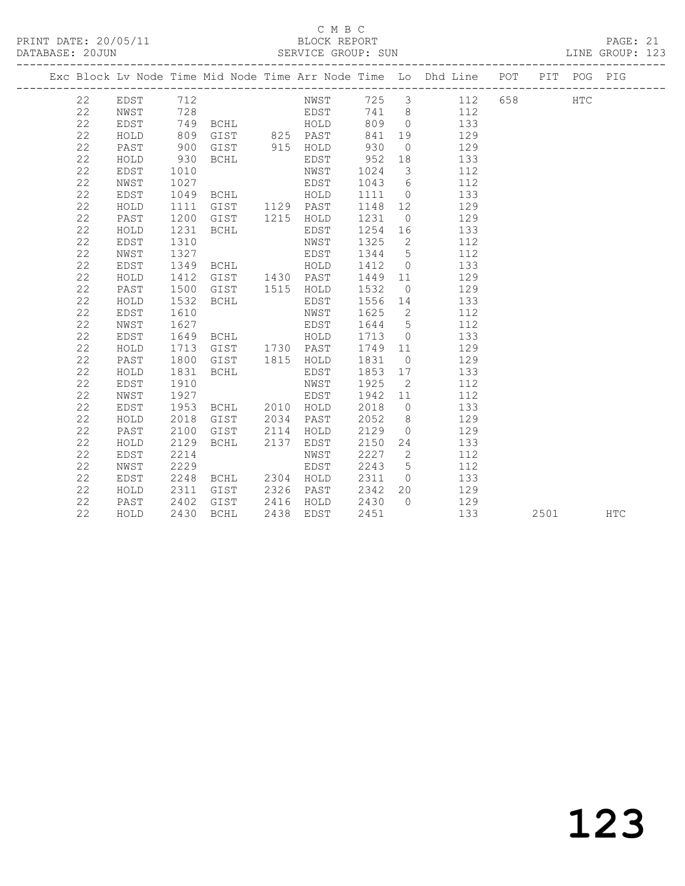## C M B C<br>BLOCK REPORT

PAGE: 21<br>LINE GROUP: 123

|  |    |      |      |                |      |           |         |                         | Exc Block Lv Node Time Mid Node Time Arr Node Time Lo Dhd Line POT PIT POG PIG |      |            |
|--|----|------|------|----------------|------|-----------|---------|-------------------------|--------------------------------------------------------------------------------|------|------------|
|  | 22 | EDST | 712  |                |      |           |         |                         |                                                                                |      |            |
|  | 22 | NWST |      |                |      |           |         |                         |                                                                                |      |            |
|  | 22 | EDST |      |                |      |           |         |                         |                                                                                |      |            |
|  | 22 | HOLD | 809  | GIST 825 PAST  |      |           | 841     | 19                      | 129                                                                            |      |            |
|  | 22 | PAST | 900  | GIST 915 HOLD  |      |           | 930     | $\overline{0}$          | 129                                                                            |      |            |
|  | 22 | HOLD | 930  | BCHL           |      | EDST      | 952     | 18                      | 133                                                                            |      |            |
|  | 22 | EDST | 1010 |                |      | NWST      | 1024    | $\overline{\mathbf{3}}$ | 112                                                                            |      |            |
|  | 22 | NWST | 1027 | <b>EDST</b>    |      |           |         |                         | 1043 6<br>112                                                                  |      |            |
|  | 22 | EDST | 1049 | BCHL HOLD      |      |           |         |                         | 1111 0<br>133                                                                  |      |            |
|  | 22 | HOLD | 1111 | GIST 1129 PAST |      |           | 1148    | 12                      | 129                                                                            |      |            |
|  | 22 | PAST | 1200 | GIST           |      | 1215 HOLD | 1231    | $\overline{0}$          | 129                                                                            |      |            |
|  | 22 | HOLD | 1231 | BCHL           |      | EDST      | 1254 16 |                         | 133                                                                            |      |            |
|  | 22 | EDST | 1310 |                |      | NWST      | 1325    | $\overline{2}$          | 112                                                                            |      |            |
|  | 22 | NWST | 1327 |                |      | EDST      | 1344    | $5\overline{)}$         | 112                                                                            |      |            |
|  | 22 | EDST |      | 1349 BCHL HOLD |      |           | 1412    | $\overline{0}$          | 133                                                                            |      |            |
|  | 22 | HOLD | 1412 | GIST 1430 PAST |      |           | 1449 11 |                         | 129                                                                            |      |            |
|  | 22 | PAST | 1500 | GIST           |      | 1515 HOLD | 1532    | $\overline{0}$          | 129                                                                            |      |            |
|  | 22 | HOLD | 1532 | BCHL           |      | EDST      | 1556 14 |                         | 133                                                                            |      |            |
|  | 22 | EDST | 1610 |                |      | NWST      | 1625    |                         | $\overline{2}$<br>112                                                          |      |            |
|  | 22 | NWST | 1627 | <b>EDST</b>    |      |           |         |                         | 1644 5<br>112                                                                  |      |            |
|  | 22 | EDST | 1649 | <b>BCHL</b>    |      | HOLD      | 1713    |                         | $\overline{0}$<br>133                                                          |      |            |
|  | 22 | HOLD | 1713 | GIST 1730 PAST |      |           | 1749    | 11                      | 129                                                                            |      |            |
|  | 22 | PAST | 1800 | GIST           |      | 1815 HOLD | 1831    | $\overline{0}$          | 129                                                                            |      |            |
|  | 22 | HOLD | 1831 | BCHL           |      | EDST      | 1853 17 |                         | 133                                                                            |      |            |
|  | 22 | EDST | 1910 |                |      | NWST      | 1925    | $\overline{2}$          | 112                                                                            |      |            |
|  | 22 | NWST | 1927 |                |      | EDST      | 1942 11 |                         | 112                                                                            |      |            |
|  | 22 | EDST | 1953 | BCHL 2010 HOLD |      |           | 2018    | $\overline{0}$          | 133                                                                            |      |            |
|  | 22 | HOLD | 2018 | GIST           | 2034 | PAST      | 2052    | 8 <sup>8</sup>          | 129                                                                            |      |            |
|  | 22 | PAST | 2100 | GIST           | 2114 | HOLD      | 2129    | $\overline{0}$          | 129                                                                            |      |            |
|  | 22 | HOLD | 2129 | BCHL           | 2137 | EDST      | 2150    |                         | 133<br>24                                                                      |      |            |
|  | 22 | EDST | 2214 |                |      | NWST      | 2227    |                         | $\overline{2}$<br>112                                                          |      |            |
|  | 22 | NWST | 2229 |                |      | EDST      | 2243    | $5\overline{)}$         | 112                                                                            |      |            |
|  | 22 | EDST | 2248 | BCHL 2304 HOLD |      |           | 2311    | $\overline{0}$          | 133                                                                            |      |            |
|  | 22 | HOLD | 2311 | GIST           |      | 2326 PAST | 2342    | 20                      | 129                                                                            |      |            |
|  | 22 | PAST | 2402 | GIST           |      | 2416 HOLD | 2430    | $\bigcirc$              | 129                                                                            |      |            |
|  | 22 | HOLD | 2430 | BCHL           |      | 2438 EDST | 2451    |                         | 133                                                                            | 2501 | <b>HTC</b> |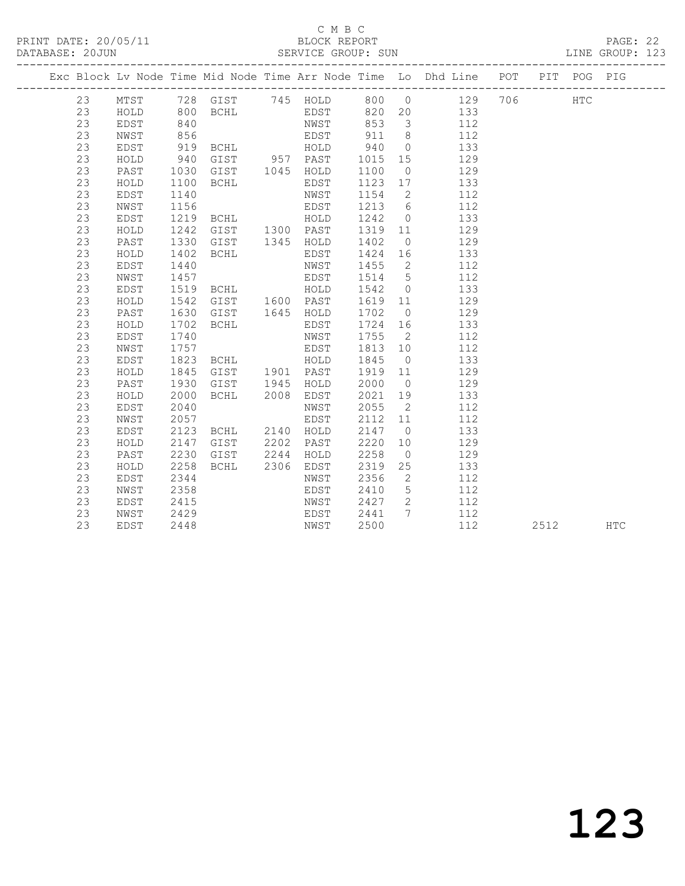### C M B C<br>BLOCK REPORT

PAGE: 22<br>LINE GROUP: 123

|    |      |      |                                 |      |           |         |                | Exc Block Lv Node Time Mid Node Time Arr Node Time Lo Dhd Line POT PIT POG PIG |      |     |            |
|----|------|------|---------------------------------|------|-----------|---------|----------------|--------------------------------------------------------------------------------|------|-----|------------|
| 23 | MTST |      |                                 |      |           |         |                | 728 GIST 745 HOLD 800 0 129 706                                                |      | HTC |            |
| 23 | HOLD |      | 800 BCHL EDST                   |      |           |         |                | 820 20 133                                                                     |      |     |            |
| 23 | EDST | 840  |                                 |      | NWST      |         |                | 853 3 112                                                                      |      |     |            |
| 23 | NWST | 856  |                                 |      | EDST      | 911     | 8 <sup>8</sup> | 112                                                                            |      |     |            |
| 23 | EDST | 919  | BCHL HOLD                       |      |           | 940     | $\overline{0}$ | 133                                                                            |      |     |            |
| 23 | HOLD | 940  | GIST 957 PAST<br>GIST 1045 HOLD |      |           | 1015    | 15             | 129                                                                            |      |     |            |
| 23 | PAST | 1030 |                                 |      |           | 1100    | $\overline{0}$ | 129                                                                            |      |     |            |
| 23 | HOLD | 1100 | BCHL                            |      | EDST      | 1123 17 |                | 133                                                                            |      |     |            |
| 23 | EDST | 1140 |                                 |      | NWST      | 1154    | $\overline{2}$ | 112                                                                            |      |     |            |
| 23 | NWST | 1156 | <b>EDST</b>                     |      |           |         |                | 1213 6<br>112                                                                  |      |     |            |
| 23 | EDST | 1219 | <b>BCHL</b>                     |      | HOLD      | 1242    | $\overline{0}$ | 133                                                                            |      |     |            |
| 23 | HOLD | 1242 | GIST 1300 PAST                  |      |           | 1319    | 11             | 129                                                                            |      |     |            |
| 23 | PAST | 1330 | GIST                            |      | 1345 HOLD | 1402    | $\overline{0}$ | 129                                                                            |      |     |            |
| 23 | HOLD | 1402 | BCHL                            |      | EDST      | 1424    | 16             | 133                                                                            |      |     |            |
| 23 | EDST | 1440 |                                 |      | NWST      | 1455    | $\overline{2}$ | 112                                                                            |      |     |            |
| 23 | NWST | 1457 |                                 |      | EDST      | 1514 5  |                | 112                                                                            |      |     |            |
| 23 | EDST | 1519 | BCHL HOLD                       |      |           | 1542    | $\overline{0}$ | 133                                                                            |      |     |            |
| 23 | HOLD | 1542 | GIST 1600 PAST                  |      |           | 1619 11 |                | 129                                                                            |      |     |            |
| 23 | PAST | 1630 | GIST                            |      | 1645 HOLD | 1702    | $\overline{0}$ | 129                                                                            |      |     |            |
| 23 | HOLD | 1702 | BCHL                            |      | EDST      | 1724    | 16             | 133                                                                            |      |     |            |
| 23 | EDST | 1740 |                                 |      | NWST      | 1755    | $\overline{2}$ | 112                                                                            |      |     |            |
| 23 | NWST | 1757 |                                 |      | EDST      | 1813 10 |                | 112                                                                            |      |     |            |
| 23 | EDST | 1823 | BCHL HOLD                       |      |           | 1845    | $\overline{0}$ | 133                                                                            |      |     |            |
| 23 | HOLD | 1845 | GIST 1901 PAST                  |      |           | 1919 11 |                | 129                                                                            |      |     |            |
| 23 | PAST | 1930 | GIST 1945                       |      | HOLD      | 2000    | $\overline{0}$ | 129                                                                            |      |     |            |
| 23 | HOLD | 2000 | BCHL 2008                       |      | EDST      | 2021    | 19             | 133                                                                            |      |     |            |
| 23 | EDST | 2040 |                                 |      | NWST      | 2055    | $\overline{2}$ | 112                                                                            |      |     |            |
| 23 | NWST | 2057 |                                 |      | EDST      | 2112    | 11             | 112                                                                            |      |     |            |
| 23 | EDST | 2123 | BCHL 2140 HOLD                  |      |           | 2147    | $\overline{0}$ | 133                                                                            |      |     |            |
| 23 | HOLD | 2147 | GIST                            |      | 2202 PAST | 2220    | 10             | 129                                                                            |      |     |            |
| 23 | PAST | 2230 | GIST                            | 2244 | HOLD      | 2258    | $\overline{0}$ | 129                                                                            |      |     |            |
| 23 | HOLD | 2258 | BCHL                            |      | 2306 EDST | 2319    | 25             | 133                                                                            |      |     |            |
| 23 | EDST | 2344 |                                 |      | NWST      | 2356    | $\overline{2}$ | 112                                                                            |      |     |            |
| 23 | NWST | 2358 |                                 |      | EDST      | 2410    | 5 <sup>5</sup> | 112                                                                            |      |     |            |
| 23 | EDST | 2415 |                                 |      | NWST      | 2427    |                | 2 112                                                                          |      |     |            |
| 23 | NWST | 2429 |                                 |      | EDST      | 2441    | $7\phantom{0}$ | 112                                                                            |      |     |            |
| 23 | EDST | 2448 |                                 |      | NWST      | 2500    |                | 112                                                                            | 2512 |     | <b>HTC</b> |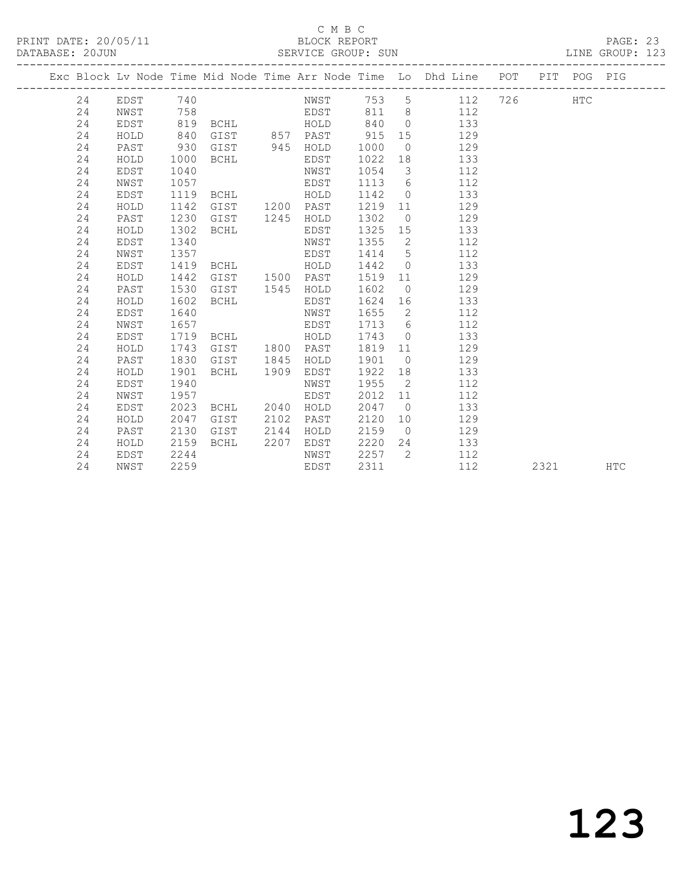## C M B C<br>BLOCK REPORT

PAGE: 23<br>LINE GROUP: 123

|  |    |             |      |                |      |           |      |                          | Exc Block Lv Node Time Mid Node Time Arr Node Time Lo Dhd Line POT PIT POG PIG |     |      |     |            |
|--|----|-------------|------|----------------|------|-----------|------|--------------------------|--------------------------------------------------------------------------------|-----|------|-----|------------|
|  | 24 | EDST        | 740  |                |      | NWST 753  |      |                          | $5^{\circ}$<br>112                                                             | 726 |      | HTC |            |
|  | 24 | NWST        | 758  |                |      | EDST      | 811  |                          | $8 \overline{)}$<br>112                                                        |     |      |     |            |
|  | 24 | EDST        | 819  | BCHL           |      | HOLD      | 840  | $\bigcirc$               | 133                                                                            |     |      |     |            |
|  | 24 | HOLD        | 840  | GIST 857 PAST  |      |           | 915  | 15                       | 129                                                                            |     |      |     |            |
|  | 24 | PAST        | 930  | GIST 945 HOLD  |      |           | 1000 | $\overline{0}$           | 129                                                                            |     |      |     |            |
|  | 24 | HOLD        | 1000 | BCHL           |      | EDST      | 1022 | 18                       | 133                                                                            |     |      |     |            |
|  | 24 | EDST        | 1040 |                |      | NWST      | 1054 | $\mathcal{S}$            | 112                                                                            |     |      |     |            |
|  | 24 | NWST        | 1057 |                |      | EDST      | 1113 | 6                        | 112                                                                            |     |      |     |            |
|  | 24 | EDST        | 1119 | BCHL           |      | HOLD      | 1142 | $\overline{0}$           | 133                                                                            |     |      |     |            |
|  | 24 | HOLD        | 1142 | GIST           |      | 1200 PAST | 1219 | 11                       | 129                                                                            |     |      |     |            |
|  | 24 | PAST        | 1230 | GIST           | 1245 | HOLD      | 1302 | $\overline{0}$           | 129                                                                            |     |      |     |            |
|  | 24 | HOLD        | 1302 | <b>BCHL</b>    |      | EDST      | 1325 | 15                       | 133                                                                            |     |      |     |            |
|  | 24 | EDST        | 1340 |                |      | NWST      | 1355 | $\overline{2}$           | 112                                                                            |     |      |     |            |
|  | 24 | NWST        | 1357 |                |      | EDST      | 1414 | $5\overline{)}$          | 112                                                                            |     |      |     |            |
|  | 24 | EDST        | 1419 | <b>BCHL</b>    |      | HOLD      | 1442 | $\overline{0}$           | 133                                                                            |     |      |     |            |
|  | 24 | HOLD        | 1442 | GIST 1500 PAST |      |           | 1519 | 11                       | 129                                                                            |     |      |     |            |
|  | 24 | PAST        | 1530 | GIST           | 1545 | HOLD      | 1602 | $\overline{0}$           | 129                                                                            |     |      |     |            |
|  | 24 | HOLD        | 1602 | BCHL           |      | EDST      | 1624 | 16                       | 133                                                                            |     |      |     |            |
|  | 24 | EDST        | 1640 |                |      | NWST      | 1655 | $\overline{\phantom{a}}$ | 112                                                                            |     |      |     |            |
|  | 24 | NWST        | 1657 |                |      | EDST      | 1713 | 6                        | 112                                                                            |     |      |     |            |
|  | 24 | EDST        | 1719 | BCHL           |      | HOLD      | 1743 | $\overline{0}$           | 133                                                                            |     |      |     |            |
|  | 24 | HOLD        | 1743 | GIST           | 1800 | PAST      | 1819 | 11                       | 129                                                                            |     |      |     |            |
|  | 24 | PAST        | 1830 | GIST           | 1845 | HOLD      | 1901 | $\overline{0}$           | 129                                                                            |     |      |     |            |
|  | 24 | HOLD        | 1901 | BCHL           | 1909 | EDST      | 1922 | 18                       | 133                                                                            |     |      |     |            |
|  | 24 | EDST        | 1940 |                |      | NWST      | 1955 | $\overline{2}$           | 112                                                                            |     |      |     |            |
|  | 24 | NWST        | 1957 |                |      | EDST      | 2012 | 11                       | 112                                                                            |     |      |     |            |
|  | 24 | <b>EDST</b> | 2023 | BCHL           | 2040 | HOLD      | 2047 | $\bigcirc$               | 133                                                                            |     |      |     |            |
|  | 24 | HOLD        | 2047 | GIST           | 2102 | PAST      | 2120 | 10                       | 129                                                                            |     |      |     |            |
|  | 24 | PAST        | 2130 | GIST           | 2144 | HOLD      | 2159 | $\overline{0}$           | 129                                                                            |     |      |     |            |
|  | 24 | HOLD        | 2159 | BCHL           | 2207 | EDST      | 2220 | 24                       | 133                                                                            |     |      |     |            |
|  | 24 | EDST        | 2244 |                |      | NWST      | 2257 | 2                        | 112                                                                            |     |      |     |            |
|  | 24 | NWST        | 2259 |                |      | EDST      | 2311 |                          | 112                                                                            |     | 2321 |     | <b>HTC</b> |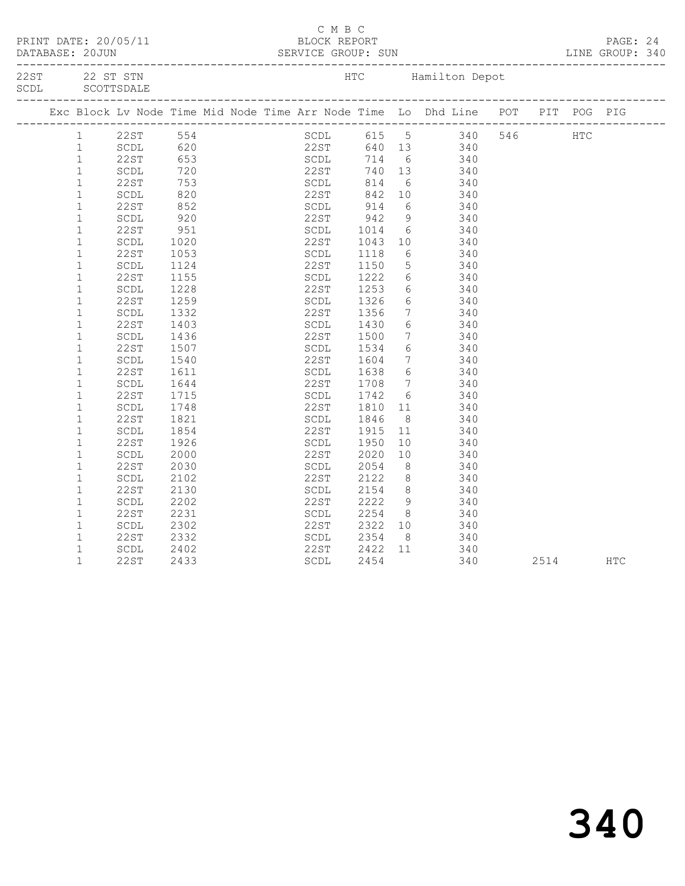| PRINT DATE: 20/05/11              |                                |                   |  | C M B C<br>BLOCK REPORT           |                 |                 | DATABASE: 20JUN SERVICE GROUP: SUN LINE GROUP: 340                             |  |      | PAGE: 24 |  |
|-----------------------------------|--------------------------------|-------------------|--|-----------------------------------|-----------------|-----------------|--------------------------------------------------------------------------------|--|------|----------|--|
| 22ST 22 ST STN<br>SCDL SCOTTSDALE |                                |                   |  |                                   | _______________ |                 | HTC Hamilton Depot                                                             |  |      |          |  |
|                                   |                                |                   |  |                                   |                 |                 | Exc Block Lv Node Time Mid Node Time Arr Node Time Lo Dhd Line POT PIT POG PIG |  |      |          |  |
|                                   | 1 22ST 554                     |                   |  |                                   |                 |                 | SCDL 615 5 340 546 HTC                                                         |  |      |          |  |
| $\mathbf{1}$                      | SCDL                           |                   |  |                                   |                 |                 |                                                                                |  |      |          |  |
| $\mathbf{1}$                      | 22ST                           |                   |  |                                   |                 |                 | 22ST 640 13 340<br>SCDL 714 6 340                                              |  |      |          |  |
| $\,1\,$                           | SCDL                           | 620<br>653<br>720 |  |                                   |                 |                 | $22ST$ 740 13 340                                                              |  |      |          |  |
| $\mathbf{1}$                      | 22ST                           |                   |  |                                   |                 |                 | 340                                                                            |  |      |          |  |
| $\mathbf{1}$                      | SCDL                           | 753<br>820<br>852 |  | SCDL 814<br>22ST 842              |                 |                 | $\begin{array}{c} 6 \\ 10 \end{array}$<br>340                                  |  |      |          |  |
| $\mathbf 1$                       | 22ST                           |                   |  | SCDL 914<br>22ST 942<br>SCDL 1014 |                 |                 | 6 340                                                                          |  |      |          |  |
| $\mathbf{1}$                      | $\operatorname{\mathsf{SCDL}}$ | 920               |  |                                   |                 | 9               | 340                                                                            |  |      |          |  |
| $\mathbf 1$                       | 22ST                           | 951               |  | SCDL                              |                 |                 | $6 \t340$                                                                      |  |      |          |  |
| $\mathbf 1$                       | SCDL                           | 1020              |  | 22ST                              |                 | 10              | 340                                                                            |  |      |          |  |
| $1\,$                             | 22ST                           | 1053              |  | SCDL                              | 1043<br>1118    | $6\overline{6}$ | 340                                                                            |  |      |          |  |
| $1\,$                             | SCDL                           | 1124              |  | 22ST                              | 1150            |                 | 5 340                                                                          |  |      |          |  |
| $\mathbf{1}$                      | 22ST                           | 1155              |  | SCDL                              |                 |                 |                                                                                |  |      |          |  |
| $\mathbf 1$                       | SCDL                           | 1228              |  | 22ST                              | 1222<br>1253    |                 | $\begin{array}{ccc} 6 & 340 \\ 6 & 340 \end{array}$                            |  |      |          |  |
| $\mathbf{1}$                      | 22ST                           | 1259              |  | SCDL                              | 1326            |                 | 6 340                                                                          |  |      |          |  |
| $1\,$                             | SCDL                           | 1332              |  | 22ST                              | 1356            | $7\overline{ }$ | 340                                                                            |  |      |          |  |
| $\mathbf{1}$                      | 22ST                           | 1403              |  | SCDL                              | 1430            |                 | 6 340                                                                          |  |      |          |  |
| $\mathbf 1$                       | SCDL                           | 1436              |  |                                   |                 |                 |                                                                                |  |      |          |  |
| $1\,$                             | 22ST                           | 1507              |  | 22ST<br>SCDL                      | 1500<br>1534    | 6               | $\begin{array}{ccc} 7 & 340 \\ 2 & 240 \end{array}$<br>340                     |  |      |          |  |
| $\mathbf{1}$                      | $\operatorname{\mathsf{SCDL}}$ | 1540              |  | 22ST                              | 1604            | $7\overline{ }$ | 340                                                                            |  |      |          |  |
| $\mathbf{1}$                      | 22ST                           | 1611              |  | SCDL                              |                 |                 |                                                                                |  |      |          |  |
| $\mathbf 1$                       | SCDL                           | 1644              |  | 22ST                              | 1638<br>1708    |                 | $\begin{array}{ccc} 6 & 340 \\ 7 & 340 \end{array}$                            |  |      |          |  |
| $\mathbf{1}$                      | 22ST                           | 1715              |  | SCDL                              |                 |                 |                                                                                |  |      |          |  |
| $1\,$                             | $\operatorname{\mathsf{SCDL}}$ | 1748              |  | 22ST                              | 1742<br>1810    | 11              | 6 340<br>340                                                                   |  |      |          |  |
| $\mathbf{1}$                      | 22ST                           | 1821              |  | SCDL                              | 1846            | 8 <sup>8</sup>  | 340                                                                            |  |      |          |  |
| $\mathbf 1$                       |                                |                   |  | 22ST                              |                 |                 |                                                                                |  |      |          |  |
| $\mathbf{1}$                      | SCDL                           | 1854              |  |                                   | 1915<br>1950    | 11              | 340                                                                            |  |      |          |  |
|                                   | 22ST                           | 1926              |  | SCDL                              |                 | 10              | 340                                                                            |  |      |          |  |
| $\mathbf 1$                       | $\operatorname{\mathsf{SCDL}}$ | 2000              |  | 22ST                              | 2020            | 10 <sub>1</sub> | 340                                                                            |  |      |          |  |
| $\mathbf{1}$                      | 22ST                           | 2030              |  | SCDL                              | 2054<br>2122    | 8 <sup>8</sup>  | 340<br>340                                                                     |  |      |          |  |
| $\mathbf 1$                       | SCDL                           | 2102              |  | 22ST                              |                 | 8 <sup>1</sup>  |                                                                                |  |      |          |  |
| $\mathbf{1}$                      | 22ST                           | 2130              |  | SCDL                              | 2154            | 8 <sup>8</sup>  | 340                                                                            |  |      |          |  |
| $\mathbf{1}$                      | $\operatorname{\mathsf{SCDL}}$ | 2202              |  | 22ST                              | 2222            | 9               | 340                                                                            |  |      |          |  |
| $\mathbf{1}$                      | 22ST                           | 2231              |  | SCDL                              | 2254            |                 | 8 340                                                                          |  |      |          |  |
| $\mathbf{1}$                      | SCDL                           | 2302              |  | 22ST<br>SCDL                      | 2322<br>2354    |                 | $\frac{10}{340}$                                                               |  |      |          |  |
| $\mathbf{1}$                      | 22ST                           | 2332              |  |                                   |                 |                 |                                                                                |  |      |          |  |
| $\mathbf 1$                       | SCDL                           | 2402              |  | 22ST                              | 2422            | 11              | 340                                                                            |  |      |          |  |
| $\mathbf{1}$                      | 22ST                           | 2433              |  | SCDL                              | 2454            |                 | 340                                                                            |  | 2514 | HTC      |  |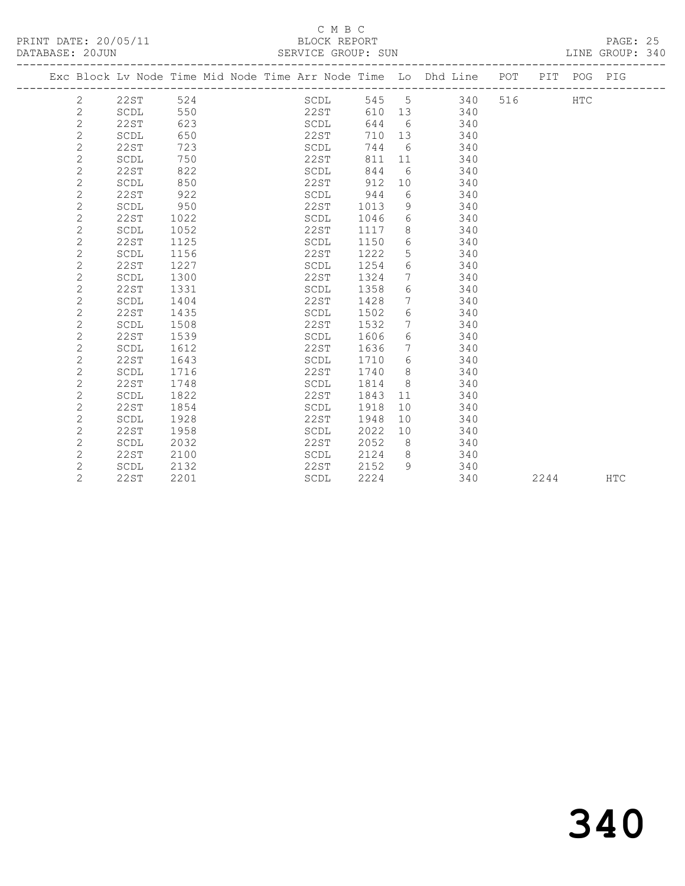### C M B C<br>BLOCK REPORT

PAGE: 25<br>LINE GROUP: 340

|                |                                |      | Exc Block Lv Node Time Mid Node Time Arr Node Time Lo Dhd Line POT |      |                 |     |     |      | PIT POG PIG |            |
|----------------|--------------------------------|------|--------------------------------------------------------------------|------|-----------------|-----|-----|------|-------------|------------|
| 2              | 22ST                           | 524  | SCDL                                                               | 545  | 5               | 340 | 516 |      | <b>HTC</b>  |            |
| 2              | SCDL                           | 550  | 22ST                                                               | 610  | 13              | 340 |     |      |             |            |
| $\mathbf{2}$   | 22ST                           | 623  | SCDL                                                               | 644  | 6               | 340 |     |      |             |            |
| $\overline{c}$ | $\operatorname{\mathsf{SCDL}}$ | 650  | 22ST                                                               | 710  | 13              | 340 |     |      |             |            |
| $\mathbf{2}$   | <b>22ST</b>                    | 723  | SCDL                                                               | 744  | 6               | 340 |     |      |             |            |
| $\mathbf{2}$   | SCDL                           | 750  | 22ST                                                               | 811  | 11              | 340 |     |      |             |            |
| $\overline{c}$ | <b>22ST</b>                    | 822  | SCDL                                                               | 844  | 6               | 340 |     |      |             |            |
| $\overline{c}$ | SCDL                           | 850  | 22ST                                                               | 912  | 10              | 340 |     |      |             |            |
| $\mathbf{2}$   | <b>22ST</b>                    | 922  | SCDL                                                               | 944  | 6               | 340 |     |      |             |            |
| $\overline{c}$ | SCDL                           | 950  | 22ST                                                               | 1013 | 9               | 340 |     |      |             |            |
| $\overline{2}$ | <b>22ST</b>                    | 1022 | SCDL                                                               | 1046 | 6               | 340 |     |      |             |            |
| $\overline{c}$ | SCDL                           | 1052 | 22ST                                                               | 1117 | 8               | 340 |     |      |             |            |
| $\overline{c}$ | <b>22ST</b>                    | 1125 | SCDL                                                               | 1150 | 6               | 340 |     |      |             |            |
| $\overline{c}$ | SCDL                           | 1156 | 22ST                                                               | 1222 | 5               | 340 |     |      |             |            |
| $\overline{c}$ | 22ST                           | 1227 | SCDL                                                               | 1254 | 6               | 340 |     |      |             |            |
| $\mathbf{2}$   | SCDL                           | 1300 | 22ST                                                               | 1324 | $7\phantom{.0}$ | 340 |     |      |             |            |
| $\mathbf{2}$   | <b>22ST</b>                    | 1331 | SCDL                                                               | 1358 | 6               | 340 |     |      |             |            |
| $\overline{c}$ | SCDL                           | 1404 | 22ST                                                               | 1428 | 7               | 340 |     |      |             |            |
| $\overline{c}$ | 22ST                           | 1435 | SCDL                                                               | 1502 | 6               | 340 |     |      |             |            |
| $\overline{c}$ | SCDL                           | 1508 | 22ST                                                               | 1532 | 7               | 340 |     |      |             |            |
| $\overline{c}$ | 22ST                           | 1539 | SCDL                                                               | 1606 | 6               | 340 |     |      |             |            |
| $\mathbf{2}$   | SCDL                           | 1612 | 22ST                                                               | 1636 | 7               | 340 |     |      |             |            |
| $\mathbf 2$    | 22ST                           | 1643 | SCDL                                                               | 1710 | 6               | 340 |     |      |             |            |
| $\overline{c}$ | SCDL                           | 1716 | 22ST                                                               | 1740 | 8               | 340 |     |      |             |            |
| $\overline{c}$ | 22ST                           | 1748 | SCDL                                                               | 1814 | 8               | 340 |     |      |             |            |
| $\overline{c}$ | SCDL                           | 1822 | 22ST                                                               | 1843 | 11              | 340 |     |      |             |            |
| $\overline{c}$ | <b>22ST</b>                    | 1854 | SCDL                                                               | 1918 | 10              | 340 |     |      |             |            |
| $\mathbf{2}$   | SCDL                           | 1928 | 22ST                                                               | 1948 | 10              | 340 |     |      |             |            |
| $\mathbf{2}$   | <b>22ST</b>                    | 1958 | SCDL                                                               | 2022 | 10              | 340 |     |      |             |            |
| $\mathbf{2}$   | SCDL                           | 2032 | 22ST                                                               | 2052 | 8               | 340 |     |      |             |            |
| $\mathbf{2}$   | <b>22ST</b>                    | 2100 | SCDL                                                               | 2124 | 8               | 340 |     |      |             |            |
| $\overline{c}$ | SCDL                           | 2132 | 22ST                                                               | 2152 | 9               | 340 |     |      |             |            |
| $\overline{2}$ | <b>22ST</b>                    | 2201 | SCDL                                                               | 2224 |                 | 340 |     | 2244 |             | <b>HTC</b> |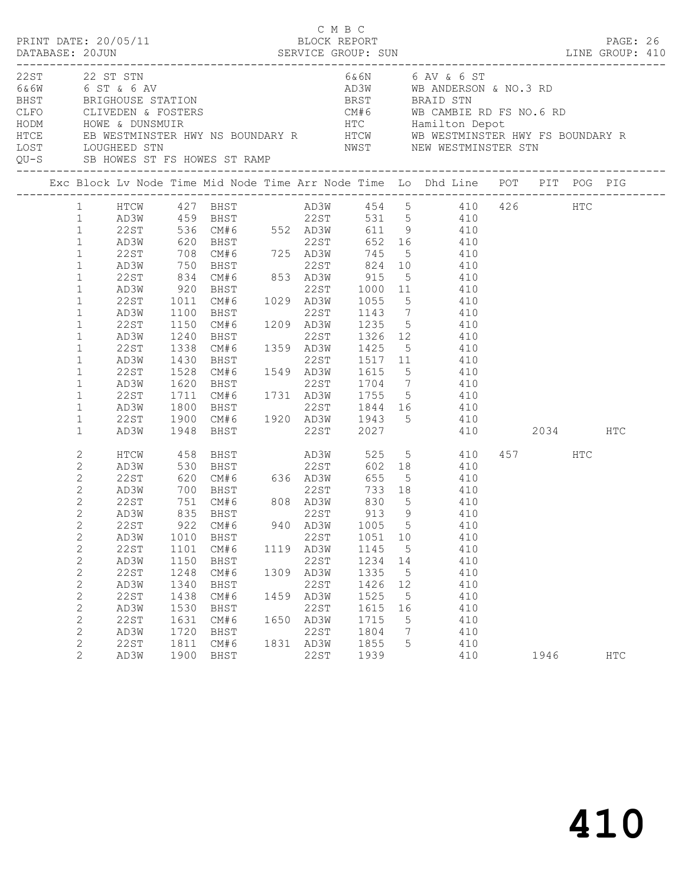| PRINT DATE: 20/05/11                                                                                                                                |                                                                                                                                                                                                                                                                                                         |                                                                                                                                              |                                                                                                                                 |                                                                                                                                  |              | C M B C                                                                                             | BLOCK REPORT                                                                                                                                              |                                                                           |                                                                                                                                                                                                                                                                                                                                                                                                                                                                                                                                    |                 | PAGE: 26   |  |
|-----------------------------------------------------------------------------------------------------------------------------------------------------|---------------------------------------------------------------------------------------------------------------------------------------------------------------------------------------------------------------------------------------------------------------------------------------------------------|----------------------------------------------------------------------------------------------------------------------------------------------|---------------------------------------------------------------------------------------------------------------------------------|----------------------------------------------------------------------------------------------------------------------------------|--------------|-----------------------------------------------------------------------------------------------------|-----------------------------------------------------------------------------------------------------------------------------------------------------------|---------------------------------------------------------------------------|------------------------------------------------------------------------------------------------------------------------------------------------------------------------------------------------------------------------------------------------------------------------------------------------------------------------------------------------------------------------------------------------------------------------------------------------------------------------------------------------------------------------------------|-----------------|------------|--|
| 22ST 22 ST STN<br>CONTRACT CONTRACT ON CONTRACT ON THE CONTRACT ORDER CLIVEDEN & FOSTERS<br>CLFO CLIVEDEN & FOSTERS<br>HODM HOWE & DUNSMUIR<br>HTCE |                                                                                                                                                                                                                                                                                                         |                                                                                                                                              |                                                                                                                                 |                                                                                                                                  |              |                                                                                                     |                                                                                                                                                           |                                                                           | 6&6N 6 AV & 6 ST<br>AD3W WB ANDERSON & NO.3 RD<br>BRIGHOUSE STATION BRST BRAID STN<br>CLIVEDEN & FOSTERS CM#6 WB CAMBIE RD FS NO.6 RD<br>HOWE & DUNSMUIR HOUNDARY R HTC Hamilton Depot<br>EB WESTMINSTER HWY NS BOUNDARY R HTCW WB WESTMINSTER HWY FS BOUNDARY R<br>NWST MEW WESTMINSTER STN SERVICES ST FS HOWES ST RAMP<br>QU-S SB HOWES ST FS HOWES ST RAMP<br>---------------                                                                                                                                                  |                 |            |  |
|                                                                                                                                                     |                                                                                                                                                                                                                                                                                                         |                                                                                                                                              |                                                                                                                                 |                                                                                                                                  |              |                                                                                                     |                                                                                                                                                           |                                                                           | Exc Block Lv Node Time Mid Node Time Arr Node Time Lo Dhd Line POT PIT POG PIG                                                                                                                                                                                                                                                                                                                                                                                                                                                     |                 |            |  |
|                                                                                                                                                     | $1 \quad$<br>1<br>$\mathbf{1}$<br>$\mathbf{1}$<br>$\mathbf{1}$<br>$\mathbf{1}$<br>$\mathbf{1}$<br>$\mathbf{1}$<br>$\mathbf{1}$<br>$1\,$<br>$\mathbf{1}$<br>$\mathbf{1}$<br>$\mathbf{1}$<br>$\mathbf{1}$<br>$\mathbf{1}$<br>$\mathbf{1}$<br>$\mathbf{1}$<br>$\mathbf{1}$<br>$\mathbf{1}$<br>$\mathbf{1}$ | AD3W<br>22ST<br>AD3W<br>22ST<br>AD3W<br>22ST<br>AD3W<br>22ST<br>AD3W<br>22ST<br>AD3W<br>22ST<br>AD3W<br>22ST<br>AD3W<br>22ST<br>AD3W         | 920<br>1011<br>1100<br>1100<br>1150<br>1240<br>1338<br>1430<br>1528<br>1620<br>1711<br>1800<br>1900                             | 22ST 536 CM#6 552 AD3W<br>BHST<br>CM#6<br>BHST<br>1948 BHST                                                                      |              |                                                                                                     | PHST<br>CM#6 1029 AD3W 1055 5<br>BHST 22ST 1143 7<br>22ST 1517 11                                                                                         |                                                                           | HTCW 427 BHST AD3W 454 5 410 426 HTC<br>AD3W 459 BHST 22ST 531 5 410<br>611 9 410<br>620 BHST 22ST 652 16 410<br>708 CM#6 725 AD3W 745 5 410<br>750 BHST 22ST 824 10 410<br>834 CM#6 853 AD3W 915 5 410<br>22ST 1000 11 410<br>$5\overline{)}$<br>$410$<br>$410$<br>CM#6 1209 AD3W 1235 5 410<br>22ST 1326 12 410<br>1359 AD3W 1425 5 410<br>410<br>CM#6 1549 AD3W 1615 5 410<br>BHST 22ST 1704 7 410<br>CM#6 1731 AD3W 1755 5 410<br>BHST 22ST 1844 16 410<br>BHST 22ST 1844 16 410<br>CM#6 1920 AD3W 1943 5 410<br>22ST 2027 410 | 2034 HTC        |            |  |
|                                                                                                                                                     | 2<br>$\mathbf{2}$<br>$\mathbf{2}$<br>$\mathbf{2}$<br>$\mathbf{2}$<br>$\mathbf{2}$<br>$\mathbf{2}$<br>$\mathbf{2}$<br>$\mathbf{2}$<br>$\mathbf{2}$<br>$\mathbf{2}$<br>$\mathbf{2}$<br>$\sqrt{2}$<br>$\sqrt{2}$<br>2<br>$\mathbf{2}$<br>2<br>$\overline{2}$                                               | HTCW<br>AD3W<br>22ST<br>AD3W<br>22ST<br>AD3W<br>22ST<br>AD3W<br>22ST<br>AD3W<br>22ST<br>AD3W<br>22ST<br>AD3W<br>22ST<br>AD3W<br>22ST<br>AD3W | 620<br>700 BHST<br>751 CM#6<br>835 BHST<br>1010<br>1101<br>1150<br>1248<br>1340<br>1438<br>1530<br>1631<br>1720<br>1811<br>1900 | <b>BHST</b><br>CM#6 636 AD3W<br>922 CM#6<br>BHST<br>CM#6<br>BHST<br>CM#6<br>BHST<br>CM#6<br>BHST<br>CM#6<br>BHST<br>CM#6<br>BHST | 1309<br>1459 | 22ST<br>1119 AD3W<br>22ST<br>AD3W<br>22ST<br>AD3W<br>22ST<br>1650 AD3W<br>22ST<br>1831 AD3W<br>22ST | 655<br>BHST<br>CM#6 808 AD3W 830<br>CM#6 808 AD3W 830<br>22ST 913<br>1051<br>1145<br>1234<br>1335<br>1426<br>1525<br>1615<br>1715<br>1804<br>1855<br>1939 | 5 <sup>5</sup><br>9<br>10<br>5<br>14<br>5<br>12<br>5<br>16<br>5<br>7<br>5 | 602 18<br>5 410<br>733 18 410<br>$410$<br>$410$<br>940 AD3W 1005 5 410<br>410<br>410<br>410<br>410<br>410<br>410<br>410<br>410<br>410<br>410<br>410                                                                                                                                                                                                                                                                                                                                                                                | 457 HTC<br>1946 | <b>HTC</b> |  |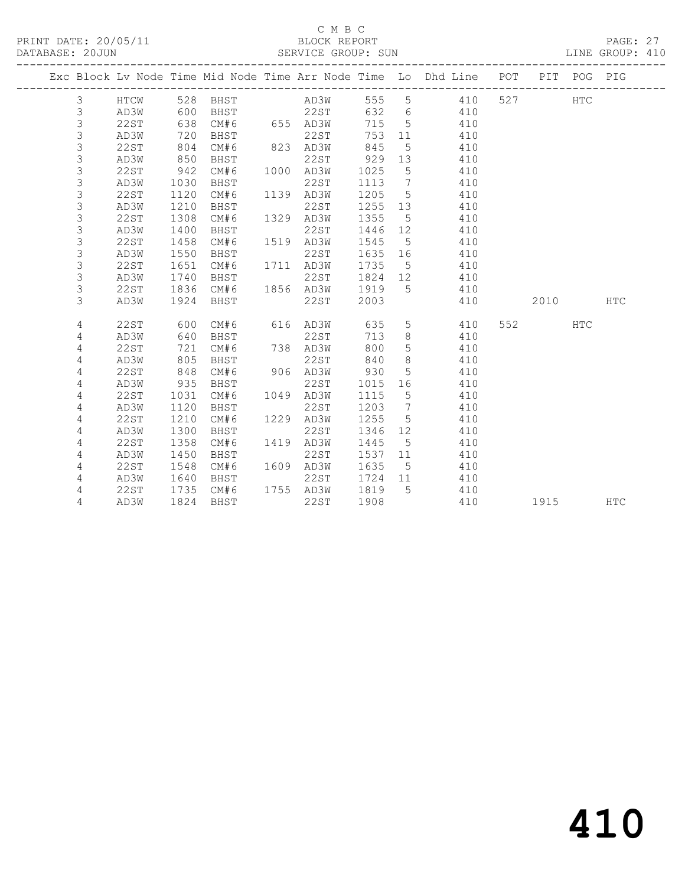## C M B C<br>BLOCK REPORT

PAGE: 27<br>LINE GROUP: 410

|  |                |                     |              |             |      |              |              |                   | Exc Block Lv Node Time Mid Node Time Arr Node Time Lo Dhd Line POT<br>------------- |     | <b>PIT</b> | POG | PIG        |
|--|----------------|---------------------|--------------|-------------|------|--------------|--------------|-------------------|-------------------------------------------------------------------------------------|-----|------------|-----|------------|
|  | 3              | HTCW                | 528          | BHST        |      | AD3W         | 555          | 5                 | 410                                                                                 | 527 |            | HTC |            |
|  | 3              | AD3W                | 600          | BHST        |      | 22ST         | 632          | 6                 | 410                                                                                 |     |            |     |            |
|  | $\mathfrak{Z}$ | <b>22ST</b>         | 638          | CM#6        |      | 655 AD3W     | 715          | 5                 | 410                                                                                 |     |            |     |            |
|  | $\mathfrak{Z}$ | AD3W                | 720          | BHST        |      | 22ST         | 753          | 11                | 410                                                                                 |     |            |     |            |
|  | $\mathsf 3$    | <b>22ST</b>         | 804          | CM#6        |      | 823 AD3W     | 845          | 5                 | 410                                                                                 |     |            |     |            |
|  | 3              | AD3W                | 850          | BHST        |      | 22ST         | 929          | 13                | 410                                                                                 |     |            |     |            |
|  | 3              | 22ST                | 942          | CM#6        | 1000 | AD3W         | 1025         | 5                 | 410                                                                                 |     |            |     |            |
|  | $\mathsf 3$    | AD3W                | 1030         | BHST        |      | 22ST         | 1113         | 7                 | 410                                                                                 |     |            |     |            |
|  | 3              | 22ST                | 1120         | CM#6        | 1139 | AD3W         | 1205         | 5                 | 410                                                                                 |     |            |     |            |
|  | $\mathfrak{Z}$ | AD3W                | 1210         | BHST        |      | 22ST         | 1255         | 13                | 410                                                                                 |     |            |     |            |
|  | 3              | 22ST                | 1308         | CM#6        | 1329 | AD3W         | 1355         | 5                 | 410                                                                                 |     |            |     |            |
|  | 3              | AD3W                | 1400         | BHST        |      | 22ST         | 1446         | 12 <sup>°</sup>   | 410                                                                                 |     |            |     |            |
|  | 3              | 22ST                | 1458         | CM#6        | 1519 | AD3W         | 1545         | 5                 | 410                                                                                 |     |            |     |            |
|  | 3              | AD3W                | 1550         | BHST        |      | 22ST         | 1635         | 16                | 410                                                                                 |     |            |     |            |
|  | 3              | 22ST                | 1651         | CM#6        | 1711 | AD3W         | 1735         | 5                 | 410                                                                                 |     |            |     |            |
|  | 3              | AD3W                | 1740         | BHST        |      | 22ST         | 1824         | 12 <sup>°</sup>   | 410                                                                                 |     |            |     |            |
|  | 3              | 22ST                | 1836         | CM#6        | 1856 | AD3W         | 1919         | $5^{\circ}$       | 410                                                                                 |     |            |     |            |
|  | 3              | AD3W                | 1924         | BHST        |      | 22ST         | 2003         |                   | 410                                                                                 |     | 2010       |     | <b>HTC</b> |
|  |                |                     |              |             |      |              |              |                   |                                                                                     |     |            |     |            |
|  | 4              | 22ST                | 600          | CM#6        | 616  | AD3W         | 635          | 5                 | 410                                                                                 | 552 |            | HTC |            |
|  | 4              | AD3W                | 640          | BHST        |      | 22ST         | 713          | 8                 | 410                                                                                 |     |            |     |            |
|  | 4              | <b>22ST</b>         | 721          | CM#6        | 738  | AD3W         | 800          | 5                 | 410                                                                                 |     |            |     |            |
|  | 4              | AD3W                | 805          | <b>BHST</b> |      | 22ST         | 840          | 8                 | 410                                                                                 |     |            |     |            |
|  | $\sqrt{4}$     | <b>22ST</b>         | 848          | CM#6        | 906  | AD3W         | 930          | 5                 | 410                                                                                 |     |            |     |            |
|  | 4              | AD3W                | 935          | BHST        |      | 22ST         | 1015         | 16                | 410                                                                                 |     |            |     |            |
|  | 4              | 22ST                | 1031         | CM#6        | 1049 | AD3W         | 1115         | 5                 | 410                                                                                 |     |            |     |            |
|  | 4              | AD3W                | 1120         | <b>BHST</b> |      | 22ST         | 1203         | $7\phantom{.0}$   | 410                                                                                 |     |            |     |            |
|  | 4              | <b>22ST</b>         | 1210         | CM#6        | 1229 | AD3W         | 1255         | $\overline{5}$    | 410                                                                                 |     |            |     |            |
|  | 4              | AD3W                | 1300         | <b>BHST</b> | 1419 | <b>22ST</b>  | 1346         | 12                | 410                                                                                 |     |            |     |            |
|  | 4              | <b>22ST</b>         | 1358         | CM#6        |      | AD3W         | 1445         | 5                 | 410                                                                                 |     |            |     |            |
|  | 4              | AD3W                | 1450         | BHST        | 1609 | 22ST         | 1537         | 11                | 410                                                                                 |     |            |     |            |
|  | 4              | <b>22ST</b><br>AD3W | 1548<br>1640 | CM#6        |      | AD3W<br>22ST | 1635<br>1724 | $5^{\circ}$<br>11 | 410<br>410                                                                          |     |            |     |            |
|  | 4              |                     |              | BHST        |      |              |              |                   |                                                                                     |     |            |     |            |
|  | 4              | 22ST                | 1735         | CM#6        |      | 1755 AD3W    | 1819         | 5                 | 410                                                                                 |     |            |     |            |
|  | 4              | AD3W                | 1824         | BHST        |      | 22ST         | 1908         |                   | 410                                                                                 |     | 1915       |     | <b>HTC</b> |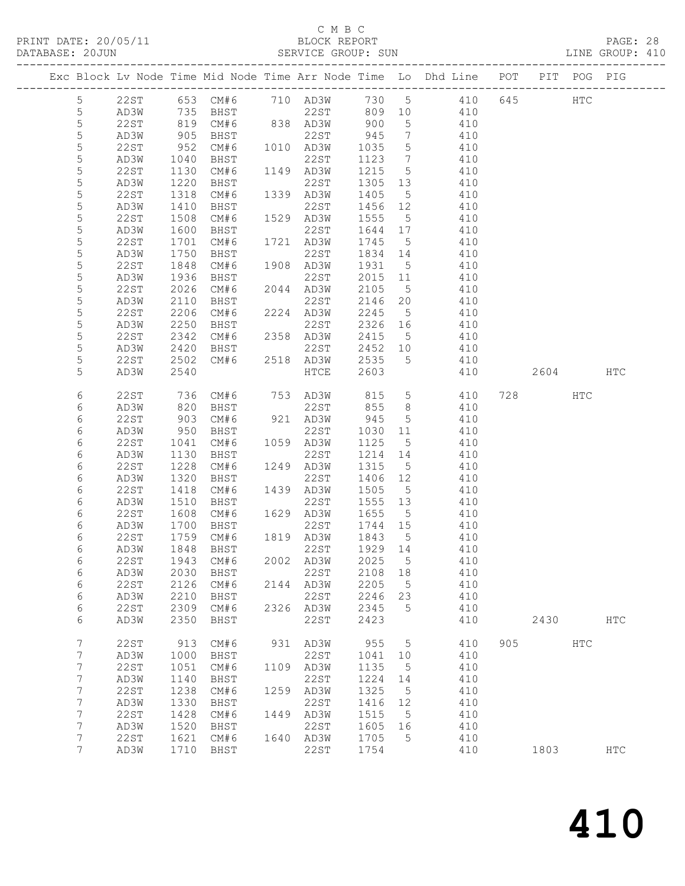### C M B C<br>BLOCK REPORT SERVICE GROUP: SUN

|                  |              |              |                   |      |                   |                 |                              | Exc Block Lv Node Time Mid Node Time Arr Node Time Lo Dhd Line POT |     |      | PIT POG PIG   |               |
|------------------|--------------|--------------|-------------------|------|-------------------|-----------------|------------------------------|--------------------------------------------------------------------|-----|------|---------------|---------------|
| $5\phantom{.0}$  | 22ST         |              | 653 CM#6 710 AD3W |      |                   |                 |                              | 730 5 410                                                          | 645 |      | $_{\rm{HTC}}$ |               |
| 5                | AD3W         | 735          | BHST              |      | 22ST              | 809 10          |                              | 410                                                                |     |      |               |               |
| $\mathsf S$      | 22ST         | 819          | CM#6              | 838  | 838 AD3W          | 900             | $5\overline{)}$              | 410                                                                |     |      |               |               |
| 5                | AD3W         | 905          | BHST              |      | 22ST              | 945             | $7\phantom{.0}\phantom{.0}7$ | 410                                                                |     |      |               |               |
| 5                | 22ST         | 952          | CM#6              |      | 1010 AD3W         | 1035            | $5\overline{)}$              | 410                                                                |     |      |               |               |
| 5                | AD3W         | 1040         | BHST              |      | 22ST              | 1123            | $\overline{7}$               | 410                                                                |     |      |               |               |
| $\mathsf S$      | 22ST         | 1130         | CM#6              |      | 1149 AD3W         | 1215            | $5\overline{)}$              | 410                                                                |     |      |               |               |
| 5                | AD3W         | 1220         | BHST              |      | 22ST              | 1305            | 13                           | 410                                                                |     |      |               |               |
| 5                | 22ST         | 1318         | CM#6              |      | 1339 AD3W         | 1405            | $5^{\circ}$                  | 410                                                                |     |      |               |               |
| 5                | AD3W         | 1410         | BHST              |      | 22ST              | 1456            | 12                           | 410                                                                |     |      |               |               |
| 5                | 22ST         | 1508         | CM#6              |      | 1529 AD3W         | 1555            | $5^{\circ}$                  | 410                                                                |     |      |               |               |
| 5                | AD3W         | 1600         | BHST              |      | 22ST              | 1644            | 17                           | 410                                                                |     |      |               |               |
| 5                | 22ST         | 1701         | CM#6              |      | 1721 AD3W         | 1745            | $5^{\circ}$                  | 410                                                                |     |      |               |               |
| 5                | AD3W         | 1750         | BHST              |      | 22ST              | 1834            | 14                           | 410                                                                |     |      |               |               |
| 5                | 22ST         | 1848         | CM#6              |      | 1908 AD3W         | 1931            | $5^{\circ}$                  | 410                                                                |     |      |               |               |
| 5                | AD3W         | 1936         | BHST              |      | 22ST              | 2015            | 11                           | 410                                                                |     |      |               |               |
| 5                | 22ST         | 2026         | CM#6              |      | 2044 AD3W         | 2105            | $5\overline{)}$              | 410                                                                |     |      |               |               |
| 5                | AD3W         | 2110         | BHST              |      | 22ST              | 2146            | 20                           | 410                                                                |     |      |               |               |
| 5                | 22ST         | 2206         | CM#6              |      | 2224 AD3W         | 2245            | $5^{\circ}$                  | 410                                                                |     |      |               |               |
| 5                | AD3W         | 2250         | BHST              |      | 22ST              | 2326            | 16                           | 410                                                                |     |      |               |               |
| $\mathsf S$      | 22ST         | 2342         | CM#6              |      | 2358 AD3W         | 2415            | $5^{\circ}$                  | 410                                                                |     |      |               |               |
| 5                | AD3W         | 2420         | BHST              |      | 22ST              | 2452            | 10                           | 410                                                                |     |      |               |               |
| 5                | 22ST         | 2502         | CM#6              |      | 2518 AD3W         | 2535            | 5                            | 410                                                                |     |      |               |               |
| 5                | AD3W         | 2540         |                   |      | ${\tt HTCE}$      | 2603            |                              | 410                                                                |     | 2604 |               | HTC           |
| 6                | 22ST         | 736          | CM#6              |      | 753 AD3W          | 815             | $5\overline{)}$              | 410                                                                |     | 728  | HTC           |               |
| 6                | AD3W         | 820          | BHST              |      | 22ST              | 855             | 8                            | 410                                                                |     |      |               |               |
| 6                | 22ST         | 903          | CM#6              |      | 921 AD3W          | 945             | 5                            | 410                                                                |     |      |               |               |
| 6                | AD3W         | 950          | BHST              |      | 22ST              | 1030            | 11                           | 410                                                                |     |      |               |               |
| 6                | 22ST         | 1041         | CM#6              |      | 1059 AD3W         | 1125            | $5^{\circ}$                  | 410                                                                |     |      |               |               |
| 6                | AD3W         | 1130         | BHST              |      | 22ST              | 1214            | 14                           | 410                                                                |     |      |               |               |
| 6                | 22ST         | 1228         | CM#6              |      | 1249 AD3W         | 1315            | 5                            | 410                                                                |     |      |               |               |
| 6                | AD3W         | 1320         | BHST              |      | 22ST              | 1406            | 12                           | 410                                                                |     |      |               |               |
| 6                | 22ST         | 1418         | CM#6              |      | 1439 AD3W         | 1505            | $5^{\circ}$                  | 410                                                                |     |      |               |               |
| 6                | AD3W         | 1510         | BHST              |      | 22ST              | 1555            | 13                           | 410                                                                |     |      |               |               |
| 6                | 22ST         | 1608         | CM#6              |      | 1629 AD3W         | 1655            | 5                            | 410                                                                |     |      |               |               |
| 6                | AD3W         | 1700         | BHST              |      | 22ST              | 1744 15         |                              | 410                                                                |     |      |               |               |
| 6<br>6           | 22ST<br>AD3W | 1759<br>1848 | CM#6<br>BHST      |      | 1819 AD3W<br>22ST | 1843<br>1929 14 | $5^{\circ}$                  | 410                                                                |     |      |               |               |
| 6                | 22ST         |              | 1943 CM#6         |      | 2002 AD3W 2025 5  |                 |                              | 410<br>410                                                         |     |      |               |               |
| 6                | AD3W         | 2030         | BHST              |      | 22ST              | 2108            | 18                           | 410                                                                |     |      |               |               |
| 6                | <b>22ST</b>  | 2126         | CM#6              | 2144 | AD3W              | 2205            | 5                            | 410                                                                |     |      |               |               |
| 6                | AD3W         | 2210         | BHST              |      | 22ST              | 2246            | 23                           | 410                                                                |     |      |               |               |
| $\epsilon$       | <b>22ST</b>  | 2309         | CM#6              | 2326 | AD3W              | 2345            | 5                            | 410                                                                |     |      |               |               |
| $\epsilon$       | AD3W         | 2350         | BHST              |      | 22ST              | 2423            |                              | 410                                                                |     | 2430 |               | $_{\rm{HTC}}$ |
|                  |              |              |                   |      |                   |                 |                              |                                                                    |     |      |               |               |
| 7                | <b>22ST</b>  | 913          | CM#6              | 931  | AD3W              | 955             | 5                            | 410                                                                | 905 |      | <b>HTC</b>    |               |
| 7                | AD3W         | 1000         | BHST              |      | 22ST              | 1041            | 10                           | 410                                                                |     |      |               |               |
| $\boldsymbol{7}$ | <b>22ST</b>  | 1051         | CM#6              | 1109 | AD3W              | 1135            | 5                            | 410                                                                |     |      |               |               |
| 7                | AD3W         | 1140         | <b>BHST</b>       |      | 22ST              | 1224            | 14                           | 410                                                                |     |      |               |               |
| 7                | <b>22ST</b>  | 1238         | CM#6              | 1259 | AD3W              | 1325            | 5                            | 410                                                                |     |      |               |               |
| 7                | AD3W         | 1330         | BHST              |      | 22ST              | 1416            | 12                           | 410                                                                |     |      |               |               |
| 7                | <b>22ST</b>  | 1428         | CM#6              | 1449 | AD3W              | 1515            | 5                            | 410                                                                |     |      |               |               |
| 7                | AD3W         | 1520         | BHST              |      | 22ST              | 1605            | 16                           | 410                                                                |     |      |               |               |
| 7                | <b>22ST</b>  | 1621         | CM#6              | 1640 | AD3W              | 1705            | 5                            | 410                                                                |     |      |               |               |
| 7                | AD3W         | 1710         | BHST              |      | 22ST              | 1754            |                              | 410                                                                |     | 1803 |               | <b>HTC</b>    |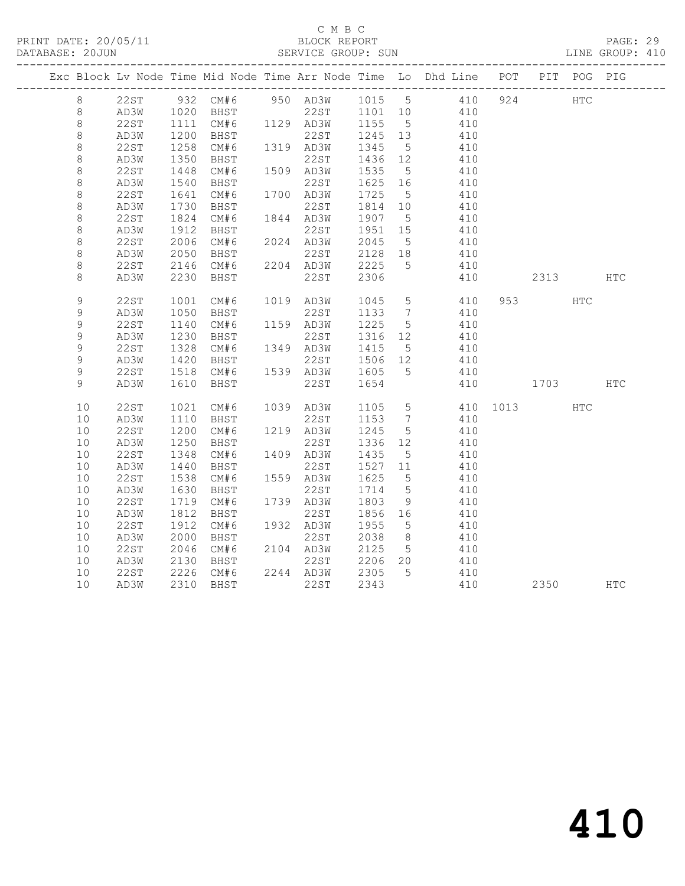### C M B C<br>BLOCK REPORT

PAGE: 29<br>LINE GROUP: 410

|  |             |      |                  |           |                                 |                                                      |                 | Exc Block Lv Node Time Mid Node Time Arr Node Time Lo Dhd Line POT |          | PIT POG PIG |            |
|--|-------------|------|------------------|-----------|---------------------------------|------------------------------------------------------|-----------------|--------------------------------------------------------------------|----------|-------------|------------|
|  | 8           |      |                  |           |                                 |                                                      |                 | 22ST 932 CM#6 950 AD3W 1015 5 410                                  | 924 HTC  |             |            |
|  | 8           | AD3W |                  | 1020 BHST |                                 |                                                      |                 | 22ST 1101 10 410                                                   |          |             |            |
|  | $\,8\,$     | 22ST | 1111<br>1200     |           |                                 |                                                      |                 | 410                                                                |          |             |            |
|  | $\,8\,$     | AD3W |                  |           |                                 |                                                      |                 | 410                                                                |          |             |            |
|  | $\,8\,$     | 22ST | 1258             | CM#6      | 1319 AD3W                       | 1345 5                                               |                 | 410                                                                |          |             |            |
|  | $\,8\,$     | AD3W |                  | BHST      | 22ST                            | 1436 12<br>1535 5                                    |                 | 410                                                                |          |             |            |
|  | $\,8\,$     | 22ST | $1330$<br>$1448$ | CM#6      | 1509 AD3W                       | 1535                                                 | $5\overline{)}$ | 410                                                                |          |             |            |
|  | $\,8\,$     | AD3W | 1540             | BHST      | 22ST                            | 1625 16                                              |                 | 410                                                                |          |             |            |
|  | $\,8\,$     | 22ST | $1641$<br>$1730$ | CM#6      | 1700 AD3W                       | $\begin{bmatrix} 1/2 \\ 1814 \\ 2 \end{bmatrix}$ 10  |                 | 410                                                                |          |             |            |
|  | $\,8\,$     | AD3W |                  | BHST      | 22ST                            |                                                      |                 | 410                                                                |          |             |            |
|  | $\,8\,$     | 22ST |                  | 1824 CM#6 | 1844 AD3W                       | 1907 5                                               |                 | 410                                                                |          |             |            |
|  | $\,8\,$     | AD3W | 1912             | BHST      | 22ST                            | 1951 15<br>2045 5                                    |                 | 410                                                                |          |             |            |
|  | $\,8\,$     | 22ST | 2006             | CM#6      | 2024 AD3W                       | 2045 5                                               |                 | 410                                                                |          |             |            |
|  | 8           | AD3W | 2050             | BHST      | 22ST                            | 2128 18                                              |                 | 410                                                                |          |             |            |
|  | $\,8\,$     | 22ST | 2146             | CM#6      | 2204 AD3W                       | 2225                                                 | $5^{\circ}$     | 410                                                                |          |             |            |
|  | 8           | AD3W | 2230             | BHST      | 22ST                            | 2306                                                 |                 | 410                                                                | 2313     |             | <b>HTC</b> |
|  | 9           | 22ST | 1001             | CM#6      | 1019 AD3W 1045 5<br>22ST 1133 7 |                                                      |                 | 410                                                                | 953 HTC  |             |            |
|  | $\mathsf 9$ | AD3W | 1050             | BHST      |                                 |                                                      |                 | 410                                                                |          |             |            |
|  | 9           | 22ST | 1140             | CM#6      | 1159 AD3W                       | 1225 5                                               |                 | 410                                                                |          |             |            |
|  | 9           | AD3W | $1230$<br>$1328$ | BHST      | 22ST                            | 1316 12<br>$13 + 2$<br>1415<br>1506                  |                 | $410$<br>$410$                                                     |          |             |            |
|  | $\mathsf 9$ | 22ST |                  | CM#6      | 1349 AD3W                       |                                                      | 5 <sup>5</sup>  |                                                                    |          |             |            |
|  | 9           | AD3W | 1420             | BHST      | 22ST                            | 1506 12                                              |                 | 410                                                                |          |             |            |
|  | 9           | 22ST | 1518<br>1610     | CM#6      | 1539 AD3W 1605 5<br>22st 1654   |                                                      |                 | 410                                                                |          |             |            |
|  | 9           | AD3W |                  | BHST      | 22ST                            | 1654                                                 |                 | 410                                                                | 1703 HTC |             |            |
|  | 10          | 22ST | 1021             | CM#6      | 1039 AD3W                       | $\begin{array}{cc} 1105 & 5 \\ 1153 & 7 \end{array}$ |                 | 410 1013 HTC                                                       |          |             |            |
|  | 10          | AD3W | 1110             | BHST      | 22ST                            | 1153 7                                               |                 | 410                                                                |          |             |            |
|  | 10          | 22ST | 1200             | CM#6      | 1219 AD3W                       | 1245 5                                               |                 | 410                                                                |          |             |            |
|  | 10          | AD3W | 1250             | BHST      | 22ST                            | 1336 12<br>1435 5                                    |                 | 410                                                                |          |             |            |
|  | 10          | 22ST | 1348             | CM#6      | 1409 AD3W                       | 1435 5                                               |                 | 410                                                                |          |             |            |
|  | 10          | AD3W | 1440             | BHST      | 22ST                            | 1527 11                                              |                 | 410                                                                |          |             |            |
|  | 10          | 22ST | 1538             | CM#6      | 1559 AD3W                       | 1625                                                 | $5\overline{)}$ | 410                                                                |          |             |            |
|  | 10          | AD3W | 1630             | BHST      | 22ST                            | 1714 5                                               |                 | 410                                                                |          |             |            |
|  | $10$        | 22ST |                  | 1719 CM#6 | 1739 AD3W                       | 1803                                                 | 9               | 410                                                                |          |             |            |
|  | 10          | AD3W | 1812             | BHST      | 22ST                            | 1856 16                                              |                 | 410                                                                |          |             |            |
|  | $10$        | 22ST | 1912             | CM#6      | 1932 AD3W                       | 1955 5                                               |                 | 410                                                                |          |             |            |
|  | 10          | AD3W | 2000             | BHST      | 22ST                            | 2038                                                 | 8 <sup>8</sup>  | 410                                                                |          |             |            |
|  | 10          | 22ST | 2046             | CM#6      | 2104 AD3W                       | 2125                                                 | 5 <sup>5</sup>  | 410                                                                |          |             |            |
|  | 10          | AD3W | 2130             | BHST      | 22ST                            | 2206 20                                              |                 | 410                                                                |          |             |            |
|  | 10          | 22ST |                  | 2226 CM#6 | 2244 AD3W                       | 2305                                                 | $5\overline{)}$ | 410                                                                |          |             |            |
|  | 10          | AD3W |                  | 2310 BHST | 22ST                            | 2343                                                 |                 | 410                                                                | 2350     |             | <b>HTC</b> |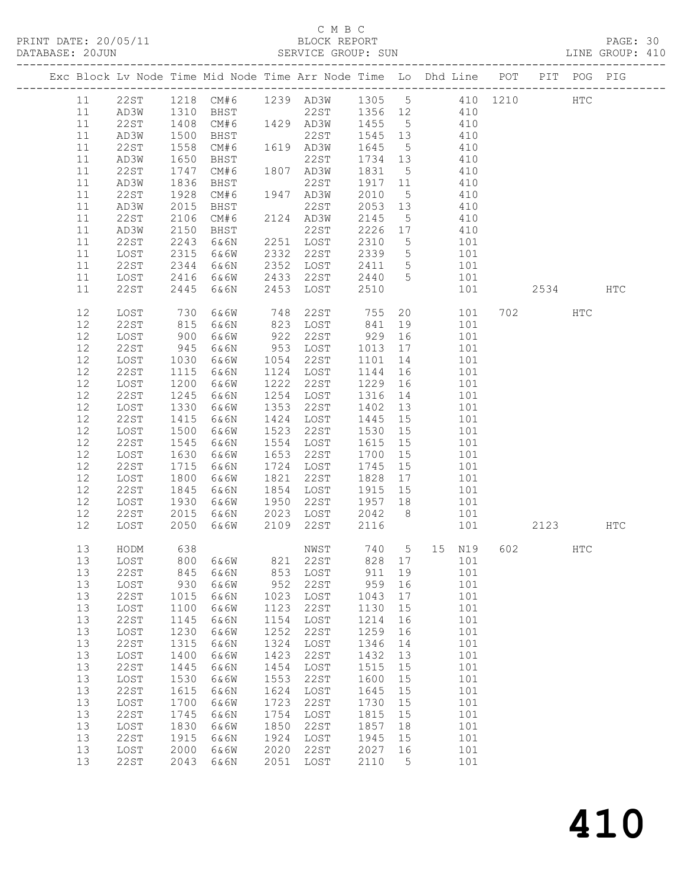### C M B C

| PRINT DATE: 20/05/11<br>BLOCK REPORT BLOCK PERENT BLOCK PERENT DATABASE: 20JUN SERVICE GROUP: SUN LINE GROUP: 410 |             |            |                                                                                            |      |                                                        |                                                                                                    |    |                                                                        |                  |          |      |            |     |  |
|-------------------------------------------------------------------------------------------------------------------|-------------|------------|--------------------------------------------------------------------------------------------|------|--------------------------------------------------------|----------------------------------------------------------------------------------------------------|----|------------------------------------------------------------------------|------------------|----------|------|------------|-----|--|
|                                                                                                                   |             |            | Exc Block Lv Node Time Mid Node Time Arr Node Time Lo Dhd Line POT PIT POG PIG             |      |                                                        |                                                                                                    |    |                                                                        |                  |          |      |            |     |  |
| 11                                                                                                                | 22ST        |            | 1218 CM#6 1239 AD3W 1305 5 410 1210                                                        |      |                                                        |                                                                                                    |    |                                                                        |                  |          |      | <b>HTC</b> |     |  |
| 11                                                                                                                | AD3W        |            |                                                                                            |      |                                                        |                                                                                                    |    |                                                                        |                  |          |      |            |     |  |
| 11                                                                                                                | 22ST        |            |                                                                                            |      |                                                        |                                                                                                    |    |                                                                        |                  |          |      |            |     |  |
| 11                                                                                                                | AD3W        |            | 1310 BHST 22ST 1356 12 410<br>1408 CM#6 1429 AD3W 1455 5 410<br>1500 BHST 22ST 1545 13 410 |      |                                                        |                                                                                                    |    |                                                                        |                  |          |      |            |     |  |
| 11                                                                                                                | 22ST        | 1558       |                                                                                            |      | CM#6 1619 AD3W 1645                                    |                                                                                                    |    | 5 410                                                                  |                  |          |      |            |     |  |
| 11                                                                                                                | AD3W        | 1650       | BHST                                                                                       |      | 22ST                                                   | 1734 13                                                                                            |    | 410                                                                    |                  |          |      |            |     |  |
| 11                                                                                                                | 22ST        | 1747       | CM#6                                                                                       |      | 1807 AD3W<br>22ST                                      |                                                                                                    |    |                                                                        |                  |          |      |            |     |  |
| 11                                                                                                                | AD3W        | 1836       | BHST                                                                                       |      | 22ST                                                   | 1831 5 410<br>1917 11 410                                                                          |    |                                                                        |                  |          |      |            |     |  |
| 11                                                                                                                | 22ST        | 1928       | CM#6                                                                                       |      | 1947 AD3W 2010                                         |                                                                                                    |    | 5 410                                                                  |                  |          |      |            |     |  |
| 11                                                                                                                | AD3W        | 2015       | BHST                                                                                       |      | 22ST                                                   | 2053 13                                                                                            |    | 410                                                                    |                  |          |      |            |     |  |
| 11                                                                                                                | 22ST        | 2106       | CM#6                                                                                       |      | 2124 AD3W                                              |                                                                                                    |    |                                                                        |                  |          |      |            |     |  |
| 11                                                                                                                | AD3W        | 2150       | BHST                                                                                       |      | 22ST                                                   | 2145 5 410<br>2226 17 410                                                                          |    |                                                                        |                  |          |      |            |     |  |
| 11                                                                                                                | 22ST        | 2243       | 6&6N                                                                                       |      | 2251 LOST 2310                                         |                                                                                                    |    | 5 101                                                                  |                  |          |      |            |     |  |
| 11                                                                                                                | LOST        | 2315       | 6&6W                                                                                       |      | 2332 22ST                                              | 2339 5 101                                                                                         |    |                                                                        |                  |          |      |            |     |  |
| 11                                                                                                                | 22ST        | 2344       | 6&6N                                                                                       | 2352 | LOST                                                   |                                                                                                    |    |                                                                        |                  |          |      |            |     |  |
| 11                                                                                                                | LOST        | 2416       | 6&6W                                                                                       |      | 2433 22ST                                              | $\begin{array}{cccc} 2411 & 5 & 101 \\ 2440 & 5 & 101 \\ 2510 & & 101 \end{array}$<br>2411<br>2440 |    |                                                                        |                  |          |      |            |     |  |
| 11                                                                                                                | 22ST        | 2445       | 6&6N                                                                                       | 2453 | LOST                                                   | 2510                                                                                               |    |                                                                        | 101              |          | 2534 |            | HTC |  |
| 12                                                                                                                | LOST        |            | 6&6W                                                                                       |      |                                                        |                                                                                                    |    |                                                                        |                  |          | 702  | HTC        |     |  |
| 12                                                                                                                | 22ST        | 730<br>815 | 6&6N                                                                                       |      | 748    22ST           755<br>823    LOST           841 |                                                                                                    |    |                                                                        | 20 101<br>19 101 |          |      |            |     |  |
| 12                                                                                                                | LOST        | 900        | 6&6W                                                                                       | 922  | 22ST 929                                               |                                                                                                    |    | 16 101                                                                 |                  |          |      |            |     |  |
| 12                                                                                                                | 22ST        | 945        | 6&6N                                                                                       |      | 953 LOST                                               | 1013 17 101                                                                                        |    |                                                                        |                  |          |      |            |     |  |
| $12$                                                                                                              | LOST        | 1030       | 6&6W                                                                                       | 1054 | 22ST                                                   | 1101                                                                                               |    | 14 101                                                                 |                  |          |      |            |     |  |
| 12                                                                                                                | 22ST        | 1115       | 6&6N                                                                                       |      | 1124 LOST                                              | 1144                                                                                               |    |                                                                        |                  |          |      |            |     |  |
| 12                                                                                                                | LOST        | 1200       | 6&6W                                                                                       | 1222 | 22ST                                                   | 1229                                                                                               |    | $\begin{array}{cc} 16 & \qquad & 101 \\ 16 & \qquad & 101 \end{array}$ |                  |          |      |            |     |  |
| $12$                                                                                                              | 22ST        | 1245       | 6&6N                                                                                       |      | 1254 LOST                                              | 1316                                                                                               |    | 14 101                                                                 |                  |          |      |            |     |  |
| $12$                                                                                                              | LOST        | 1330       | 6&6W                                                                                       | 1353 | 22ST                                                   | 1402                                                                                               |    | 13 101                                                                 |                  |          |      |            |     |  |
| 12                                                                                                                | 22ST        | 1415       | 6&6N                                                                                       | 1424 | LOST                                                   | 1445                                                                                               |    |                                                                        | 101              |          |      |            |     |  |
| 12                                                                                                                | LOST        | 1500       | 6&6W                                                                                       | 1523 | 22ST                                                   | 1530                                                                                               |    | $\begin{array}{c} 15 \\ 15 \end{array}$                                | 101              |          |      |            |     |  |
| 12                                                                                                                | 22ST        | 1545       | 6&6N                                                                                       | 1554 | LOST                                                   | 1615 15                                                                                            |    | 101                                                                    |                  |          |      |            |     |  |
| 12                                                                                                                | LOST        | 1630       | 6&6W                                                                                       | 1653 | 22ST                                                   | 1700                                                                                               | 15 |                                                                        | 101              |          |      |            |     |  |
| 12                                                                                                                | 22ST        | 1715       | 6&6N                                                                                       |      | 1724 LOST                                              | 1745                                                                                               |    |                                                                        | 101              |          |      |            |     |  |
| 12                                                                                                                | LOST        | 1800       | 6&6W                                                                                       | 1821 | 22ST                                                   | 1828                                                                                               |    | $\frac{15}{17}$                                                        | 101              |          |      |            |     |  |
| 12                                                                                                                | 22ST        | 1845       | 6&6N                                                                                       | 1854 | LOST 1915 15                                           |                                                                                                    |    | 101                                                                    |                  |          |      |            |     |  |
| 12                                                                                                                | LOST        | 1930       | 6&6W                                                                                       | 1950 | 22ST                                                   | 1957 18                                                                                            |    | 101                                                                    |                  |          |      |            |     |  |
| 12                                                                                                                | 22ST        | 2015       | 6&6N                                                                                       |      | 2023 LOST<br>2109 22ST                                 | 2042                                                                                               |    | 8 101                                                                  |                  |          |      |            |     |  |
| 12                                                                                                                | LOST        | 2050       | 6&6W                                                                                       |      | 2109 22ST                                              | 2116                                                                                               |    |                                                                        |                  | 101 2123 |      |            | HTC |  |
| 13                                                                                                                | HODM        | 638        |                                                                                            |      | NWST                                                   | 740                                                                                                | 5  | 15                                                                     | N19              | 602      |      | HTC        |     |  |
| 13                                                                                                                | LOST        | 800        | 6&6W                                                                                       | 821  | 22ST                                                   | 828                                                                                                | 17 |                                                                        | 101              |          |      |            |     |  |
| 13                                                                                                                | <b>22ST</b> | 845        | 6&6N                                                                                       | 853  | LOST                                                   | 911                                                                                                | 19 |                                                                        | 101              |          |      |            |     |  |
| 13                                                                                                                | LOST        | 930        | 6&6W                                                                                       | 952  | 22ST                                                   | 959                                                                                                | 16 |                                                                        | 101              |          |      |            |     |  |
| 13                                                                                                                | 22ST        | 1015       | 6&6N                                                                                       | 1023 | LOST                                                   | 1043                                                                                               | 17 |                                                                        | 101              |          |      |            |     |  |
| 13                                                                                                                | LOST        | 1100       | 6&6W                                                                                       | 1123 | 22ST                                                   | 1130                                                                                               | 15 |                                                                        | 101              |          |      |            |     |  |
| 13                                                                                                                | 22ST        | 1145       | 6&6N                                                                                       | 1154 | LOST                                                   | 1214                                                                                               | 16 |                                                                        | 101              |          |      |            |     |  |
| 13                                                                                                                | LOST        | 1230       | 6&6W                                                                                       | 1252 | 22ST                                                   | 1259                                                                                               | 16 |                                                                        | 101              |          |      |            |     |  |
| 13                                                                                                                | <b>22ST</b> | 1315       | 6&6N                                                                                       | 1324 | LOST                                                   | 1346                                                                                               | 14 |                                                                        | 101              |          |      |            |     |  |
| 13                                                                                                                | LOST        | 1400       | 6&6W                                                                                       | 1423 | 22ST                                                   | 1432                                                                                               | 13 |                                                                        | 101              |          |      |            |     |  |
| 13                                                                                                                | 22ST        | 1445       | 6&6N                                                                                       | 1454 | LOST                                                   | 1515                                                                                               | 15 |                                                                        | 101              |          |      |            |     |  |
| 13                                                                                                                | LOST        | 1530       | 6&6W                                                                                       | 1553 | 22ST                                                   | 1600                                                                                               | 15 |                                                                        | 101              |          |      |            |     |  |
| 13                                                                                                                | 22ST        | 1615       | 6&6N                                                                                       | 1624 | LOST                                                   | 1645                                                                                               | 15 |                                                                        | 101              |          |      |            |     |  |
| 13                                                                                                                | LOST        | 1700       | 6&6W                                                                                       | 1723 | 22ST                                                   | 1730                                                                                               | 15 |                                                                        | 101              |          |      |            |     |  |
| $13$                                                                                                              | 22ST        | 1745       | 6&6N                                                                                       | 1754 | LOST                                                   | 1815                                                                                               | 15 |                                                                        | 101              |          |      |            |     |  |
| 13                                                                                                                | LOST        | 1830       | 6&6W                                                                                       | 1850 | 22ST                                                   | 1857                                                                                               | 18 |                                                                        | 101              |          |      |            |     |  |
| 13                                                                                                                | <b>22ST</b> | 1915       | 6&6N                                                                                       | 1924 | LOST                                                   | 1945                                                                                               | 15 |                                                                        | 101              |          |      |            |     |  |
| 13                                                                                                                | LOST        | 2000       | 6&6W                                                                                       | 2020 | 22ST                                                   | 2027                                                                                               | 16 |                                                                        | 101              |          |      |            |     |  |
| 13                                                                                                                | 22ST        | 2043       | 6&6N                                                                                       | 2051 | LOST                                                   | 2110                                                                                               | 5  |                                                                        | 101              |          |      |            |     |  |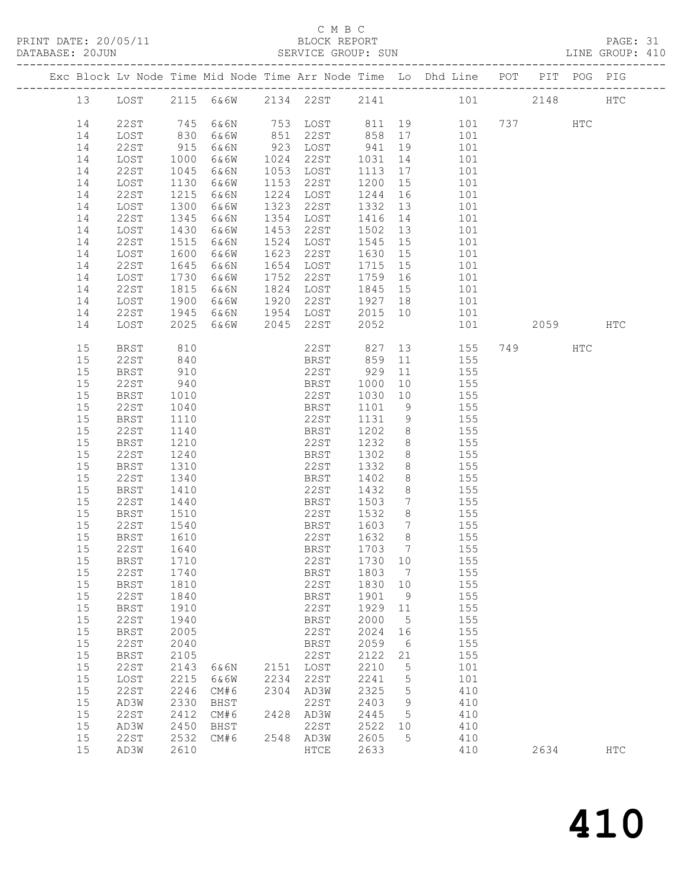### C M B C<br>BLOCK REPORT

| DATABASE: 20JUN |          |              |                  |      |      | SERVICE GROUP: SUN                 |         |                 | LINE GROUP: 410                                                                |            |     |            |
|-----------------|----------|--------------|------------------|------|------|------------------------------------|---------|-----------------|--------------------------------------------------------------------------------|------------|-----|------------|
|                 |          |              |                  |      |      |                                    |         |                 | Exc Block Lv Node Time Mid Node Time Arr Node Time Lo Dhd Line POT PIT POG PIG |            |     |            |
|                 | 13       |              |                  |      |      |                                    |         |                 | LOST 2115 6&6W 2134 22ST 2141 101 2148 HTC                                     |            |     |            |
|                 | 14       | 22ST         | 745              | 6&6N |      |                                    |         |                 | 753 LOST 811 19 101 737 HTC                                                    |            |     |            |
|                 | 14       | LOST         |                  | 6&6W |      |                                    |         |                 | 101                                                                            |            |     |            |
|                 | 14       | 22ST         | 830<br>915       | 6&6N |      | 851 22ST 858 17<br>923 LOST 941 19 |         |                 | 101                                                                            |            |     |            |
|                 | 14       | LOST         | 1000             | 6&6W |      | 1024 22ST                          | 1031    | 14              | 101                                                                            |            |     |            |
|                 | 14       | 22ST         | 1045             | 6&6N |      | 1053 LOST                          | 1113    |                 | 17 101                                                                         |            |     |            |
|                 | 14       | LOST         | 1130             | 6&6W |      | 1153 22ST                          | 1200 15 |                 | 101                                                                            |            |     |            |
|                 | 14       | 22ST         | 1215             | 6&6N |      | 1224 LOST                          | 1244    |                 | 16<br>101                                                                      |            |     |            |
|                 | 14       | LOST         | 1300             | 6&6W | 1323 | 22ST                               | 1332 13 |                 | 101                                                                            |            |     |            |
|                 | 14       | 22ST         | 1345             | 6&6N |      | 1354 LOST                          | 1416    |                 | 14<br>101                                                                      |            |     |            |
|                 | 14       | LOST         | 1430             | 6&6W |      | 1453 22ST                          | 1502 13 |                 | 101                                                                            |            |     |            |
|                 | 14       | 22ST         | 1515             | 6&6N |      | 1524 LOST                          | 1545    | 15              | 101                                                                            |            |     |            |
|                 | 14       | LOST         | 1600             | 6&6W |      | 1623 22ST                          | 1630 15 |                 | 101                                                                            |            |     |            |
|                 | 14       | 22ST         | 1645             | 6&6N |      | 1654 LOST                          | 1715 15 |                 | 101                                                                            |            |     |            |
|                 | 14       | LOST         | 1730             | 6&6W |      | 1752 22ST                          | 1759 16 |                 | 101                                                                            |            |     |            |
|                 | 14       |              | $\frac{1}{1815}$ |      |      | 1824 LOST                          | 1845 15 |                 |                                                                                |            |     |            |
|                 |          | 22ST         | 1900             | 6&6N |      | 1920 22ST 1927 18                  |         |                 | 101<br>101                                                                     |            |     |            |
|                 | 14       | LOST         |                  | 6&6W |      | 1954 LOST                          |         |                 |                                                                                |            |     |            |
|                 | 14<br>14 | 22ST         | 1945             | 6&6N |      | 6&6W 2045 22ST                     | 2052    |                 | 2015 10 101<br>101                                                             | 2059 — 205 |     | HTC        |
|                 |          | LOST         | 2025             |      |      |                                    |         |                 |                                                                                |            |     |            |
|                 | 15       | BRST         | 810              |      |      | 22ST                               | 827     |                 | 13 155                                                                         | 749        | HTC |            |
|                 | 15       | 22ST         | 840              |      |      | BRST 859                           |         |                 | 11<br>155                                                                      |            |     |            |
|                 | 15       | <b>BRST</b>  | 910              |      |      | 22ST 929                           |         | 11              | 155                                                                            |            |     |            |
|                 | 15       | 22ST         | 940              |      |      | BRST                               | 1000    | 10              | 155                                                                            |            |     |            |
|                 | 15       | BRST         | 1010             |      |      | 22ST                               | 1030    |                 | 10 155                                                                         |            |     |            |
|                 | 15       | 22ST         | 1040             |      |      | BRST                               | 1101    |                 | 9 155                                                                          |            |     |            |
|                 | 15       | <b>BRST</b>  | 1110             |      |      | 22ST                               | 1131    | 9               | 155                                                                            |            |     |            |
|                 | 15       | 22ST         | 1140             |      |      | BRST                               | 1202    | 8 <sup>8</sup>  | 155                                                                            |            |     |            |
|                 | 15       | BRST         | 1210             |      |      | 22ST                               | 1232    | 8 <sup>8</sup>  | 155                                                                            |            |     |            |
|                 | 15       | 22ST         | 1240             |      |      | BRST                               | 1302    | 8 <sup>8</sup>  | 155                                                                            |            |     |            |
|                 | 15       | BRST         | 1310             |      |      | 22ST                               | 1332    | 8               | 155                                                                            |            |     |            |
|                 | 15       | 22ST         | 1340             |      |      | BRST                               | 1402    | 8               | 155                                                                            |            |     |            |
|                 | 15       | BRST         | 1410             |      |      | 22ST                               | 1432    | 8 <sup>8</sup>  | 155                                                                            |            |     |            |
|                 | 15       | 22ST         | 1440             |      |      | BRST                               | 1503    |                 | 7 155                                                                          |            |     |            |
|                 | 15       | BRST         | 1510             |      |      | 22ST                               | 1532    | 8 <sup>8</sup>  | 155                                                                            |            |     |            |
|                 | 15       | 22ST         |                  |      |      | BRST                               | 1603    | $7\overline{ }$ |                                                                                |            |     |            |
|                 | 15       | BRST         | 1540<br>1610     |      |      | 22ST                               | 1632    | 8 <sup>8</sup>  | 155<br>155                                                                     |            |     |            |
|                 |          | 15 22ST 1640 |                  |      |      |                                    |         |                 | BRST 1703 7 155                                                                |            |     |            |
|                 | 15       | BRST         | 1710             |      |      | 22ST                               | 1730 10 |                 | 155                                                                            |            |     |            |
|                 | 15       | 22ST         | 1740             |      |      | BRST                               | 1803 7  |                 | 155                                                                            |            |     |            |
|                 | 15       | BRST         | 1810             |      |      | 22ST                               | 1830 10 |                 | 155                                                                            |            |     |            |
|                 | 15       | 22ST         | 1840             |      |      | BRST                               | 1901    | 9               | 155                                                                            |            |     |            |
|                 | 15       | BRST         | 1910             |      |      | 22ST                               | 1929    | 11              | 155                                                                            |            |     |            |
|                 | 15       | 22ST         | 1940             |      |      | BRST                               | 2000    | $5^{\circ}$     | 155                                                                            |            |     |            |
|                 | 15       | BRST         | 2005             |      |      | 22ST                               | 2024    | 16              | 155                                                                            |            |     |            |
|                 | 15       | 22ST         | 2040             |      |      | BRST                               | 2059    | $6\overline{6}$ | 155                                                                            |            |     |            |
|                 | 15       | BRST         | 2105             |      |      | 22ST                               | 2122    | 21              | 155                                                                            |            |     |            |
|                 | 15       | 22ST         | 2143             | 6&6N |      | 2151 LOST                          | 2210    | $5^{\circ}$     | 101                                                                            |            |     |            |
|                 | 15       | LOST         | 2215             | 6&6W | 2234 | 22ST                               | 2241    | 5               | 101                                                                            |            |     |            |
|                 | 15       | 22ST         | 2246             | CM#6 | 2304 | AD3W                               | 2325    | $5^{\circ}$     | 410                                                                            |            |     |            |
|                 | 15       | AD3W         | 2330             | BHST |      | 22ST                               | 2403    | - 9             | 410                                                                            |            |     |            |
|                 | 15       | 22ST         | 2412             | CM#6 | 2428 | AD3W                               | 2445    | $5^{\circ}$     | 410                                                                            |            |     |            |
|                 | 15       | AD3W         | 2450             | BHST |      | 22ST                               | 2522 10 |                 | 410                                                                            |            |     |            |
|                 | 15       | 22ST         | 2532             | CM#6 |      | 2548 AD3W                          | 2605    | $5^{\circ}$     | 410                                                                            |            |     |            |
|                 | 15       | AD3W         | 2610             |      |      | HTCE                               | 2633    |                 | 410                                                                            | 2634       |     | <b>HTC</b> |
|                 |          |              |                  |      |      |                                    |         |                 |                                                                                |            |     |            |

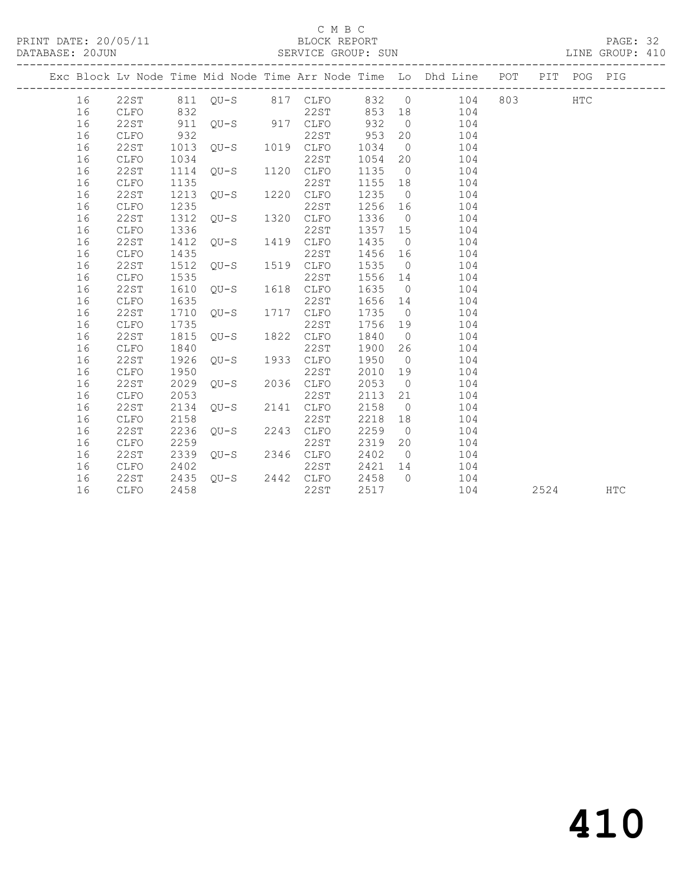### C M B C<br>BLOCK REPORT

### SERVICE GROUP: SUN

|  |    |              |      |                     |      |         |                | Exc Block Lv Node Time Mid Node Time Arr Node Time Lo Dhd Line POT PIT POG PIG |      |            |
|--|----|--------------|------|---------------------|------|---------|----------------|--------------------------------------------------------------------------------|------|------------|
|  | 16 |              |      |                     |      |         |                | 22ST 811 QU-S 817 CLFO 832 0 104 803 HTC                                       |      |            |
|  | 16 | CLFO         | 832  |                     | 22ST | 853 18  |                | 104                                                                            |      |            |
|  | 16 | 22ST         |      |                     |      | 932     | $\overline{0}$ | 104                                                                            |      |            |
|  | 16 | CLFO         | 932  |                     | 22ST | 953     | 20             | 104                                                                            |      |            |
|  | 16 | 22ST         |      | 1013 QU-S 1019 CLFO |      | 1034    | $\overline{0}$ | 104                                                                            |      |            |
|  | 16 | CLFO         | 1034 |                     | 22ST | 1054    | 20             | 104                                                                            |      |            |
|  | 16 | 22ST         |      | 1114 QU-S 1120 CLFO |      | 1135    | $\overline{0}$ | 104                                                                            |      |            |
|  | 16 | CLFO         | 1135 |                     | 22ST | 1155 18 |                | 104                                                                            |      |            |
|  | 16 | 22ST         |      | 1213 QU-S 1220 CLFO |      | 1235    | $\overline{0}$ | 104                                                                            |      |            |
|  | 16 | CLFO         | 1235 |                     | 22ST | 1256    | 16             | 104                                                                            |      |            |
|  | 16 | 22ST         |      | 1312 QU-S 1320 CLFO |      | 1336    | $\overline{0}$ | 104                                                                            |      |            |
|  | 16 | CLFO         | 1336 |                     | 22ST | 1357 15 |                | 104                                                                            |      |            |
|  | 16 | 22ST         | 1412 | QU-S 1419 CLFO      |      | 1435    | $\overline{0}$ | 104                                                                            |      |            |
|  | 16 | ${\tt CLFO}$ | 1435 |                     | 22ST | 1456 16 |                | 104                                                                            |      |            |
|  | 16 | 22ST         |      | 1512 QU-S 1519 CLFO |      | 1535    | $\overline{0}$ | 104                                                                            |      |            |
|  | 16 | <b>CLFO</b>  | 1535 |                     | 22ST | 1556    | 14             | 104                                                                            |      |            |
|  | 16 | 22ST         |      | 1610 QU-S 1618 CLFO |      | 1635    | $\overline{0}$ | 104                                                                            |      |            |
|  | 16 | <b>CLFO</b>  | 1635 |                     | 22ST | 1656 14 |                | 104                                                                            |      |            |
|  | 16 | 22ST         | 1710 | QU-S 1717 CLFO      |      | 1735    | $\overline{0}$ | 104                                                                            |      |            |
|  | 16 | CLFO         | 1735 |                     | 22ST | 1756    | 19             | 104                                                                            |      |            |
|  | 16 | 22ST         | 1815 | QU-S 1822 CLFO      |      | 1840    | $\overline{0}$ | 104                                                                            |      |            |
|  | 16 | CLFO         | 1840 |                     | 22ST | 1900    | 26             | 104                                                                            |      |            |
|  | 16 | <b>22ST</b>  | 1926 | QU-S 1933 CLFO      |      | 1950    | $\overline{0}$ | 104                                                                            |      |            |
|  | 16 | CLFO         | 1950 |                     | 22ST | 2010    | 19             | 104                                                                            |      |            |
|  | 16 | 22ST         | 2029 | QU-S 2036 CLFO      |      | 2053    | $\overline{0}$ | 104                                                                            |      |            |
|  | 16 | <b>CLFO</b>  | 2053 |                     | 22ST | 2113    | 21             | 104                                                                            |      |            |
|  | 16 | 22ST         | 2134 | OU-S 2141           | CLFO | 2158    | $\overline{0}$ | 104                                                                            |      |            |
|  | 16 | <b>CLFO</b>  | 2158 |                     | 22ST | 2218    | 18             | 104                                                                            |      |            |
|  | 16 | 22ST         | 2236 | $QU-S$ 2243 $CLFO$  |      | 2259    | $\overline{0}$ | 104                                                                            |      |            |
|  | 16 | <b>CLFO</b>  | 2259 |                     | 22ST | 2319    | 20             | 104                                                                            |      |            |
|  | 16 | 22ST         |      | 2339 QU-S 2346 CLFO |      | 2402    | $\overline{0}$ | 104                                                                            |      |            |
|  | 16 | CLFO         | 2402 |                     | 22ST | 2421    | 14             | 104                                                                            |      |            |
|  | 16 | 22ST         |      | 2435 QU-S 2442 CLFO |      | 2458    | $\bigcirc$     | 104                                                                            |      |            |
|  | 16 | CLFO         | 2458 |                     | 22ST | 2517    |                | 104                                                                            | 2524 | <b>HTC</b> |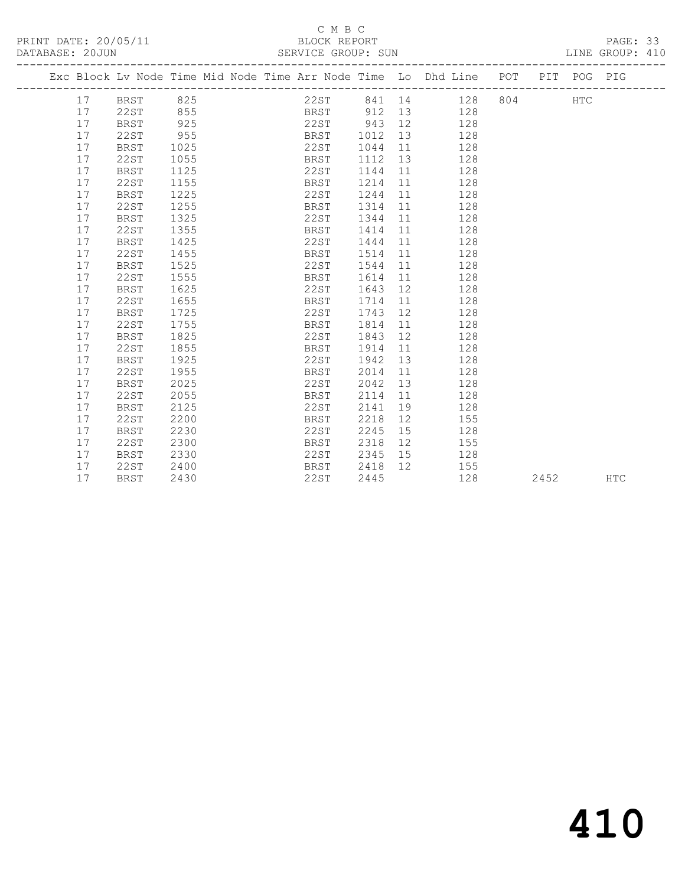### C M B C<br>BLOCK REPORT SERVICE GROUP: SUN

|  |    | Exc Block Lv Node Time Mid Node Time Arr Node Time Lo Dhd Line POT PIT POG PIG |      |  |      |                 |    |    |                     |      |     |            |
|--|----|--------------------------------------------------------------------------------|------|--|------|-----------------|----|----|---------------------|------|-----|------------|
|  | 17 | BRST 825                                                                       |      |  |      |                 |    |    | 22ST 841 14 128 804 |      | HTC |            |
|  | 17 | 22ST                                                                           | 855  |  |      | BRST 912 13 128 |    |    |                     |      |     |            |
|  | 17 | <b>BRST</b>                                                                    | 925  |  |      | 22ST 943 12     |    |    | 128                 |      |     |            |
|  | 17 | 22ST                                                                           | 955  |  | BRST | 1012            | 13 |    | 128                 |      |     |            |
|  | 17 | BRST                                                                           | 1025 |  | 22ST | 1044            | 11 |    | 128                 |      |     |            |
|  | 17 | 22ST                                                                           | 1055 |  | BRST | 1112            | 13 |    | 128                 |      |     |            |
|  | 17 | BRST                                                                           | 1125 |  | 22ST | 1144            | 11 |    | 128                 |      |     |            |
|  | 17 | 22ST                                                                           | 1155 |  | BRST | 1214            | 11 |    | 128                 |      |     |            |
|  | 17 | <b>BRST</b>                                                                    | 1225 |  | 22ST | 1244            | 11 |    | 128                 |      |     |            |
|  | 17 | <b>22ST</b>                                                                    | 1255 |  | BRST | 1314            | 11 |    | 128                 |      |     |            |
|  | 17 | <b>BRST</b>                                                                    | 1325 |  | 22ST | 1344            | 11 |    | 128                 |      |     |            |
|  | 17 | <b>22ST</b>                                                                    | 1355 |  | BRST | 1414            | 11 |    | 128                 |      |     |            |
|  | 17 | <b>BRST</b>                                                                    | 1425 |  | 22ST | 1444            | 11 |    | 128                 |      |     |            |
|  | 17 | <b>22ST</b>                                                                    | 1455 |  | BRST | 1514            | 11 |    | 128                 |      |     |            |
|  | 17 | <b>BRST</b>                                                                    | 1525 |  | 22ST | 1544            | 11 |    | 128                 |      |     |            |
|  | 17 | <b>22ST</b>                                                                    | 1555 |  | BRST | 1614            | 11 |    | 128                 |      |     |            |
|  | 17 | BRST                                                                           | 1625 |  | 22ST | 1643            | 12 |    | 128                 |      |     |            |
|  | 17 | <b>22ST</b>                                                                    | 1655 |  | BRST | 1714            | 11 |    | 128                 |      |     |            |
|  | 17 | <b>BRST</b>                                                                    | 1725 |  | 22ST | 1743            | 12 |    | 128                 |      |     |            |
|  | 17 | 22ST                                                                           | 1755 |  | BRST | 1814            | 11 |    | 128                 |      |     |            |
|  | 17 | <b>BRST</b>                                                                    | 1825 |  | 22ST | 1843            | 12 |    | 128                 |      |     |            |
|  | 17 | 22ST                                                                           | 1855 |  | BRST | 1914            | 11 |    | 128                 |      |     |            |
|  | 17 | <b>BRST</b>                                                                    | 1925 |  | 22ST | 1942            | 13 |    | 128                 |      |     |            |
|  | 17 | <b>22ST</b>                                                                    | 1955 |  | BRST | 2014            | 11 |    | 128                 |      |     |            |
|  | 17 | BRST                                                                           | 2025 |  | 22ST | 2042            | 13 |    | 128                 |      |     |            |
|  | 17 | <b>22ST</b>                                                                    | 2055 |  | BRST | 2114            | 11 |    | 128                 |      |     |            |
|  | 17 | <b>BRST</b>                                                                    | 2125 |  | 22ST | 2141            | 19 |    | 128                 |      |     |            |
|  | 17 | <b>22ST</b>                                                                    | 2200 |  | BRST | 2218            | 12 |    | 155                 |      |     |            |
|  | 17 | <b>BRST</b>                                                                    | 2230 |  | 22ST | 2245            | 15 |    | 128                 |      |     |            |
|  | 17 | 22ST                                                                           | 2300 |  | BRST | 2318            |    |    | 155                 |      |     |            |
|  | 17 | BRST                                                                           | 2330 |  | 22ST | 2345            |    | 15 | 128                 |      |     |            |
|  | 17 | 22ST                                                                           | 2400 |  | BRST | 2418            | 12 |    | 155                 |      |     |            |
|  | 17 | BRST                                                                           | 2430 |  | 22ST | 2445            |    |    | 128                 | 2452 |     | <b>HTC</b> |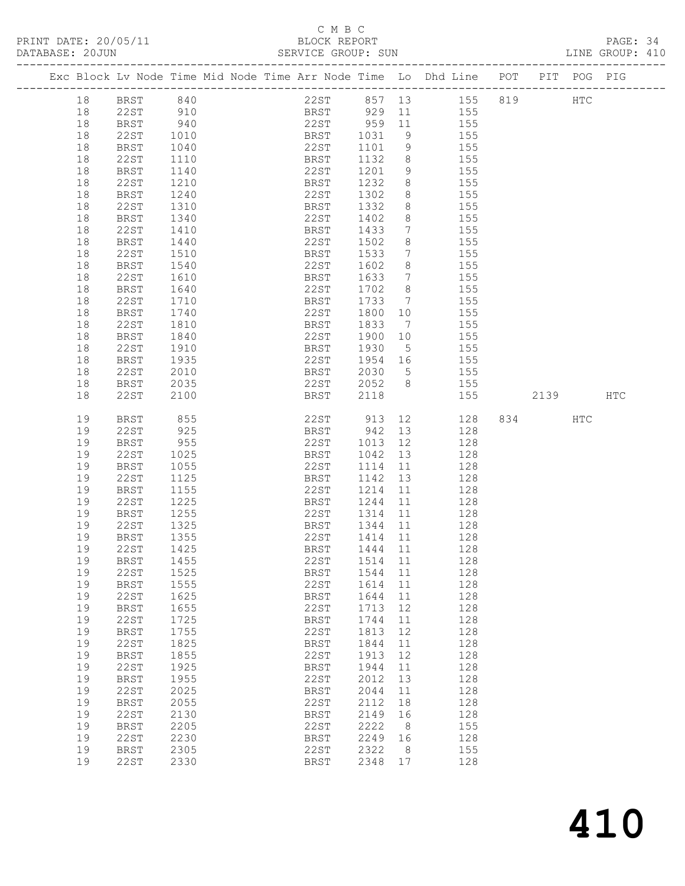## C M B C<br>BLOCK REPORT

| PRINT DATE: 20/05/11 | BLOCK REPORT       |                |
|----------------------|--------------------|----------------|
|                      |                    |                |
| DATABASE: 20JUN      | SERVICE GROUP: SUN | INE GROUP• 410 |

| 22ST 857 13 155 819<br>840<br>18<br>BRST<br><b>HTC</b><br>18<br>22ST<br>910<br>940<br>BRST 929 11<br>22ST 959 11<br>BRST 1031 9<br>155<br>18<br>155<br>BRST<br>155<br>18<br>22ST<br>1010<br>BRST<br>1031<br>22ST<br>18<br>BRST<br>1040<br>1101<br>9<br>155<br>18<br>22ST<br>BRST<br>1132<br>1110<br>8<br>155<br>22ST<br>9<br>155<br>18<br>BRST<br>1140<br>1201<br>155<br>1232<br>18<br>22ST<br>1210<br>BRST<br>8<br>18<br>1240<br>22ST<br>1302<br>8<br>155<br><b>BRST</b><br>18<br>22ST<br>1310<br>1332<br>8<br>155<br>BRST<br>18<br>22ST<br>8<br>BRST<br>1340<br>1402<br>155<br>22ST<br>18<br>1410<br>BRST<br>1433<br>7<br>155<br>22ST<br>8<br>18<br>BRST<br>1440<br>1502<br>155<br>18<br>22ST<br>1533<br>1510<br>BRST<br>7<br>155<br>18<br>22ST<br>1602<br>8<br>155<br>BRST<br>1540<br>18<br>22ST<br>1633<br>$7\phantom{.0}\phantom{.0}7$<br>155<br>1610<br>BRST<br>22ST<br>1702<br>$8\,$<br>18<br><b>BRST</b><br>1640<br>155<br>18<br>22ST<br>1733<br>155<br>1710<br>BRST<br>$\overline{7}$<br>18<br>22ST<br>1800<br>BRST<br>1740<br>10<br>155<br>18<br>22ST<br>1833<br>$7\phantom{.0}\phantom{.0}7$<br>155<br>1810<br>BRST<br>22ST<br>1900<br>18<br><b>BRST</b><br>1840<br>155<br>10<br>18<br>22ST<br>1930<br>155<br>1910<br>BRST<br>$5^{\circ}$<br>18<br>1935<br>22ST<br>1954<br>BRST<br>16<br>155<br>18<br>22ST<br>2030<br>$5^{\circ}$<br>155<br>2010<br>BRST<br>22ST<br>2052<br>18<br>2035<br>8<br>155<br>BRST<br><b>22ST</b><br>155<br>18<br>2100<br>BRST<br>2118<br>2139<br>HTC<br>913<br>19<br>855<br>22ST<br>12<br>128<br>HTC<br>BRST<br>942<br>925<br>19<br>22ST<br>BRST<br>13<br>128<br>955<br>22ST<br>19<br><b>BRST</b><br>1013<br>12<br>128<br>22ST<br>19<br>1025<br>BRST<br>1042<br>13<br>128<br>22ST<br>19<br>BRST<br>1055<br>1114<br>11<br>128<br>1142<br>19<br>22ST<br>1125<br>BRST<br>13<br>128<br>19<br><b>BRST</b><br>1155<br>22ST<br>1214<br>11<br>128<br>19<br>22ST<br>1225<br>BRST<br>1244<br>11<br>128<br>1255<br>22ST<br>19<br>BRST<br>1314<br>11<br>128<br>1344<br>22ST<br>19<br>1325<br>BRST<br>11<br>128<br>1355<br>22ST<br>19<br><b>BRST</b><br>1414 11<br>128<br>22ST<br>1425<br>BRST<br>1444 11<br>19<br>128<br>22ST 1514 11<br>19 BRST 1455<br>128<br>22ST<br>1525<br>19<br>1544<br>11<br>128<br>BRST<br>19<br>1555<br>22ST<br>1614<br>128<br><b>BRST</b><br>11<br>19<br><b>22ST</b><br>1625<br>1644<br>128<br>BRST<br>11<br>128<br>19<br>1655<br><b>22ST</b><br>1713<br>12<br><b>BRST</b><br>128<br>19<br>22ST<br>1725<br>1744<br>BRST<br>11<br>128<br>19<br>1755<br>22ST<br>1813<br>12<br><b>BRST</b><br>22ST<br>19<br>1825<br><b>BRST</b><br>1844<br>128<br>11<br>1855<br>128<br>19<br><b>BRST</b><br>22ST<br>1913<br>12<br>19<br>22ST<br>1925<br>1944<br>128<br>BRST<br>11<br>19<br>1955<br>22ST<br>2012<br>128<br><b>BRST</b><br>13<br>19<br><b>22ST</b><br>2025<br>128<br>BRST<br>2044<br>11<br>2055<br>128<br>19<br><b>BRST</b><br>22ST<br>2112<br>18<br>128<br>19<br>22ST<br>2130<br><b>BRST</b><br>2149<br>16<br>2222<br>19<br>2205<br>22ST<br>155<br><b>BRST</b><br>8<br>19<br><b>22ST</b><br>2230<br>2249<br>128<br>BRST<br>16<br>19<br>2305<br>22ST<br>2322<br>155<br><b>BRST</b><br>8<br>19<br>22ST<br>2330<br>2348<br>128<br>BRST<br>17 |  | Exc Block Lv Node Time Mid Node Time Arr Node Time Lo Dhd Line POT PIT POG PIG |  |  |  |  |  |  |  |
|-----------------------------------------------------------------------------------------------------------------------------------------------------------------------------------------------------------------------------------------------------------------------------------------------------------------------------------------------------------------------------------------------------------------------------------------------------------------------------------------------------------------------------------------------------------------------------------------------------------------------------------------------------------------------------------------------------------------------------------------------------------------------------------------------------------------------------------------------------------------------------------------------------------------------------------------------------------------------------------------------------------------------------------------------------------------------------------------------------------------------------------------------------------------------------------------------------------------------------------------------------------------------------------------------------------------------------------------------------------------------------------------------------------------------------------------------------------------------------------------------------------------------------------------------------------------------------------------------------------------------------------------------------------------------------------------------------------------------------------------------------------------------------------------------------------------------------------------------------------------------------------------------------------------------------------------------------------------------------------------------------------------------------------------------------------------------------------------------------------------------------------------------------------------------------------------------------------------------------------------------------------------------------------------------------------------------------------------------------------------------------------------------------------------------------------------------------------------------------------------------------------------------------------------------------------------------------------------------------------------------------------------------------------------------------------------------------------------------------------------------------------------------------------------------------------------------------------------------------------------------------------------------------------------------------------------------------------------------------------------------------------------------------------------------------------------------------------------------------------------------------------------------------------------------------------------|--|--------------------------------------------------------------------------------|--|--|--|--|--|--|--|
|                                                                                                                                                                                                                                                                                                                                                                                                                                                                                                                                                                                                                                                                                                                                                                                                                                                                                                                                                                                                                                                                                                                                                                                                                                                                                                                                                                                                                                                                                                                                                                                                                                                                                                                                                                                                                                                                                                                                                                                                                                                                                                                                                                                                                                                                                                                                                                                                                                                                                                                                                                                                                                                                                                                                                                                                                                                                                                                                                                                                                                                                                                                                                                                         |  |                                                                                |  |  |  |  |  |  |  |
|                                                                                                                                                                                                                                                                                                                                                                                                                                                                                                                                                                                                                                                                                                                                                                                                                                                                                                                                                                                                                                                                                                                                                                                                                                                                                                                                                                                                                                                                                                                                                                                                                                                                                                                                                                                                                                                                                                                                                                                                                                                                                                                                                                                                                                                                                                                                                                                                                                                                                                                                                                                                                                                                                                                                                                                                                                                                                                                                                                                                                                                                                                                                                                                         |  |                                                                                |  |  |  |  |  |  |  |
|                                                                                                                                                                                                                                                                                                                                                                                                                                                                                                                                                                                                                                                                                                                                                                                                                                                                                                                                                                                                                                                                                                                                                                                                                                                                                                                                                                                                                                                                                                                                                                                                                                                                                                                                                                                                                                                                                                                                                                                                                                                                                                                                                                                                                                                                                                                                                                                                                                                                                                                                                                                                                                                                                                                                                                                                                                                                                                                                                                                                                                                                                                                                                                                         |  |                                                                                |  |  |  |  |  |  |  |
|                                                                                                                                                                                                                                                                                                                                                                                                                                                                                                                                                                                                                                                                                                                                                                                                                                                                                                                                                                                                                                                                                                                                                                                                                                                                                                                                                                                                                                                                                                                                                                                                                                                                                                                                                                                                                                                                                                                                                                                                                                                                                                                                                                                                                                                                                                                                                                                                                                                                                                                                                                                                                                                                                                                                                                                                                                                                                                                                                                                                                                                                                                                                                                                         |  |                                                                                |  |  |  |  |  |  |  |
|                                                                                                                                                                                                                                                                                                                                                                                                                                                                                                                                                                                                                                                                                                                                                                                                                                                                                                                                                                                                                                                                                                                                                                                                                                                                                                                                                                                                                                                                                                                                                                                                                                                                                                                                                                                                                                                                                                                                                                                                                                                                                                                                                                                                                                                                                                                                                                                                                                                                                                                                                                                                                                                                                                                                                                                                                                                                                                                                                                                                                                                                                                                                                                                         |  |                                                                                |  |  |  |  |  |  |  |
|                                                                                                                                                                                                                                                                                                                                                                                                                                                                                                                                                                                                                                                                                                                                                                                                                                                                                                                                                                                                                                                                                                                                                                                                                                                                                                                                                                                                                                                                                                                                                                                                                                                                                                                                                                                                                                                                                                                                                                                                                                                                                                                                                                                                                                                                                                                                                                                                                                                                                                                                                                                                                                                                                                                                                                                                                                                                                                                                                                                                                                                                                                                                                                                         |  |                                                                                |  |  |  |  |  |  |  |
|                                                                                                                                                                                                                                                                                                                                                                                                                                                                                                                                                                                                                                                                                                                                                                                                                                                                                                                                                                                                                                                                                                                                                                                                                                                                                                                                                                                                                                                                                                                                                                                                                                                                                                                                                                                                                                                                                                                                                                                                                                                                                                                                                                                                                                                                                                                                                                                                                                                                                                                                                                                                                                                                                                                                                                                                                                                                                                                                                                                                                                                                                                                                                                                         |  |                                                                                |  |  |  |  |  |  |  |
|                                                                                                                                                                                                                                                                                                                                                                                                                                                                                                                                                                                                                                                                                                                                                                                                                                                                                                                                                                                                                                                                                                                                                                                                                                                                                                                                                                                                                                                                                                                                                                                                                                                                                                                                                                                                                                                                                                                                                                                                                                                                                                                                                                                                                                                                                                                                                                                                                                                                                                                                                                                                                                                                                                                                                                                                                                                                                                                                                                                                                                                                                                                                                                                         |  |                                                                                |  |  |  |  |  |  |  |
|                                                                                                                                                                                                                                                                                                                                                                                                                                                                                                                                                                                                                                                                                                                                                                                                                                                                                                                                                                                                                                                                                                                                                                                                                                                                                                                                                                                                                                                                                                                                                                                                                                                                                                                                                                                                                                                                                                                                                                                                                                                                                                                                                                                                                                                                                                                                                                                                                                                                                                                                                                                                                                                                                                                                                                                                                                                                                                                                                                                                                                                                                                                                                                                         |  |                                                                                |  |  |  |  |  |  |  |
|                                                                                                                                                                                                                                                                                                                                                                                                                                                                                                                                                                                                                                                                                                                                                                                                                                                                                                                                                                                                                                                                                                                                                                                                                                                                                                                                                                                                                                                                                                                                                                                                                                                                                                                                                                                                                                                                                                                                                                                                                                                                                                                                                                                                                                                                                                                                                                                                                                                                                                                                                                                                                                                                                                                                                                                                                                                                                                                                                                                                                                                                                                                                                                                         |  |                                                                                |  |  |  |  |  |  |  |
|                                                                                                                                                                                                                                                                                                                                                                                                                                                                                                                                                                                                                                                                                                                                                                                                                                                                                                                                                                                                                                                                                                                                                                                                                                                                                                                                                                                                                                                                                                                                                                                                                                                                                                                                                                                                                                                                                                                                                                                                                                                                                                                                                                                                                                                                                                                                                                                                                                                                                                                                                                                                                                                                                                                                                                                                                                                                                                                                                                                                                                                                                                                                                                                         |  |                                                                                |  |  |  |  |  |  |  |
|                                                                                                                                                                                                                                                                                                                                                                                                                                                                                                                                                                                                                                                                                                                                                                                                                                                                                                                                                                                                                                                                                                                                                                                                                                                                                                                                                                                                                                                                                                                                                                                                                                                                                                                                                                                                                                                                                                                                                                                                                                                                                                                                                                                                                                                                                                                                                                                                                                                                                                                                                                                                                                                                                                                                                                                                                                                                                                                                                                                                                                                                                                                                                                                         |  |                                                                                |  |  |  |  |  |  |  |
|                                                                                                                                                                                                                                                                                                                                                                                                                                                                                                                                                                                                                                                                                                                                                                                                                                                                                                                                                                                                                                                                                                                                                                                                                                                                                                                                                                                                                                                                                                                                                                                                                                                                                                                                                                                                                                                                                                                                                                                                                                                                                                                                                                                                                                                                                                                                                                                                                                                                                                                                                                                                                                                                                                                                                                                                                                                                                                                                                                                                                                                                                                                                                                                         |  |                                                                                |  |  |  |  |  |  |  |
|                                                                                                                                                                                                                                                                                                                                                                                                                                                                                                                                                                                                                                                                                                                                                                                                                                                                                                                                                                                                                                                                                                                                                                                                                                                                                                                                                                                                                                                                                                                                                                                                                                                                                                                                                                                                                                                                                                                                                                                                                                                                                                                                                                                                                                                                                                                                                                                                                                                                                                                                                                                                                                                                                                                                                                                                                                                                                                                                                                                                                                                                                                                                                                                         |  |                                                                                |  |  |  |  |  |  |  |
|                                                                                                                                                                                                                                                                                                                                                                                                                                                                                                                                                                                                                                                                                                                                                                                                                                                                                                                                                                                                                                                                                                                                                                                                                                                                                                                                                                                                                                                                                                                                                                                                                                                                                                                                                                                                                                                                                                                                                                                                                                                                                                                                                                                                                                                                                                                                                                                                                                                                                                                                                                                                                                                                                                                                                                                                                                                                                                                                                                                                                                                                                                                                                                                         |  |                                                                                |  |  |  |  |  |  |  |
|                                                                                                                                                                                                                                                                                                                                                                                                                                                                                                                                                                                                                                                                                                                                                                                                                                                                                                                                                                                                                                                                                                                                                                                                                                                                                                                                                                                                                                                                                                                                                                                                                                                                                                                                                                                                                                                                                                                                                                                                                                                                                                                                                                                                                                                                                                                                                                                                                                                                                                                                                                                                                                                                                                                                                                                                                                                                                                                                                                                                                                                                                                                                                                                         |  |                                                                                |  |  |  |  |  |  |  |
|                                                                                                                                                                                                                                                                                                                                                                                                                                                                                                                                                                                                                                                                                                                                                                                                                                                                                                                                                                                                                                                                                                                                                                                                                                                                                                                                                                                                                                                                                                                                                                                                                                                                                                                                                                                                                                                                                                                                                                                                                                                                                                                                                                                                                                                                                                                                                                                                                                                                                                                                                                                                                                                                                                                                                                                                                                                                                                                                                                                                                                                                                                                                                                                         |  |                                                                                |  |  |  |  |  |  |  |
|                                                                                                                                                                                                                                                                                                                                                                                                                                                                                                                                                                                                                                                                                                                                                                                                                                                                                                                                                                                                                                                                                                                                                                                                                                                                                                                                                                                                                                                                                                                                                                                                                                                                                                                                                                                                                                                                                                                                                                                                                                                                                                                                                                                                                                                                                                                                                                                                                                                                                                                                                                                                                                                                                                                                                                                                                                                                                                                                                                                                                                                                                                                                                                                         |  |                                                                                |  |  |  |  |  |  |  |
|                                                                                                                                                                                                                                                                                                                                                                                                                                                                                                                                                                                                                                                                                                                                                                                                                                                                                                                                                                                                                                                                                                                                                                                                                                                                                                                                                                                                                                                                                                                                                                                                                                                                                                                                                                                                                                                                                                                                                                                                                                                                                                                                                                                                                                                                                                                                                                                                                                                                                                                                                                                                                                                                                                                                                                                                                                                                                                                                                                                                                                                                                                                                                                                         |  |                                                                                |  |  |  |  |  |  |  |
|                                                                                                                                                                                                                                                                                                                                                                                                                                                                                                                                                                                                                                                                                                                                                                                                                                                                                                                                                                                                                                                                                                                                                                                                                                                                                                                                                                                                                                                                                                                                                                                                                                                                                                                                                                                                                                                                                                                                                                                                                                                                                                                                                                                                                                                                                                                                                                                                                                                                                                                                                                                                                                                                                                                                                                                                                                                                                                                                                                                                                                                                                                                                                                                         |  |                                                                                |  |  |  |  |  |  |  |
|                                                                                                                                                                                                                                                                                                                                                                                                                                                                                                                                                                                                                                                                                                                                                                                                                                                                                                                                                                                                                                                                                                                                                                                                                                                                                                                                                                                                                                                                                                                                                                                                                                                                                                                                                                                                                                                                                                                                                                                                                                                                                                                                                                                                                                                                                                                                                                                                                                                                                                                                                                                                                                                                                                                                                                                                                                                                                                                                                                                                                                                                                                                                                                                         |  |                                                                                |  |  |  |  |  |  |  |
|                                                                                                                                                                                                                                                                                                                                                                                                                                                                                                                                                                                                                                                                                                                                                                                                                                                                                                                                                                                                                                                                                                                                                                                                                                                                                                                                                                                                                                                                                                                                                                                                                                                                                                                                                                                                                                                                                                                                                                                                                                                                                                                                                                                                                                                                                                                                                                                                                                                                                                                                                                                                                                                                                                                                                                                                                                                                                                                                                                                                                                                                                                                                                                                         |  |                                                                                |  |  |  |  |  |  |  |
|                                                                                                                                                                                                                                                                                                                                                                                                                                                                                                                                                                                                                                                                                                                                                                                                                                                                                                                                                                                                                                                                                                                                                                                                                                                                                                                                                                                                                                                                                                                                                                                                                                                                                                                                                                                                                                                                                                                                                                                                                                                                                                                                                                                                                                                                                                                                                                                                                                                                                                                                                                                                                                                                                                                                                                                                                                                                                                                                                                                                                                                                                                                                                                                         |  |                                                                                |  |  |  |  |  |  |  |
|                                                                                                                                                                                                                                                                                                                                                                                                                                                                                                                                                                                                                                                                                                                                                                                                                                                                                                                                                                                                                                                                                                                                                                                                                                                                                                                                                                                                                                                                                                                                                                                                                                                                                                                                                                                                                                                                                                                                                                                                                                                                                                                                                                                                                                                                                                                                                                                                                                                                                                                                                                                                                                                                                                                                                                                                                                                                                                                                                                                                                                                                                                                                                                                         |  |                                                                                |  |  |  |  |  |  |  |
|                                                                                                                                                                                                                                                                                                                                                                                                                                                                                                                                                                                                                                                                                                                                                                                                                                                                                                                                                                                                                                                                                                                                                                                                                                                                                                                                                                                                                                                                                                                                                                                                                                                                                                                                                                                                                                                                                                                                                                                                                                                                                                                                                                                                                                                                                                                                                                                                                                                                                                                                                                                                                                                                                                                                                                                                                                                                                                                                                                                                                                                                                                                                                                                         |  |                                                                                |  |  |  |  |  |  |  |
|                                                                                                                                                                                                                                                                                                                                                                                                                                                                                                                                                                                                                                                                                                                                                                                                                                                                                                                                                                                                                                                                                                                                                                                                                                                                                                                                                                                                                                                                                                                                                                                                                                                                                                                                                                                                                                                                                                                                                                                                                                                                                                                                                                                                                                                                                                                                                                                                                                                                                                                                                                                                                                                                                                                                                                                                                                                                                                                                                                                                                                                                                                                                                                                         |  |                                                                                |  |  |  |  |  |  |  |
|                                                                                                                                                                                                                                                                                                                                                                                                                                                                                                                                                                                                                                                                                                                                                                                                                                                                                                                                                                                                                                                                                                                                                                                                                                                                                                                                                                                                                                                                                                                                                                                                                                                                                                                                                                                                                                                                                                                                                                                                                                                                                                                                                                                                                                                                                                                                                                                                                                                                                                                                                                                                                                                                                                                                                                                                                                                                                                                                                                                                                                                                                                                                                                                         |  |                                                                                |  |  |  |  |  |  |  |
|                                                                                                                                                                                                                                                                                                                                                                                                                                                                                                                                                                                                                                                                                                                                                                                                                                                                                                                                                                                                                                                                                                                                                                                                                                                                                                                                                                                                                                                                                                                                                                                                                                                                                                                                                                                                                                                                                                                                                                                                                                                                                                                                                                                                                                                                                                                                                                                                                                                                                                                                                                                                                                                                                                                                                                                                                                                                                                                                                                                                                                                                                                                                                                                         |  |                                                                                |  |  |  |  |  |  |  |
|                                                                                                                                                                                                                                                                                                                                                                                                                                                                                                                                                                                                                                                                                                                                                                                                                                                                                                                                                                                                                                                                                                                                                                                                                                                                                                                                                                                                                                                                                                                                                                                                                                                                                                                                                                                                                                                                                                                                                                                                                                                                                                                                                                                                                                                                                                                                                                                                                                                                                                                                                                                                                                                                                                                                                                                                                                                                                                                                                                                                                                                                                                                                                                                         |  |                                                                                |  |  |  |  |  |  |  |
|                                                                                                                                                                                                                                                                                                                                                                                                                                                                                                                                                                                                                                                                                                                                                                                                                                                                                                                                                                                                                                                                                                                                                                                                                                                                                                                                                                                                                                                                                                                                                                                                                                                                                                                                                                                                                                                                                                                                                                                                                                                                                                                                                                                                                                                                                                                                                                                                                                                                                                                                                                                                                                                                                                                                                                                                                                                                                                                                                                                                                                                                                                                                                                                         |  |                                                                                |  |  |  |  |  |  |  |
|                                                                                                                                                                                                                                                                                                                                                                                                                                                                                                                                                                                                                                                                                                                                                                                                                                                                                                                                                                                                                                                                                                                                                                                                                                                                                                                                                                                                                                                                                                                                                                                                                                                                                                                                                                                                                                                                                                                                                                                                                                                                                                                                                                                                                                                                                                                                                                                                                                                                                                                                                                                                                                                                                                                                                                                                                                                                                                                                                                                                                                                                                                                                                                                         |  |                                                                                |  |  |  |  |  |  |  |
|                                                                                                                                                                                                                                                                                                                                                                                                                                                                                                                                                                                                                                                                                                                                                                                                                                                                                                                                                                                                                                                                                                                                                                                                                                                                                                                                                                                                                                                                                                                                                                                                                                                                                                                                                                                                                                                                                                                                                                                                                                                                                                                                                                                                                                                                                                                                                                                                                                                                                                                                                                                                                                                                                                                                                                                                                                                                                                                                                                                                                                                                                                                                                                                         |  |                                                                                |  |  |  |  |  |  |  |
|                                                                                                                                                                                                                                                                                                                                                                                                                                                                                                                                                                                                                                                                                                                                                                                                                                                                                                                                                                                                                                                                                                                                                                                                                                                                                                                                                                                                                                                                                                                                                                                                                                                                                                                                                                                                                                                                                                                                                                                                                                                                                                                                                                                                                                                                                                                                                                                                                                                                                                                                                                                                                                                                                                                                                                                                                                                                                                                                                                                                                                                                                                                                                                                         |  |                                                                                |  |  |  |  |  |  |  |
|                                                                                                                                                                                                                                                                                                                                                                                                                                                                                                                                                                                                                                                                                                                                                                                                                                                                                                                                                                                                                                                                                                                                                                                                                                                                                                                                                                                                                                                                                                                                                                                                                                                                                                                                                                                                                                                                                                                                                                                                                                                                                                                                                                                                                                                                                                                                                                                                                                                                                                                                                                                                                                                                                                                                                                                                                                                                                                                                                                                                                                                                                                                                                                                         |  |                                                                                |  |  |  |  |  |  |  |
|                                                                                                                                                                                                                                                                                                                                                                                                                                                                                                                                                                                                                                                                                                                                                                                                                                                                                                                                                                                                                                                                                                                                                                                                                                                                                                                                                                                                                                                                                                                                                                                                                                                                                                                                                                                                                                                                                                                                                                                                                                                                                                                                                                                                                                                                                                                                                                                                                                                                                                                                                                                                                                                                                                                                                                                                                                                                                                                                                                                                                                                                                                                                                                                         |  |                                                                                |  |  |  |  |  |  |  |
|                                                                                                                                                                                                                                                                                                                                                                                                                                                                                                                                                                                                                                                                                                                                                                                                                                                                                                                                                                                                                                                                                                                                                                                                                                                                                                                                                                                                                                                                                                                                                                                                                                                                                                                                                                                                                                                                                                                                                                                                                                                                                                                                                                                                                                                                                                                                                                                                                                                                                                                                                                                                                                                                                                                                                                                                                                                                                                                                                                                                                                                                                                                                                                                         |  |                                                                                |  |  |  |  |  |  |  |
|                                                                                                                                                                                                                                                                                                                                                                                                                                                                                                                                                                                                                                                                                                                                                                                                                                                                                                                                                                                                                                                                                                                                                                                                                                                                                                                                                                                                                                                                                                                                                                                                                                                                                                                                                                                                                                                                                                                                                                                                                                                                                                                                                                                                                                                                                                                                                                                                                                                                                                                                                                                                                                                                                                                                                                                                                                                                                                                                                                                                                                                                                                                                                                                         |  |                                                                                |  |  |  |  |  |  |  |
|                                                                                                                                                                                                                                                                                                                                                                                                                                                                                                                                                                                                                                                                                                                                                                                                                                                                                                                                                                                                                                                                                                                                                                                                                                                                                                                                                                                                                                                                                                                                                                                                                                                                                                                                                                                                                                                                                                                                                                                                                                                                                                                                                                                                                                                                                                                                                                                                                                                                                                                                                                                                                                                                                                                                                                                                                                                                                                                                                                                                                                                                                                                                                                                         |  |                                                                                |  |  |  |  |  |  |  |
|                                                                                                                                                                                                                                                                                                                                                                                                                                                                                                                                                                                                                                                                                                                                                                                                                                                                                                                                                                                                                                                                                                                                                                                                                                                                                                                                                                                                                                                                                                                                                                                                                                                                                                                                                                                                                                                                                                                                                                                                                                                                                                                                                                                                                                                                                                                                                                                                                                                                                                                                                                                                                                                                                                                                                                                                                                                                                                                                                                                                                                                                                                                                                                                         |  |                                                                                |  |  |  |  |  |  |  |
|                                                                                                                                                                                                                                                                                                                                                                                                                                                                                                                                                                                                                                                                                                                                                                                                                                                                                                                                                                                                                                                                                                                                                                                                                                                                                                                                                                                                                                                                                                                                                                                                                                                                                                                                                                                                                                                                                                                                                                                                                                                                                                                                                                                                                                                                                                                                                                                                                                                                                                                                                                                                                                                                                                                                                                                                                                                                                                                                                                                                                                                                                                                                                                                         |  |                                                                                |  |  |  |  |  |  |  |
|                                                                                                                                                                                                                                                                                                                                                                                                                                                                                                                                                                                                                                                                                                                                                                                                                                                                                                                                                                                                                                                                                                                                                                                                                                                                                                                                                                                                                                                                                                                                                                                                                                                                                                                                                                                                                                                                                                                                                                                                                                                                                                                                                                                                                                                                                                                                                                                                                                                                                                                                                                                                                                                                                                                                                                                                                                                                                                                                                                                                                                                                                                                                                                                         |  |                                                                                |  |  |  |  |  |  |  |
|                                                                                                                                                                                                                                                                                                                                                                                                                                                                                                                                                                                                                                                                                                                                                                                                                                                                                                                                                                                                                                                                                                                                                                                                                                                                                                                                                                                                                                                                                                                                                                                                                                                                                                                                                                                                                                                                                                                                                                                                                                                                                                                                                                                                                                                                                                                                                                                                                                                                                                                                                                                                                                                                                                                                                                                                                                                                                                                                                                                                                                                                                                                                                                                         |  |                                                                                |  |  |  |  |  |  |  |
|                                                                                                                                                                                                                                                                                                                                                                                                                                                                                                                                                                                                                                                                                                                                                                                                                                                                                                                                                                                                                                                                                                                                                                                                                                                                                                                                                                                                                                                                                                                                                                                                                                                                                                                                                                                                                                                                                                                                                                                                                                                                                                                                                                                                                                                                                                                                                                                                                                                                                                                                                                                                                                                                                                                                                                                                                                                                                                                                                                                                                                                                                                                                                                                         |  |                                                                                |  |  |  |  |  |  |  |
|                                                                                                                                                                                                                                                                                                                                                                                                                                                                                                                                                                                                                                                                                                                                                                                                                                                                                                                                                                                                                                                                                                                                                                                                                                                                                                                                                                                                                                                                                                                                                                                                                                                                                                                                                                                                                                                                                                                                                                                                                                                                                                                                                                                                                                                                                                                                                                                                                                                                                                                                                                                                                                                                                                                                                                                                                                                                                                                                                                                                                                                                                                                                                                                         |  |                                                                                |  |  |  |  |  |  |  |
|                                                                                                                                                                                                                                                                                                                                                                                                                                                                                                                                                                                                                                                                                                                                                                                                                                                                                                                                                                                                                                                                                                                                                                                                                                                                                                                                                                                                                                                                                                                                                                                                                                                                                                                                                                                                                                                                                                                                                                                                                                                                                                                                                                                                                                                                                                                                                                                                                                                                                                                                                                                                                                                                                                                                                                                                                                                                                                                                                                                                                                                                                                                                                                                         |  |                                                                                |  |  |  |  |  |  |  |
|                                                                                                                                                                                                                                                                                                                                                                                                                                                                                                                                                                                                                                                                                                                                                                                                                                                                                                                                                                                                                                                                                                                                                                                                                                                                                                                                                                                                                                                                                                                                                                                                                                                                                                                                                                                                                                                                                                                                                                                                                                                                                                                                                                                                                                                                                                                                                                                                                                                                                                                                                                                                                                                                                                                                                                                                                                                                                                                                                                                                                                                                                                                                                                                         |  |                                                                                |  |  |  |  |  |  |  |
|                                                                                                                                                                                                                                                                                                                                                                                                                                                                                                                                                                                                                                                                                                                                                                                                                                                                                                                                                                                                                                                                                                                                                                                                                                                                                                                                                                                                                                                                                                                                                                                                                                                                                                                                                                                                                                                                                                                                                                                                                                                                                                                                                                                                                                                                                                                                                                                                                                                                                                                                                                                                                                                                                                                                                                                                                                                                                                                                                                                                                                                                                                                                                                                         |  |                                                                                |  |  |  |  |  |  |  |
|                                                                                                                                                                                                                                                                                                                                                                                                                                                                                                                                                                                                                                                                                                                                                                                                                                                                                                                                                                                                                                                                                                                                                                                                                                                                                                                                                                                                                                                                                                                                                                                                                                                                                                                                                                                                                                                                                                                                                                                                                                                                                                                                                                                                                                                                                                                                                                                                                                                                                                                                                                                                                                                                                                                                                                                                                                                                                                                                                                                                                                                                                                                                                                                         |  |                                                                                |  |  |  |  |  |  |  |
|                                                                                                                                                                                                                                                                                                                                                                                                                                                                                                                                                                                                                                                                                                                                                                                                                                                                                                                                                                                                                                                                                                                                                                                                                                                                                                                                                                                                                                                                                                                                                                                                                                                                                                                                                                                                                                                                                                                                                                                                                                                                                                                                                                                                                                                                                                                                                                                                                                                                                                                                                                                                                                                                                                                                                                                                                                                                                                                                                                                                                                                                                                                                                                                         |  |                                                                                |  |  |  |  |  |  |  |
|                                                                                                                                                                                                                                                                                                                                                                                                                                                                                                                                                                                                                                                                                                                                                                                                                                                                                                                                                                                                                                                                                                                                                                                                                                                                                                                                                                                                                                                                                                                                                                                                                                                                                                                                                                                                                                                                                                                                                                                                                                                                                                                                                                                                                                                                                                                                                                                                                                                                                                                                                                                                                                                                                                                                                                                                                                                                                                                                                                                                                                                                                                                                                                                         |  |                                                                                |  |  |  |  |  |  |  |
|                                                                                                                                                                                                                                                                                                                                                                                                                                                                                                                                                                                                                                                                                                                                                                                                                                                                                                                                                                                                                                                                                                                                                                                                                                                                                                                                                                                                                                                                                                                                                                                                                                                                                                                                                                                                                                                                                                                                                                                                                                                                                                                                                                                                                                                                                                                                                                                                                                                                                                                                                                                                                                                                                                                                                                                                                                                                                                                                                                                                                                                                                                                                                                                         |  |                                                                                |  |  |  |  |  |  |  |
|                                                                                                                                                                                                                                                                                                                                                                                                                                                                                                                                                                                                                                                                                                                                                                                                                                                                                                                                                                                                                                                                                                                                                                                                                                                                                                                                                                                                                                                                                                                                                                                                                                                                                                                                                                                                                                                                                                                                                                                                                                                                                                                                                                                                                                                                                                                                                                                                                                                                                                                                                                                                                                                                                                                                                                                                                                                                                                                                                                                                                                                                                                                                                                                         |  |                                                                                |  |  |  |  |  |  |  |
|                                                                                                                                                                                                                                                                                                                                                                                                                                                                                                                                                                                                                                                                                                                                                                                                                                                                                                                                                                                                                                                                                                                                                                                                                                                                                                                                                                                                                                                                                                                                                                                                                                                                                                                                                                                                                                                                                                                                                                                                                                                                                                                                                                                                                                                                                                                                                                                                                                                                                                                                                                                                                                                                                                                                                                                                                                                                                                                                                                                                                                                                                                                                                                                         |  |                                                                                |  |  |  |  |  |  |  |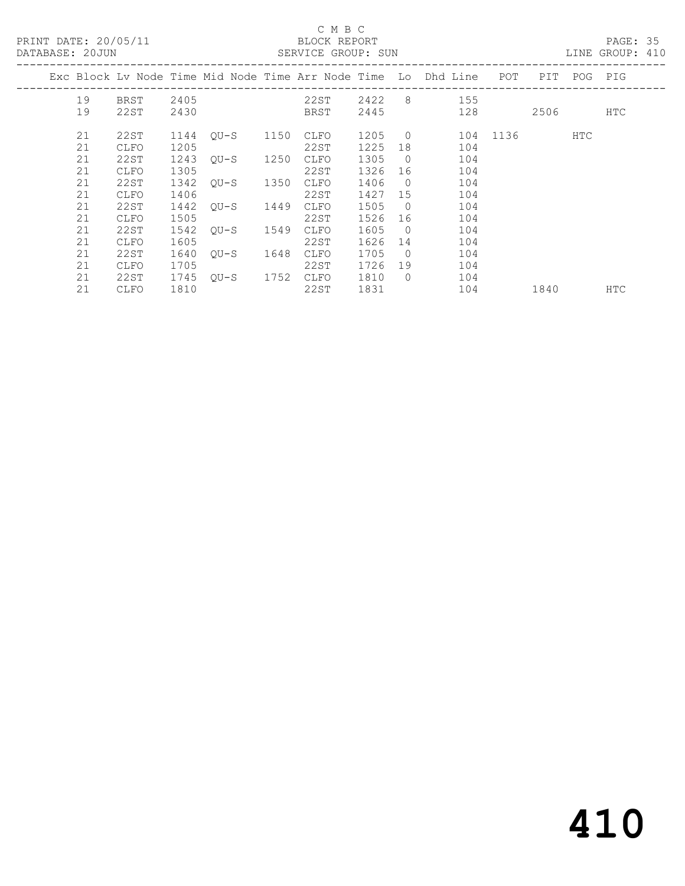| PRINT DATE: 20/05/11 |          |              |              | DATABASE: 20JUN |      | C M B C<br>BLOCK REPORT<br>SERVICE GROUP: SUN<br>LINE GROUP: 410 |                                                                                                                             |                      |                                                                    |              |  |             | PAGE: 35   |  |
|----------------------|----------|--------------|--------------|-----------------|------|------------------------------------------------------------------|-----------------------------------------------------------------------------------------------------------------------------|----------------------|--------------------------------------------------------------------|--------------|--|-------------|------------|--|
|                      |          |              |              |                 |      |                                                                  |                                                                                                                             |                      | Exc Block Lv Node Time Mid Node Time Arr Node Time Lo Dhd Line POT |              |  | PIT POG PIG |            |  |
|                      | 19<br>19 | 22ST         | 2430         |                 |      | BRST                                                             |                                                                                                                             |                      | BRST 2405 22ST 2422 8 155<br>2445 128                              |              |  | 2506        | HTC        |  |
|                      | 21<br>21 | 22ST<br>CLFO | 1144<br>1205 | OU-S 1150       |      | CLFO<br>22ST                                                     | 1205 0<br>1225                                                                                                              |                      | 104                                                                | 104 1136 HTC |  |             |            |  |
|                      | 21<br>21 | 22ST<br>CLFO | 1305         | 1243 QU-S 1250  |      | CLFO<br>22ST                                                     | 1305 0<br>1326                                                                                                              | 16                   | 104<br>104                                                         |              |  |             |            |  |
|                      | 21<br>21 | 22ST<br>CLFO | 1342<br>1406 | OU-S 1350       |      | CLFO<br>22ST                                                     | 1406<br>1427 15                                                                                                             | $\overline{0}$       | 104<br>104                                                         |              |  |             |            |  |
|                      | 21<br>21 | 22ST<br>CLFO | 1442<br>1505 | OU-S            | 1449 | CLFO<br>22ST                                                     | 1505<br>1526                                                                                                                | $\bigcirc$<br>16     | 104<br>104                                                         |              |  |             |            |  |
|                      | 21<br>21 | 22ST<br>CLFO | 1542<br>1605 | OU-S 1549       |      | CLFO<br>22ST                                                     | 1605<br>1626                                                                                                                | $\overline{0}$<br>14 | 104<br>104                                                         |              |  |             |            |  |
|                      | 21<br>21 | 22ST<br>CLFO | 1640<br>1705 | OU-S 1648       |      | CLFO<br>22ST                                                     | 1705 0<br>1726                                                                                                              | 19                   | 104<br>104                                                         |              |  |             |            |  |
|                      | 21<br>21 | 22ST<br>CLFO | 1745<br>1810 | OU-S 1752 CLFO  |      | 22ST                                                             | 1810<br>1831 — 1831 — 1845 — 1846 — 1847 — 1848 — 1858 — 1858 — 1858 — 1858 — 1858 — 1858 — 1858 — 1858 — 1858 — 1858 — 185 | $\bigcirc$           | 104<br>104                                                         | 1840         |  |             | <b>HTC</b> |  |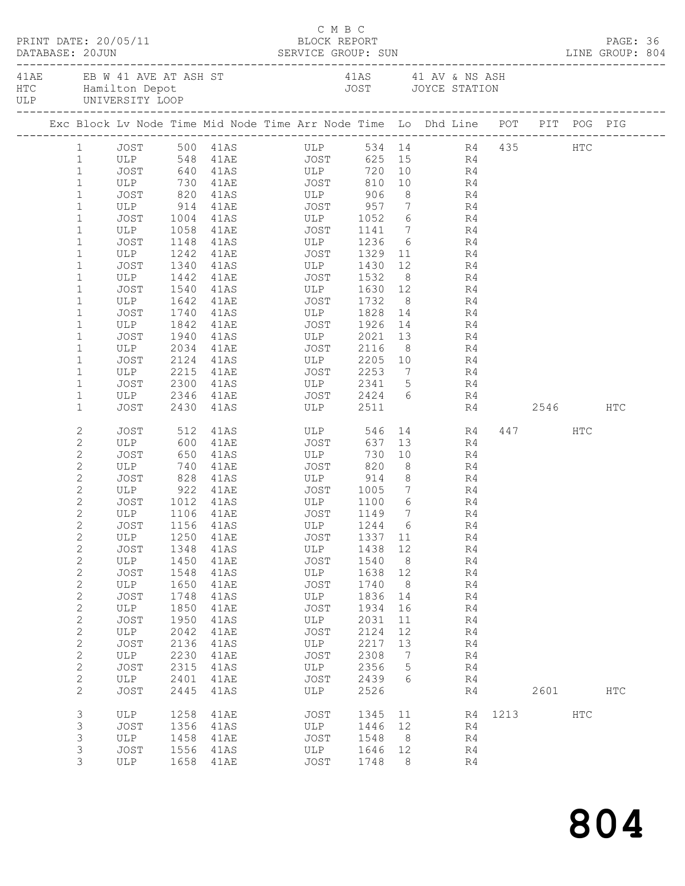|  | DATABASE: 20JUN              | PRINT DATE: 20/05/11 |      | DATABASE: 20JUN SERVICE GROUP: SUN LINE GROUP: 804                                             | C M B C<br>BLOCK REPORT    |         |                |                                                                                                                                                                                                                                 |          |             |           | PAGE: 36      |  |
|--|------------------------------|----------------------|------|------------------------------------------------------------------------------------------------|----------------------------|---------|----------------|---------------------------------------------------------------------------------------------------------------------------------------------------------------------------------------------------------------------------------|----------|-------------|-----------|---------------|--|
|  |                              |                      |      | 41AE EB W 41 AVE AT ASH ST 41AS 41 AV & NS ASH HTC Hamilton Depot 41 AV & NS ASH JOYCE STATION |                            |         |                |                                                                                                                                                                                                                                 |          |             |           |               |  |
|  |                              |                      |      | Exc Block Lv Node Time Mid Node Time Arr Node Time Lo Dhd Line POT PIT POG PIG                 |                            |         |                |                                                                                                                                                                                                                                 |          |             |           |               |  |
|  |                              |                      |      | 1 JOST 500 41AS ULP 534 14 R4 435 HTC                                                          |                            |         |                |                                                                                                                                                                                                                                 |          |             |           |               |  |
|  | 1                            |                      |      |                                                                                                |                            |         |                |                                                                                                                                                                                                                                 |          |             |           |               |  |
|  | $\mathbf{1}$                 |                      |      |                                                                                                |                            |         |                |                                                                                                                                                                                                                                 |          |             |           |               |  |
|  | $\mathbf{1}$                 |                      |      | ULP 730 41AE JOST                                                                              |                            |         |                | 810 10 R4                                                                                                                                                                                                                       |          |             |           |               |  |
|  | $\mathbf{1}$                 |                      |      | JOST 820 41AS ULP 906                                                                          |                            |         |                | 8 R4                                                                                                                                                                                                                            |          |             |           |               |  |
|  | $\mathbf 1$                  |                      |      | ULP 914 41AE JOST 957 7 R4<br>JOST 1004 41AS ULP 1052 6 R4                                     |                            |         |                |                                                                                                                                                                                                                                 |          |             |           |               |  |
|  | $\mathbf 1$                  |                      |      |                                                                                                |                            |         |                |                                                                                                                                                                                                                                 |          |             |           |               |  |
|  | $\mathbf 1$                  |                      |      |                                                                                                |                            |         |                |                                                                                                                                                                                                                                 |          |             |           |               |  |
|  | $\mathbf 1$                  | JOST                 |      | 1148 41AS ULP 1236 6 R4                                                                        |                            |         |                |                                                                                                                                                                                                                                 |          |             |           |               |  |
|  | $\mathbf 1$                  | ULP                  |      | 1242 41AE JOST 1329 11                                                                         |                            |         |                |                                                                                                                                                                                                                                 | R4       |             |           |               |  |
|  | $\mathbf{1}$<br>$\mathbf{1}$ | JOST<br>ULP          |      | 1340 41AS ULP 1430<br>1442 41AE JOST 1532                                                      | ULP 1430 12<br>JOST 1532 8 |         |                |                                                                                                                                                                                                                                 | R4<br>R4 |             |           |               |  |
|  | $\mathbf{1}$                 | JOST                 |      | 1540 41AS ULP 1630 12 R4                                                                       |                            |         |                |                                                                                                                                                                                                                                 |          |             |           |               |  |
|  | $\mathbf{1}$                 | ULP                  |      | 1642 41AE JOST 1732                                                                            |                            |         |                | 8 R4                                                                                                                                                                                                                            |          |             |           |               |  |
|  | $\mathbf{1}$                 | JOST                 |      |                                                                                                |                            |         |                |                                                                                                                                                                                                                                 |          |             |           |               |  |
|  | $\mathbf 1$                  | ULP                  |      |                                                                                                |                            |         |                |                                                                                                                                                                                                                                 |          |             |           |               |  |
|  | $\mathbf{1}$                 | JOST                 |      | 1940 41AS ULP 2021 13 R4                                                                       |                            |         |                |                                                                                                                                                                                                                                 |          |             |           |               |  |
|  | $\mathbf 1$                  | ULP                  | 2034 | 41AE JOST 2116                                                                                 |                            |         |                | $8 - 1$                                                                                                                                                                                                                         | R4       |             |           |               |  |
|  | $\mathbf 1$                  | JOST                 |      |                                                                                                |                            |         |                |                                                                                                                                                                                                                                 |          |             |           |               |  |
|  | $\mathbf{1}$                 | ULP                  |      | 2124 41AS ULP 2205 10 R4<br>2215 41AE JOST 2253 7 R4                                           |                            |         |                |                                                                                                                                                                                                                                 |          |             |           |               |  |
|  | $\mathbf 1$                  | JOST                 |      | 2300 41AS ULP 2341 5 R4                                                                        |                            |         |                |                                                                                                                                                                                                                                 |          |             |           |               |  |
|  | $\mathbf 1$                  | ULP                  |      | 2346 41AE JOST 2424 6 R4                                                                       |                            |         |                |                                                                                                                                                                                                                                 |          |             |           |               |  |
|  | $\mathbf{1}$                 | JOST                 |      | 2430 41AS ULP 2511                                                                             |                            |         |                |                                                                                                                                                                                                                                 |          | R4 2546     |           | HTC           |  |
|  | 2                            | JOST                 |      | 512 41AS ULP                                                                                   |                            | 546     |                |                                                                                                                                                                                                                                 | 14 R4    |             | 447 HTC   |               |  |
|  | $\mathbf{2}$                 | ULP 600              |      | 41AE JOST                                                                                      |                            | 637     |                | 13 and 13 and 13 and 13 and 13 and 13 and 13 and 13 and 13 and 13 and 13 and 13 and 13 and 13 and 13 and 13 and 13 and 13 and 13 and 13 and 13 and 13 and 13 and 13 and 13 and 13 and 13 and 13 and 13 and 13 and 13 and 13 and | R4       |             |           |               |  |
|  | $\mathbf{2}$                 | JOST                 |      | 650 41AS<br>740 41AE<br>41AS ULP<br>41AE JOST                                                  |                            | 730     |                | 10                                                                                                                                                                                                                              | R4       |             |           |               |  |
|  | $\mathbf{2}$                 | ULP                  |      | 828 41AS ULP 914 8 R4                                                                          |                            | 820     | 8 <sup>8</sup> |                                                                                                                                                                                                                                 | R4       |             |           |               |  |
|  | $\mathbf{2}$                 | JOST                 |      |                                                                                                |                            |         |                |                                                                                                                                                                                                                                 |          |             |           |               |  |
|  | $\mathbf{2}$<br>$\mathbf{2}$ | JOST                 |      | ULP 922 41AE JOST 1005 7 R4                                                                    |                            |         |                |                                                                                                                                                                                                                                 |          |             |           |               |  |
|  | $\overline{c}$               | ULP 1106 41AE        |      |                                                                                                |                            |         | $\overline{7}$ | $6$ R4                                                                                                                                                                                                                          | R4       |             |           |               |  |
|  | 2                            |                      |      | JOST 1156 41AS ULP 1244 6 R4                                                                   |                            |         |                |                                                                                                                                                                                                                                 |          |             |           |               |  |
|  | 2                            | ULP                  | 1250 | 41AE                                                                                           | JOST                       | 1337 11 |                |                                                                                                                                                                                                                                 | R4       |             |           |               |  |
|  | $\mathbf{2}$                 | JOST                 | 1348 | 41AS                                                                                           | ULP                        | 1438 12 |                |                                                                                                                                                                                                                                 | R4       |             |           |               |  |
|  | $\sqrt{2}$                   | ULP                  | 1450 | 41AE                                                                                           | JOST                       | 1540    | 8 <sup>8</sup> |                                                                                                                                                                                                                                 | R4       |             |           |               |  |
|  | $\sqrt{2}$                   | JOST                 | 1548 | 41AS                                                                                           | ULP                        | 1638    | 12             |                                                                                                                                                                                                                                 | R4       |             |           |               |  |
|  | $\sqrt{2}$                   | ULP                  | 1650 | 41AE                                                                                           | JOST                       | 1740    | 8 <sup>8</sup> |                                                                                                                                                                                                                                 | R4       |             |           |               |  |
|  | $\sqrt{2}$                   | <b>JOST</b>          | 1748 | 41AS                                                                                           | ULP                        | 1836    | 14             |                                                                                                                                                                                                                                 | R4       |             |           |               |  |
|  | $\sqrt{2}$                   | ULP                  | 1850 | 41AE                                                                                           | JOST                       | 1934    | 16             |                                                                                                                                                                                                                                 | R4       |             |           |               |  |
|  | $\mathbf{2}$                 | JOST                 | 1950 | 41AS                                                                                           | ULP                        | 2031    | 11             |                                                                                                                                                                                                                                 | R4       |             |           |               |  |
|  | $\mathbf{2}$                 | ULP                  | 2042 | 41AE                                                                                           | JOST                       | 2124    | 12             |                                                                                                                                                                                                                                 | R4       |             |           |               |  |
|  | $\mathbf{2}$                 | <b>JOST</b>          | 2136 | 41AS                                                                                           | ULP                        | 2217    | 13             |                                                                                                                                                                                                                                 | R4       |             |           |               |  |
|  | $\mathbf{2}$                 | ULP                  | 2230 | 41AE                                                                                           | JOST                       | 2308    | $\overline{7}$ |                                                                                                                                                                                                                                 | R4       |             |           |               |  |
|  | $\sqrt{2}$                   | JOST                 | 2315 | 41AS                                                                                           | ULP                        | 2356    | $5^{\circ}$    |                                                                                                                                                                                                                                 | R4       |             |           |               |  |
|  | $\mathbf{2}$                 | ULP                  | 2401 | 41AE                                                                                           | JOST                       | 2439    | 6              |                                                                                                                                                                                                                                 | R4       |             |           |               |  |
|  | $\mathbf{2}$                 | <b>JOST</b>          | 2445 | 41AS                                                                                           | ULP                        | 2526    |                |                                                                                                                                                                                                                                 | R4       |             | 2601 2002 | $_{\rm{HTC}}$ |  |
|  | 3                            | ULP                  | 1258 | 41AE                                                                                           | JOST                       | 1345 11 |                |                                                                                                                                                                                                                                 |          | R4 1213 HTC |           |               |  |
|  | 3                            | JOST                 | 1356 | 41AS                                                                                           | ULP                        | 1446 12 |                |                                                                                                                                                                                                                                 | R4       |             |           |               |  |
|  | 3                            | ULP                  | 1458 | 41AE                                                                                           | JOST                       | 1548    | 8 <sup>8</sup> |                                                                                                                                                                                                                                 | R4       |             |           |               |  |
|  | 3                            | JOST                 | 1556 | 41AS                                                                                           | ULP                        | 1646    | 12             |                                                                                                                                                                                                                                 | R4       |             |           |               |  |
|  | 3                            | ULP                  |      | 1658 41AE                                                                                      | JOST                       | 1748    | - 8            |                                                                                                                                                                                                                                 | R4       |             |           |               |  |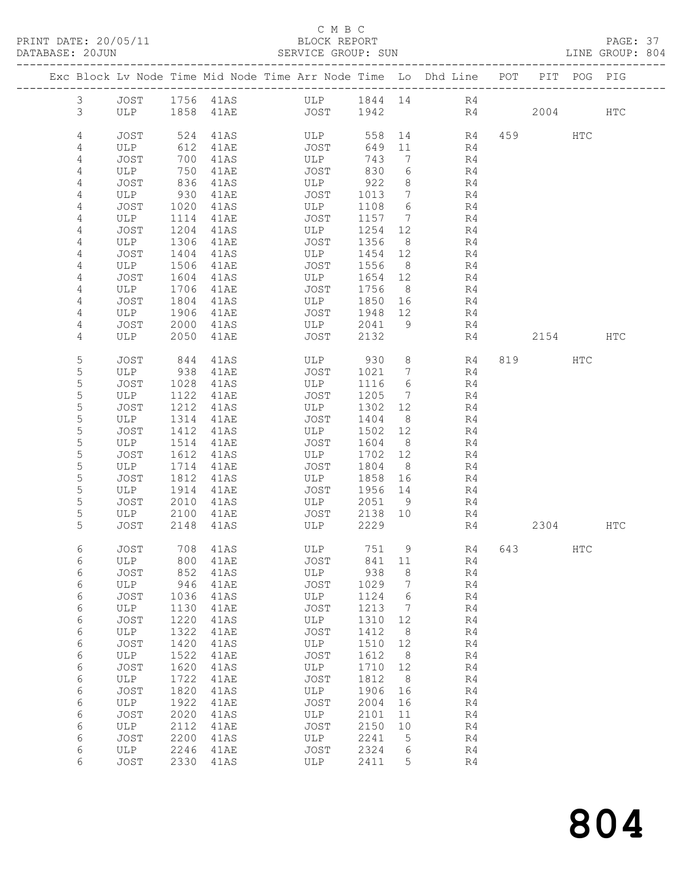### C M B C<br>BLOCK REPORT

PAGE: 37<br>LINE GROUP: 804

|               |                    |              |              | Exc Block Lv Node Time Mid Node Time Arr Node Time Lo Dhd Line POT |                 |                      |             |    |          | PIT POG PIG |     |
|---------------|--------------------|--------------|--------------|--------------------------------------------------------------------|-----------------|----------------------|-------------|----|----------|-------------|-----|
| $\mathcal{S}$ |                    |              |              | JOST 1756 41AS ULP 1844 14 R4                                      |                 |                      |             |    |          |             |     |
| 3             |                    |              |              | ULP 1858 41AE JOST 1942                                            |                 |                      |             | R4 | 2004 HTC |             |     |
|               |                    |              |              |                                                                    |                 |                      |             |    |          |             |     |
| 4<br>4        | <b>JOST</b><br>ULP | 524<br>612   | 41AS<br>41AE | ULP<br>JOST                                                        | 558<br>649 11   |                      | 14 R4<br>R4 |    | 459      | HTC         |     |
| 4             | JOST               | 700          | 41AS         | ULP                                                                | 743             | $7\overline{ }$      | R4          |    |          |             |     |
| 4             | ULP                | 750          | 41AE         | JOST                                                               | 830             | 6                    | R4          |    |          |             |     |
| 4             | JOST               | 836          | 41AS         | ULP                                                                | 922             | 8 <sup>8</sup>       | R4          |    |          |             |     |
| 4             | ULP                | 930          | 41AE         | JOST                                                               | 1013            | $\overline{7}$       | R4          |    |          |             |     |
| 4             | JOST               | 1020         | 41AS         | ULP                                                                | 1108            | 6                    | R4          |    |          |             |     |
| 4             | ULP                | 1114<br>1204 | 41AE         | JOST                                                               | 1157 7<br>1254  |                      | R4          |    |          |             |     |
| 4<br>4        | JOST<br>ULP        | 1306         | 41AS<br>41AE | ULP<br>JOST                                                        | 1356            | 12<br>8 <sup>8</sup> | R4<br>R4    |    |          |             |     |
| 4             | JOST               | 1404         | 41AS         | ULP                                                                | 1454 12         |                      | R4          |    |          |             |     |
| 4             | ULP                | 1506         | 41AE         | JOST                                                               | 1556            | 8 <sup>8</sup>       | R4          |    |          |             |     |
| 4             | JOST               | 1604         | 41AS         | ULP                                                                | 1654            | 12                   | R4          |    |          |             |     |
| 4             | ULP                | 1706         | 41AE         | JOST                                                               | 1756 8          |                      | R4          |    |          |             |     |
| 4             | JOST               | 1804         | 41AS         | ULP                                                                | 1850 16         |                      | R4          |    |          |             |     |
| 4<br>4        | ULP<br>JOST        | 1906<br>2000 | 41AE<br>41AS | JOST<br>ULP                                                        | 1948 12<br>2041 | - 9                  | R4<br>R4    |    |          |             |     |
| 4             | ULP                | 2050         | 41AE         | JOST                                                               | 2132            |                      | R4          |    | 2154     |             | HTC |
|               |                    |              |              |                                                                    |                 |                      |             |    |          |             |     |
| 5             | JOST               | 844          | 41AS         | ULP 930                                                            |                 | 8 <sup>8</sup>       | R4          |    | 819      | HTC         |     |
| 5             | ULP                | 938          | 41AE         | JOST                                                               | 1021            | $\overline{7}$       | R4          |    |          |             |     |
| 5<br>5        | JOST<br>ULP        | 1028<br>1122 | 41AS<br>41AE | ULP<br>JOST                                                        | 1116<br>1205    | 6<br>$\overline{7}$  | R4<br>R4    |    |          |             |     |
| 5             | JOST               | 1212         | 41AS         | ULP                                                                | 1302 12         |                      | R4          |    |          |             |     |
| 5             | ULP                | 1314         | 41AE         | JOST                                                               | 1404            | 8 <sup>8</sup>       | R4          |    |          |             |     |
| 5             | JOST               | 1412         | 41AS         | ULP                                                                | 1502            | 12                   | R4          |    |          |             |     |
| 5             | ULP                | 1514         | 41AE         | JOST                                                               | 1604            | 8 <sup>8</sup>       | R4          |    |          |             |     |
| 5             | JOST               | 1612         | 41AS         | ULP                                                                | 1702 12         |                      | R4          |    |          |             |     |
| 5<br>5        | ULP                | 1714         | 41AE         | JOST                                                               | 1804<br>1858    | 8 <sup>8</sup>       | R4          |    |          |             |     |
| 5             | JOST<br>ULP        | 1812<br>1914 | 41AS<br>41AE | ULP<br>JOST                                                        | 1956 14         | 16                   | R4<br>R4    |    |          |             |     |
| 5             | JOST               | 2010         | 41AS         | ULP                                                                | 2051 9          |                      | R4          |    |          |             |     |
| 5             | ULP                | 2100         | 41AE         | JOST                                                               | 2138 10         |                      | R4          |    |          |             |     |
| 5             | JOST               | 2148         | 41AS         | ULP                                                                | 2229            |                      | R4          |    | 2304     |             | HTC |
| 6             | JOST               |              | 708 41AS     | ULP                                                                | 751 9           |                      | R4          |    | 643   1  | HTC         |     |
| 6             | ULP                |              |              | 800 41AE JOST                                                      | 841 11          |                      | R4          |    |          |             |     |
| 6             | JOST               | 852          | 41AS         | ULP                                                                | 938             | 8                    | R4          |    |          |             |     |
| 6             | ULP                | 946          | 41AE         | JOST                                                               | 1029            | $7\phantom{.0}$      | R4          |    |          |             |     |
| 6             | JOST               | 1036         | 41AS         | ULP                                                                | 1124            | 6                    | R4          |    |          |             |     |
| 6<br>6        | ULP<br>JOST        | 1130<br>1220 | 41AE<br>41AS | JOST<br>ULP                                                        | 1213<br>1310    | 7<br>12              | R4<br>R4    |    |          |             |     |
| 6             | ULP                | 1322         | 41AE         | JOST                                                               | 1412            | - 8                  | R4          |    |          |             |     |
| 6             | JOST               | 1420         | 41AS         | ULP                                                                | 1510            | 12                   | R4          |    |          |             |     |
| 6             | ULP                | 1522         | 41AE         | JOST                                                               | 1612            | 8 <sup>8</sup>       | R4          |    |          |             |     |
| 6             | JOST               | 1620         | 41AS         | ULP                                                                | 1710            | 12                   | R4          |    |          |             |     |
| 6             | ULP                | 1722         | 41AE         | JOST                                                               | 1812            | 8 <sup>8</sup>       | R4          |    |          |             |     |
| 6<br>6        | JOST<br>ULP        | 1820<br>1922 | 41AS<br>41AE | ULP<br>JOST                                                        | 1906<br>2004    | 16<br>16             | R4<br>R4    |    |          |             |     |
| 6             | JOST               | 2020         | 41AS         | ULP                                                                | 2101            | 11                   | R4          |    |          |             |     |
| 6             | ULP                | 2112         | 41AE         | JOST                                                               | 2150            | 10                   | R4          |    |          |             |     |
| 6             | <b>JOST</b>        | 2200         | 41AS         | ULP                                                                | 2241            | $5\overline{)}$      | R4          |    |          |             |     |
| 6             | ULP                | 2246         | 41AE         | JOST                                                               | 2324            | 6                    | R4          |    |          |             |     |
| 6             | <b>JOST</b>        |              | 2330 41AS    | ULP                                                                | 2411            | 5                    | R4          |    |          |             |     |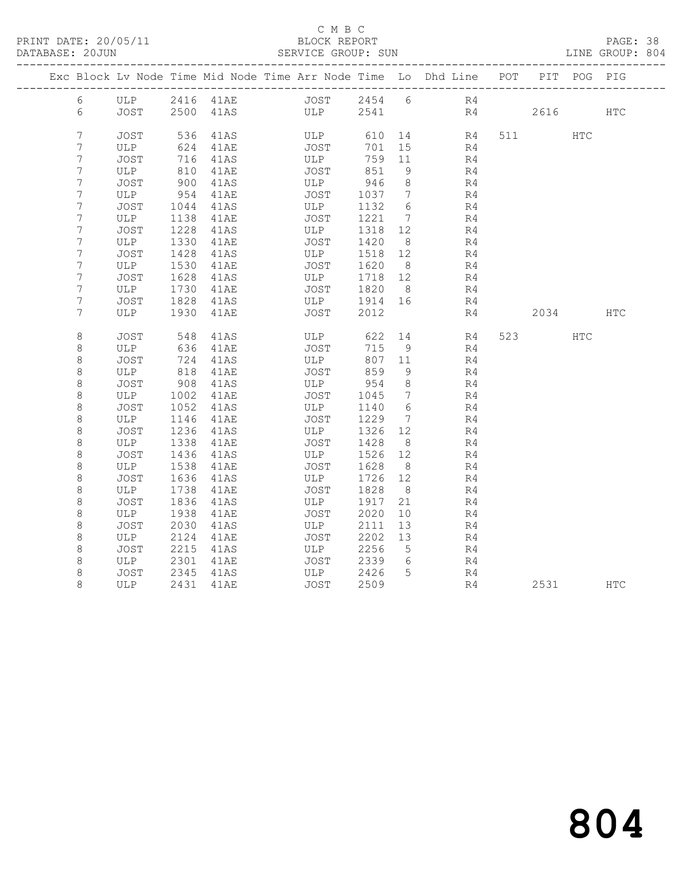### C M B C<br>BLOCK REPORT

PAGE: 38<br>LINE GROUP: 804

|              |             |              |              | Exc Block Lv Node Time Mid Node Time Arr Node Time Lo Dhd Line POT |                 |                      |          |    |                | PIT POG PIG |            |
|--------------|-------------|--------------|--------------|--------------------------------------------------------------------|-----------------|----------------------|----------|----|----------------|-------------|------------|
| 6            |             |              |              | ULP 2416 41AE JOST 2454 6 R4                                       |                 |                      |          |    |                |             |            |
| 6            |             |              |              | JOST 2500 41AS ULP 2541                                            |                 |                      |          | R4 | 2616           |             | <b>HTC</b> |
|              |             |              |              |                                                                    |                 |                      |          |    |                |             |            |
| 7            | JOST        | 536          | 41AS         | ULP                                                                | 610             |                      | R4       |    | 511 7          | HTC         |            |
| 7            | ULP         | 624          | 41AE         | JOST                                                               | 701             | 15                   | R4       |    |                |             |            |
| 7<br>7       | JOST<br>ULP | 716<br>810   | 41AS<br>41AE | ULP<br>JOST                                                        | 759 11<br>851   | - 9                  | R4       |    |                |             |            |
| 7            | JOST        | 900          | 41AS         | ULP                                                                | 946             | 8 <sup>8</sup>       | R4<br>R4 |    |                |             |            |
| 7            | ULP         | 954          | 41AE         | JOST                                                               | 1037 7          |                      | R4       |    |                |             |            |
| 7            | JOST        | 1044         | 41AS         | ULP                                                                | 1132            | 6                    | R4       |    |                |             |            |
| 7            | ULP         | 1138         | 41AE         | JOST                                                               | 1221            | $\overline{7}$       | R4       |    |                |             |            |
| 7            | JOST        | 1228         | 41AS         | ULP                                                                | 1318 12         |                      | R4       |    |                |             |            |
| 7            | ULP         | 1330         | 41AE         | JOST                                                               | 1420            | 8 <sup>8</sup>       | R4       |    |                |             |            |
| 7            | JOST        | 1428         | 41AS         | ULP                                                                | 1518            | 12                   | R4       |    |                |             |            |
| 7            | ULP         | 1530         | 41AE         | JOST                                                               | 1620            | 8 <sup>8</sup>       | R4       |    |                |             |            |
| 7            | JOST        | 1628         | 41AS         | ULP                                                                | 1718 12         |                      | R4       |    |                |             |            |
| 7            | ULP         | 1730         | 41AE         | JOST                                                               | 1820            | 8 <sup>8</sup>       | R4       |    |                |             |            |
| 7            | JOST        | 1828         | 41AS         | ULP                                                                | 1914 16         |                      | R4       |    |                |             |            |
| 7            | ULP         |              | 1930 41AE    | JOST                                                               | 2012            |                      | R4       |    | 2034           |             | <b>HTC</b> |
|              |             |              |              |                                                                    |                 |                      |          |    |                |             |            |
| 8            | JOST        | 548          | 41AS         | ULP                                                                | 622             | 14                   | R4       |    | 523 and $\sim$ | <b>HTC</b>  |            |
| 8            | ULP         | 636          | 41AE         | JOST                                                               | 715             | - 9                  | R4       |    |                |             |            |
| $\,8\,$      | JOST        | 724          | 41AS         | ULP                                                                | 807             | 11                   | R4       |    |                |             |            |
| $\,8\,$      | ULP         | 818          | 41AE         | JOST                                                               | 859             | 9                    | R4       |    |                |             |            |
| 8            | JOST        | 908          | 41AS         | ULP                                                                | 954             | 8 <sup>8</sup>       | R4       |    |                |             |            |
| 8            | ULP         | 1002         | 41AE         | JOST                                                               | 1045            | $\overline{7}$       | R4       |    |                |             |            |
| $\,8\,$      | JOST        | 1052         | 41AS         | ULP                                                                | 1140            | $6\overline{6}$      | R4       |    |                |             |            |
| 8            | ULP         | 1146         | 41AE         | JOST                                                               | 1229            | 7                    | R4       |    |                |             |            |
| $\,8\,$      | JOST        | 1236         | 41AS         | ULP                                                                | 1326            | 12                   | R4       |    |                |             |            |
| $\,8\,$      | ULP         | 1338         | 41AE         | JOST                                                               | 1428            | 8 <sup>8</sup>       | R4       |    |                |             |            |
| 8            | JOST        | 1436         | 41AS         | ULP                                                                | 1526 12         |                      | R4       |    |                |             |            |
| $\,8\,$      | ULP         | 1538         | 41AE         | JOST                                                               | 1628            | 8 <sup>8</sup>       | R4       |    |                |             |            |
| 8            | JOST        | 1636         | 41AS         | ULP                                                                | 1726 12<br>1828 |                      | R4       |    |                |             |            |
| 8<br>$\,8\,$ | ULP<br>JOST | 1738<br>1836 | 41AE<br>41AS | JOST<br>ULP                                                        | 1917            | 8 <sup>8</sup><br>21 | R4<br>R4 |    |                |             |            |
| 8            | ULP         | 1938         | 41AE         | JOST                                                               | 2020            | 10                   | R4       |    |                |             |            |
| $\,8\,$      | JOST        | 2030         | 41AS         | ULP                                                                | 2111            | 13                   | R4       |    |                |             |            |
| 8            | ULP         | 2124         | 41AE         | JOST                                                               | 2202            | 13                   | R4       |    |                |             |            |
| 8            | JOST        | 2215         | 41AS         | ULP                                                                | 2256            | $5^{\circ}$          | R4       |    |                |             |            |
| 8            | ULP         | 2301         | 41AE         | <b>JOST</b>                                                        | 2339            | 6                    | R4       |    |                |             |            |
| 8            | JOST        | 2345         | 41AS         | ULP                                                                | 2426            | 5                    | R4       |    |                |             |            |
| 8            | ULP         |              | 2431 41AE    | JOST                                                               | 2509            |                      | R4       |    | 2531           |             | <b>HTC</b> |
|              |             |              |              |                                                                    |                 |                      |          |    |                |             |            |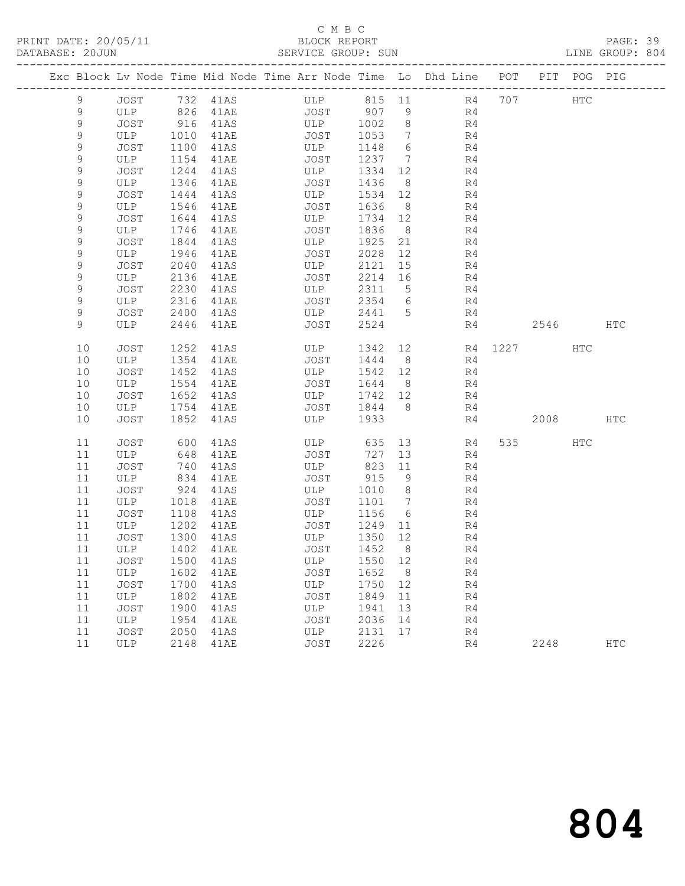# C M B C<br>BLOCK REPORT

PAGE: 39<br>LINE GROUP: 804

|             |                   |      |               | Exc Block Lv Node Time Mid Node Time Arr Node Time Lo Dhd Line POT |         |                 |                |    |          | PIT POG PIG |     |
|-------------|-------------------|------|---------------|--------------------------------------------------------------------|---------|-----------------|----------------|----|----------|-------------|-----|
| 9           |                   |      | JOST 732 41AS | ULP 815 11 R4 707                                                  |         |                 |                |    |          | HTC         |     |
| 9           | ULP               |      | 826 41AE      | JOST                                                               | 907 9   |                 | R4             |    |          |             |     |
| 9           | JOST              | 916  | 41AS          | ULP                                                                | 1002    | 8 <sup>8</sup>  | R4             |    |          |             |     |
| 9           | ULP               | 1010 | 41AE          | JOST                                                               | 1053    | $7\overline{ }$ | R4             |    |          |             |     |
| 9           | JOST              | 1100 | 41AS          | ULP                                                                | 1148    | 6               | R4             |    |          |             |     |
| 9           | ULP               | 1154 | 41AE          | JOST                                                               | 1237 7  |                 | R4             |    |          |             |     |
| 9           | JOST              | 1244 | 41AS          | ULP                                                                | 1334    | 12              | R4             |    |          |             |     |
| 9           | ULP               | 1346 | 41AE          | JOST                                                               | 1436    | 8 <sup>8</sup>  | R4             |    |          |             |     |
| 9           | JOST              | 1444 | 41AS          | ULP                                                                | 1534    | 12              | R4             |    |          |             |     |
| 9           | ULP               | 1546 | 41AE          | JOST                                                               | 1636    | 8 <sup>8</sup>  | R4             |    |          |             |     |
| 9           | JOST              | 1644 | 41AS          | ULP                                                                | 1734 12 |                 | R <sub>4</sub> |    |          |             |     |
| 9           | ULP               | 1746 | 41AE          | JOST                                                               | 1836    | 8 <sup>8</sup>  | R4             |    |          |             |     |
| 9           | JOST              | 1844 | 41AS          | ULP                                                                | 1925    | 21              | R4             |    |          |             |     |
| 9           | ULP               | 1946 | 41AE          | JOST                                                               | 2028    | 12              | R4             |    |          |             |     |
| $\mathsf 9$ | JOST              | 2040 | 41AS          | ULP                                                                | 2121    | 15              | R4             |    |          |             |     |
| 9           | ULP               | 2136 | 41AE          | JOST                                                               | 2214 16 |                 | R4             |    |          |             |     |
| 9           | JOST              | 2230 | 41AS          | ULP                                                                | 2311 5  |                 | R4             |    |          |             |     |
| 9           | ULP               | 2316 | 41AE          | JOST                                                               | 2354 6  |                 | R4             |    |          |             |     |
| 9           | JOST              | 2400 | 41AS          | ULP                                                                | 2441 5  |                 | R4             |    |          |             |     |
| 9           | ULP               |      | 2446 41AE     | JOST                                                               | 2524    |                 |                | R4 | 2546 HTC |             |     |
| 10          | <b>JOST</b>       | 1252 | 41AS          | ULP                                                                | 1342 12 |                 | R4 1227 HTC    |    |          |             |     |
| 10          | ULP               | 1354 | 41AE          | JOST                                                               | 1444    | 8 <sup>8</sup>  | R4             |    |          |             |     |
| 10          | JOST              | 1452 | 41AS          | ULP                                                                | 1542 12 |                 | R4             |    |          |             |     |
| 10          | ULP               | 1554 | 41AE          | JOST                                                               | 1644 8  |                 | R4             |    |          |             |     |
| 10          | JOST              | 1652 | 41AS          | ULP                                                                | 1742 12 |                 | R4             |    |          |             |     |
| 10          | ULP               | 1754 | 41AE          | JOST                                                               | 1844 8  |                 | R4             |    |          |             |     |
| 10          | JOST              | 1852 | 41AS          | ULP                                                                | 1933    |                 | R4             |    | 2008 HTC |             |     |
| 11          | JOST              | 600  | 41AS          | ULP                                                                | 635     | 13              | R4             |    | 535 731  | HTC         |     |
| 11          | ULP               | 648  | 41AE          | JOST                                                               | 727     | 13              | R4             |    |          |             |     |
| 11          | JOST              | 740  | 41AS          | ULP                                                                | 823     | 11              | R4             |    |          |             |     |
| 11          | ULP               | 834  | 41AE          | JOST                                                               | 915     | 9               | R4             |    |          |             |     |
| 11          | JOST              | 924  | 41AS          | ULP                                                                | 1010    | 8 <sup>8</sup>  | R4             |    |          |             |     |
| 11          | ULP               | 1018 | 41AE          | JOST                                                               | 1101 7  |                 | R4             |    |          |             |     |
| 11          | JOST              | 1108 | 41AS          | ULP                                                                | 1156    | 6               | R4             |    |          |             |     |
| 11          | ULP               | 1202 | 41AE          | JOST                                                               | 1249 11 |                 | R4             |    |          |             |     |
| 11          | JOST              | 1300 | 41AS          | ULP                                                                | 1350    | 12              | R4             |    |          |             |     |
| 11          | ULP               | 1402 | 41AE          | JOST                                                               | 1452    | 8               | R4             |    |          |             |     |
|             | 11 JOST 1500 41AS |      |               | ULP 1550 12                                                        |         |                 | R4             |    |          |             |     |
| 11          | ULP               | 1602 | 41AE          | JOST                                                               | 1652    | 8 <sup>8</sup>  | R4             |    |          |             |     |
| 11          | <b>JOST</b>       | 1700 | 41AS          | ULP                                                                | 1750    | 12              | R4             |    |          |             |     |
| 11          | ULP               | 1802 | 41AE          | JOST                                                               | 1849    | 11              | R4             |    |          |             |     |
| 11          | JOST              | 1900 | 41AS          | ULP                                                                | 1941    | 13              | R4             |    |          |             |     |
| 11          | ULP               | 1954 | 41AE          | JOST                                                               | 2036    | 14              | R4             |    |          |             |     |
| 11          | <b>JOST</b>       | 2050 | 41AS          | ULP                                                                | 2131    | 17              | R4             |    |          |             |     |
| 11          | ULP               | 2148 | 41AE          | JOST                                                               | 2226    |                 | R4             |    | 2248     |             | HTC |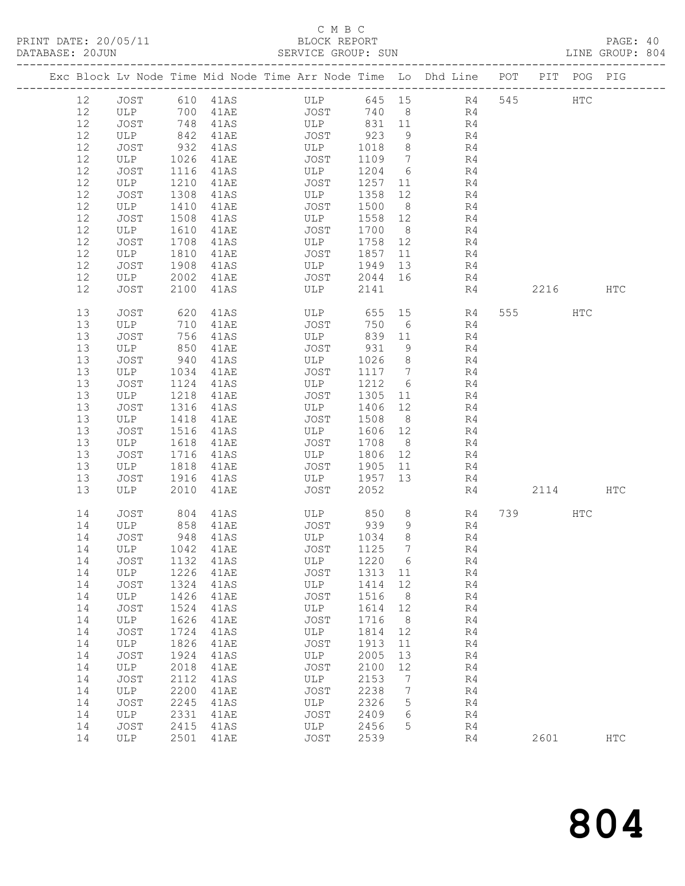## C M B C<br>BLOCK REPORT

PAGE: 40<br>LINE GROUP: 804

|      |             |      |                      |             |        |                              | Exc Block Lv Node Time Mid Node Time Arr Node Time Lo Dhd Line POT PIT POG PIG |           |            |            |
|------|-------------|------|----------------------|-------------|--------|------------------------------|--------------------------------------------------------------------------------|-----------|------------|------------|
| 12   | JOST        |      | 610 41AS             | ULP         |        |                              | 645 15 R4                                                                      | 545       | <b>HTC</b> |            |
| 12   | ULP         |      | 700 41AE             | <b>JOST</b> | 740    | 8 <sup>8</sup>               | R4                                                                             |           |            |            |
| 12   | JOST        |      | 748 41AS<br>842 41AE | ULP         | 831 11 |                              | R4                                                                             |           |            |            |
| 12   | ULP         |      |                      | JOST        | 923    | 9                            | R4                                                                             |           |            |            |
| 12   | JOST        | 932  | 41AS                 | ULP         | 1018   | 8 <sup>8</sup>               | R4                                                                             |           |            |            |
| $12$ | ULP         | 1026 | 41AE                 | JOST        | 1109   | $7\overline{ }$              | R4                                                                             |           |            |            |
| 12   | JOST        | 1116 | 41AS                 | ULP         | 1204   | 6                            | R4                                                                             |           |            |            |
| 12   | ULP         | 1210 | 41AE                 | JOST        | 1257   | 11                           | R4                                                                             |           |            |            |
| 12   | JOST        | 1308 | 41AS                 | ULP         | 1358   | 12                           | R4                                                                             |           |            |            |
| $12$ | ULP         | 1410 | 41AE                 | JOST        | 1500   | 8 <sup>8</sup>               | R4                                                                             |           |            |            |
| 12   | JOST        | 1508 | 41AS                 | ULP         | 1558   | 12                           | R4                                                                             |           |            |            |
| 12   | ULP         | 1610 | 41AE                 | JOST        | 1700   | 8 <sup>8</sup>               | R4                                                                             |           |            |            |
| 12   | JOST        | 1708 | 41AS                 | ULP         | 1758   | 12                           | R4                                                                             |           |            |            |
| $12$ | ULP         | 1810 | 41AE                 | JOST        | 1857   | 11                           | R4                                                                             |           |            |            |
| 12   | <b>JOST</b> | 1908 | 41AS                 | ULP         | 1949   | 13                           | R4                                                                             |           |            |            |
| 12   | ULP         | 2002 | 41AE                 | JOST        | 2044   | 16                           | R4                                                                             |           |            |            |
| 12   | JOST        | 2100 | 41AS                 | ULP         | 2141   |                              | R4                                                                             | 2216      |            | <b>HTC</b> |
| 13   | JOST        | 620  | 41AS                 | ULP         | 655    | 15                           | R4                                                                             | 555 75    | HTC        |            |
| 13   | ULP         | 710  | 41AE                 | JOST        | 750    | 6                            | R4                                                                             |           |            |            |
| 13   | JOST        | 756  | 41AS                 | ULP         | 839    | 11                           | R4                                                                             |           |            |            |
| 13   | ULP         | 850  | 41AE                 | JOST        | 931    | 9                            | R4                                                                             |           |            |            |
| 13   | JOST        | 940  | 41AS                 | ULP         | 1026   | 8                            | R4                                                                             |           |            |            |
| 13   | ULP         | 1034 | 41AE                 | JOST        | 1117   | $7\phantom{.0}\phantom{.0}7$ | R4                                                                             |           |            |            |
| 13   | JOST        | 1124 | 41AS                 | ULP         | 1212   | 6                            | R4                                                                             |           |            |            |
| 13   | ULP         | 1218 | 41AE                 | JOST        | 1305   | 11                           | R4                                                                             |           |            |            |
| 13   | <b>JOST</b> | 1316 | 41AS                 | ULP         | 1406   | 12                           | R4                                                                             |           |            |            |
| 13   | ULP         | 1418 | 41AE                 | JOST        | 1508   | 8 <sup>8</sup>               | R4                                                                             |           |            |            |
| 13   | JOST        | 1516 | 41AS                 | ULP         | 1606   | 12                           | R4                                                                             |           |            |            |
| 13   | ULP         | 1618 | 41AE                 | JOST        | 1708   | 8 <sup>8</sup>               | R4                                                                             |           |            |            |
| 13   | JOST        | 1716 | 41AS                 | ULP         | 1806   | 12                           | R4                                                                             |           |            |            |
| 13   | ULP         | 1818 | 41AE                 | JOST        | 1905   | 11                           | R4                                                                             |           |            |            |
| 13   | JOST        | 1916 | 41AS                 | ULP         | 1957   | 13                           | R4                                                                             |           |            |            |
| 13   | ULP         | 2010 | 41AE                 | JOST        | 2052   |                              | R4                                                                             | 2114      |            | <b>HTC</b> |
| 14   | JOST        | 804  | 41AS                 | ULP         | 850    | 8                            | R4                                                                             | 739 — 139 | HTC        |            |
| 14   | ULP         | 858  | 41AE                 | JOST        | 939    | 9                            | R4                                                                             |           |            |            |
| 14   | JOST        |      | 948 41AS             | ULP         | 1034   | 8                            | R4                                                                             |           |            |            |
| 14   | ULP         |      | 1042 41AE            | JOST        | 1125   | 7                            | R4                                                                             |           |            |            |
| 14   | JOST        |      | 1132 41AS            | ULP         | 1220 6 |                              | R <sub>4</sub>                                                                 |           |            |            |
| 14   | ULP         | 1226 | 41AE                 | JOST        | 1313   | 11                           | R4                                                                             |           |            |            |
| 14   | JOST        | 1324 | 41AS                 | ULP         | 1414   | 12                           | R4                                                                             |           |            |            |
| 14   | ULP         | 1426 | 41AE                 | JOST        | 1516   | 8                            | R4                                                                             |           |            |            |
| 14   | JOST        | 1524 | 41AS                 | ULP         | 1614   | 12                           | R4                                                                             |           |            |            |
| 14   | ULP         | 1626 | 41AE                 | JOST        | 1716   | 8                            | R4                                                                             |           |            |            |
| 14   | JOST        | 1724 | 41AS                 | ULP         | 1814   | 12                           | R4                                                                             |           |            |            |
| 14   | ULP         | 1826 | 41AE                 | <b>JOST</b> | 1913   | 11                           | R4                                                                             |           |            |            |
| 14   | <b>JOST</b> | 1924 | 41AS                 | ULP         | 2005   | 13                           | R4                                                                             |           |            |            |
| 14   | ULP         | 2018 | 41AE                 | JOST        | 2100   | 12                           | R4                                                                             |           |            |            |
| 14   | JOST        | 2112 | 41AS                 | ULP         | 2153   | 7                            | R4                                                                             |           |            |            |
| 14   | ULP         | 2200 | 41AE                 | JOST        | 2238   | 7                            | R4                                                                             |           |            |            |
| 14   | <b>JOST</b> | 2245 | 41AS                 | ULP         | 2326   | 5                            | R <sub>4</sub>                                                                 |           |            |            |
| 14   | ULP         | 2331 | 41AE                 | JOST        | 2409   | 6                            | R4                                                                             |           |            |            |
| 14   | JOST        | 2415 | 41AS                 | ULP         | 2456   | 5                            | R4                                                                             |           |            |            |
| 14   | ULP         | 2501 | 41AE                 | <b>JOST</b> | 2539   |                              | R4                                                                             | 2601      |            | <b>HTC</b> |